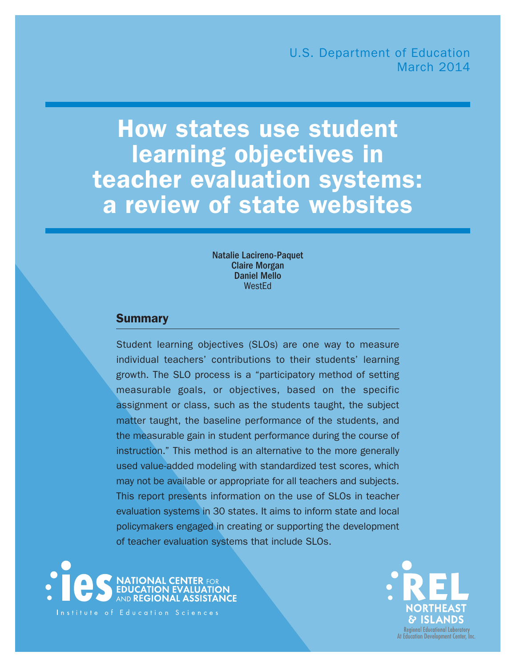# How states use student learning objectives in teacher evaluation systems: a review of state websites

Natalie Lacireno-Paquet Claire Morgan Daniel Mello WestEd

# **Summary**

Student learning objectives (SLOs) are one way to measure individual teachers' contributions to their students' learning growth. The SLO process is a "participatory method of setting measurable goals, or objectives, based on the specific assignment or class, such as the students taught, the subject matter taught, the baseline performance of the students, and the measurable gain in student performance during the course of instruction." This method is an alternative to the more generally used value-added modeling with standardized test scores, which may not be available or appropriate for all teachers and subjects. This report presents information on the use of SLOs in teacher evaluation systems in 30 states. It aims to inform state and local policymakers engaged in creating or supporting the development of teacher evaluation systems that include SLOs.



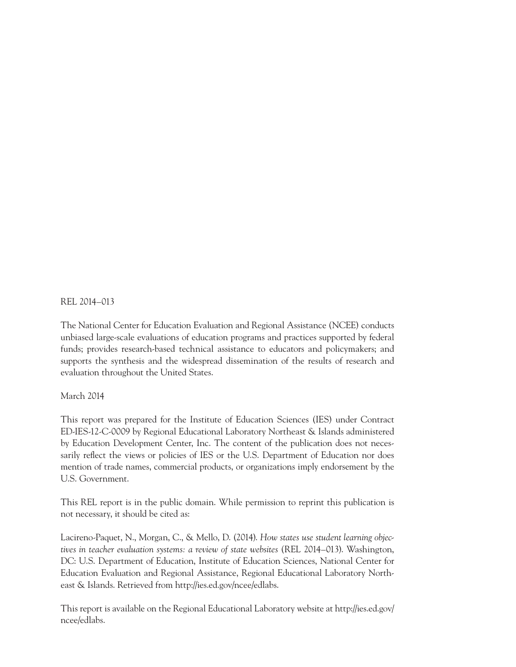REL 2014–013

The National Center for Education Evaluation and Regional Assistance (NCEE) conducts unbiased large-scale evaluations of education programs and practices supported by federal funds; provides research-based technical assistance to educators and policymakers; and supports the synthesis and the widespread dissemination of the results of research and evaluation throughout the United States.

#### March 2014

This report was prepared for the Institute of Education Sciences (IES) under Contract ED-IES-12-C-0009 by Regional Educational Laboratory Northeast & Islands administered by Education Development Center, Inc. The content of the publication does not necessarily reflect the views or policies of IES or the U.S. Department of Education nor does mention of trade names, commercial products, or organizations imply endorsement by the U.S. Government.

This REL report is in the public domain. While permission to reprint this publication is not necessary, it should be cited as:

Lacireno-Paquet, N., Morgan, C., & Mello, D. (2014). *How states use student learning objectives in teacher evaluation systems: a review of state websites* (REL 2014–013). Washington, DC: U.S. Department of Education, Institute of Education Sciences, National Center for Education Evaluation and Regional Assistance, Regional Educational Laboratory Northeast & Islands. Retrieved from [http://ies.ed.gov/ncee/edlabs.](http://ies.ed.gov/ncee/edlabs)

This report is available on the Regional Educational Laboratory website at [http://ies.ed.gov/](http://ies.ed.gov/ncee/edlabs) [ncee/edlabs.](http://ies.ed.gov/ncee/edlabs)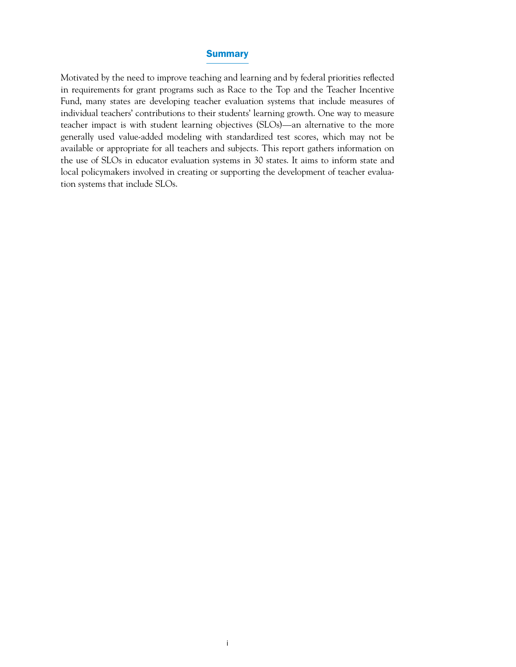#### **Summary**

Motivated by the need to improve teaching and learning and by federal priorities reflected in requirements for grant programs such as Race to the Top and the Teacher Incentive Fund, many states are developing teacher evaluation systems that include measures of individual teachers' contributions to their students' learning growth. One way to measure teacher impact is with student learning objectives (SLOs)—an alternative to the more generally used value-added modeling with standardized test scores, which may not be available or appropriate for all teachers and subjects. This report gathers information on the use of SLOs in educator evaluation systems in 30 states. It aims to inform state and local policymakers involved in creating or supporting the development of teacher evaluation systems that include SLOs.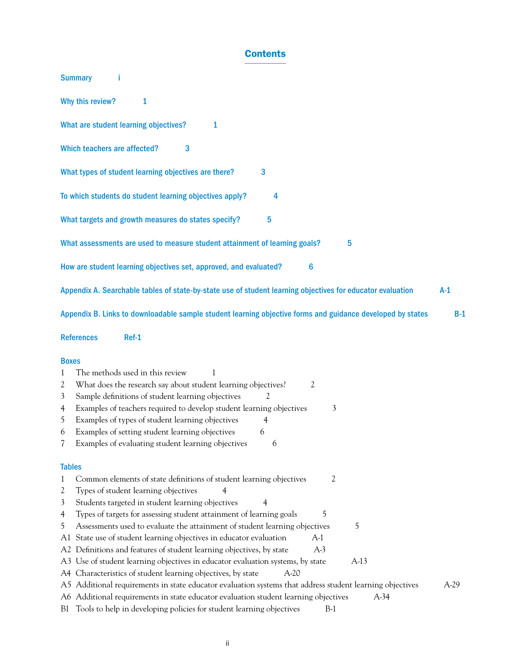# **Contents**

| <b>Summary</b>                                                                                                                                                                                                                                                                                                                                                                                                                                                              |        |
|-----------------------------------------------------------------------------------------------------------------------------------------------------------------------------------------------------------------------------------------------------------------------------------------------------------------------------------------------------------------------------------------------------------------------------------------------------------------------------|--------|
| Why this review?<br>1                                                                                                                                                                                                                                                                                                                                                                                                                                                       |        |
| What are student learning objectives?<br>1                                                                                                                                                                                                                                                                                                                                                                                                                                  |        |
| Which teachers are affected?<br>3                                                                                                                                                                                                                                                                                                                                                                                                                                           |        |
| 3<br>What types of student learning objectives are there?                                                                                                                                                                                                                                                                                                                                                                                                                   |        |
| To which students do student learning objectives apply?<br>4                                                                                                                                                                                                                                                                                                                                                                                                                |        |
| 5<br>What targets and growth measures do states specify?                                                                                                                                                                                                                                                                                                                                                                                                                    |        |
| What assessments are used to measure student attainment of learning goals?<br>5                                                                                                                                                                                                                                                                                                                                                                                             |        |
| How are student learning objectives set, approved, and evaluated?<br>6                                                                                                                                                                                                                                                                                                                                                                                                      |        |
| Appendix A. Searchable tables of state-by-state use of student learning objectives for educator evaluation                                                                                                                                                                                                                                                                                                                                                                  | $A-1$  |
| Appendix B. Links to downloadable sample student learning objective forms and guidance developed by states                                                                                                                                                                                                                                                                                                                                                                  | $B-1$  |
| <b>References</b><br>Ref-1                                                                                                                                                                                                                                                                                                                                                                                                                                                  |        |
| <b>Boxes</b><br>The methods used in this review<br>1<br>1<br>What does the research say about student learning objectives?<br>2<br>2<br>Sample definitions of student learning objectives<br>3<br>Examples of teachers required to develop student learning objectives<br>3<br>4<br>Examples of types of student learning objectives<br>5<br>4<br>Examples of setting student learning objectives<br>6<br>6<br>7<br>Examples of evaluating student learning objectives<br>6 |        |
| <b>Tables</b>                                                                                                                                                                                                                                                                                                                                                                                                                                                               |        |
| Common elements of state definitions of student learning objectives<br>2<br>1<br>Types of student learning objectives<br>2<br>Students targeted in student learning objectives<br>3<br>4<br>5<br>Types of targets for assessing student attainment of learning goals<br>4                                                                                                                                                                                                   |        |
| Assessments used to evaluate the attainment of student learning objectives<br>5<br>5<br>State use of student learning objectives in educator evaluation<br>$A-1$<br>A1<br>Definitions and features of student learning objectives, by state<br>$A-3$<br>A2<br>Use of student learning objectives in educator evaluation systems, by state<br>$A-13$<br>A3                                                                                                                   |        |
| Characteristics of student learning objectives, by state<br>$A-20$<br>A4.<br>Additional requirements in state educator evaluation systems that address student learning objectives<br>A5<br>A6 Additional requirements in state educator evaluation student learning objectives<br>$A-34$<br>B1 Tools to help in developing policies for student learning objectives<br>$B-1$                                                                                               | $A-29$ |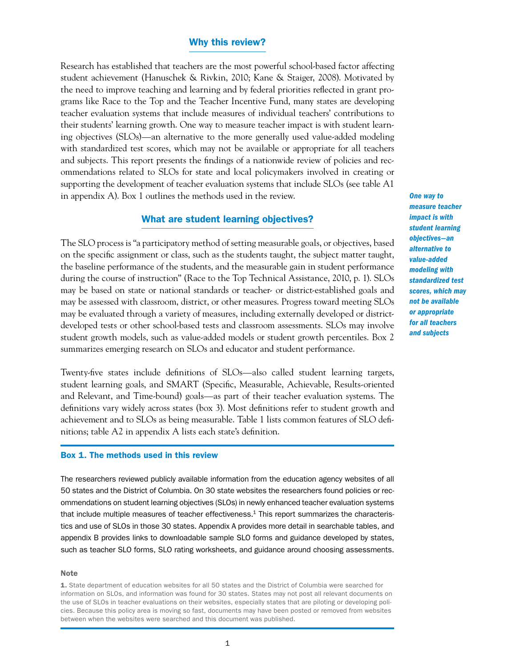#### Why this review?

Research has established that teachers are the most powerful school-based factor affecting student achievement (Hanuschek & Rivkin, 2010; Kane & Staiger, 2008). Motivated by the need to improve teaching and learning and by federal priorities reflected in grant programs like Race to the Top and the Teacher Incentive Fund, many states are developing teacher evaluation systems that include measures of individual teachers' contributions to their students' learning growth. One way to measure teacher impact is with student learning objectives (SLOs)—an alternative to the more generally used value-added modeling with standardized test scores, which may not be available or appropriate for all teachers and subjects. This report presents the findings of a nationwide review of policies and recommendations related to SLOs for state and local policymakers involved in creating or supporting the development of teacher evaluation systems that include SLOs (see table A1 in appendix A). Box 1 outlines the methods used in the review.

#### What are student learning objectives?

The SLO process is "a participatory method of setting measurable goals, or objectives, based on the specific assignment or class, such as the students taught, the subject matter taught, the baseline performance of the students, and the measurable gain in student performance during the course of instruction" (Race to the Top Technical Assistance, 2010, p. 1). SLOs may be based on state or national standards or teacher- or district-established goals and may be assessed with classroom, district, or other measures. Progress toward meeting SLOs may be evaluated through a variety of measures, including externally developed or districtdeveloped tests or other school-based tests and classroom assessments. SLOs may involve student growth models, such as value-added models or student growth percentiles. Box 2 summarizes emerging research on SLOs and educator and student performance.

Twenty-five states include definitions of SLOs—also called student learning targets, student learning goals, and SMART (Specific, Measurable, Achievable, Results-oriented and Relevant, and Time-bound) goals—as part of their teacher evaluation systems. The definitions vary widely across states (box 3). Most definitions refer to student growth and achievement and to SLOs as being measurable. Table 1 lists common features of SLO definitions; table A2 in appendix A lists each state's definition.

#### Box 1. The methods used in this review

The researchers reviewed publicly available information from the education agency websites of all 50 states and the District of Columbia. On 30 state websites the researchers found policies or recommendations on student learning objectives (SLOs) in newly enhanced teacher evaluation systems that include multiple measures of teacher effectiveness.<sup>1</sup> This report summarizes the characteristics and use of SLOs in those 30 states. Appendix A provides more detail in searchable tables, and appendix B provides links to downloadable sample SLO forms and guidance developed by states, such as teacher SLO forms, SLO rating worksheets, and guidance around choosing assessments.

#### **Note**

1. State department of education websites for all 50 states and the District of Columbia were searched for information on SLOs, and information was found for 30 states. States may not post all relevant documents on the use of SLOs in teacher evaluations on their websites, especially states that are piloting or developing policies. Because this policy area is moving so fast, documents may have been posted or removed from websites between when the websites were searched and this document was published.

*One way to measure teacher impact is with student learning objectives—an alternative to value-added modeling with standardized test scores, which may not be available or appropriate for all teachers and subjects*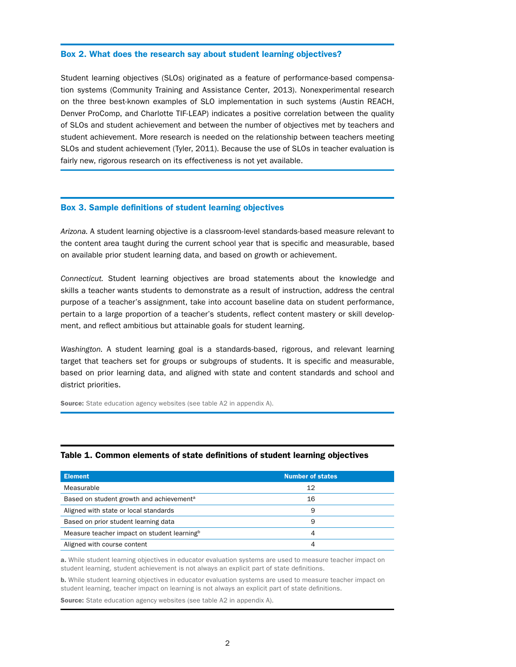#### Box 2. What does the research say about student learning objectives?

Student learning objectives (SLOs) originated as a feature of performance-based compensation systems (Community Training and Assistance Center, 2013). Nonexperimental research on the three best-known examples of SLO implementation in such systems (Austin REACH, Denver ProComp, and Charlotte TIF-LEAP) indicates a positive correlation between the quality of SLOs and student achievement and between the number of objectives met by teachers and student achievement. More research is needed on the relationship between teachers meeting SLOs and student achievement (Tyler, 2011). Because the use of SLOs in teacher evaluation is fairly new, rigorous research on its effectiveness is not yet available.

#### Box 3. Sample definitions of student learning objectives

*Arizona.* A student learning objective is a classroom-level standards-based measure relevant to the content area taught during the current school year that is specific and measurable, based on available prior student learning data, and based on growth or achievement.

*Connecticut.* Student learning objectives are broad statements about the knowledge and skills a teacher wants students to demonstrate as a result of instruction, address the central purpose of a teacher's assignment, take into account baseline data on student performance, pertain to a large proportion of a teacher's students, reflect content mastery or skill development, and reflect ambitious but attainable goals for student learning.

*Washington.* A student learning goal is a standards-based, rigorous, and relevant learning target that teachers set for groups or subgroups of students. It is specific and measurable, based on prior learning data, and aligned with state and content standards and school and district priorities.

**Source:** State education agency websites (see table A2 in appendix A).

| <b>Element</b>                                          | <b>Number of states</b> |
|---------------------------------------------------------|-------------------------|
| Measurable                                              | 12                      |
| Based on student growth and achievement <sup>a</sup>    | 16                      |
| Aligned with state or local standards                   | 9                       |
| Based on prior student learning data                    | 9                       |
| Measure teacher impact on student learning <sup>b</sup> | 4                       |
| Aligned with course content                             | 4                       |

#### Table 1. Common elements of state definitions of student learning objectives

a. While student learning objectives in educator evaluation systems are used to measure teacher impact on student learning, student achievement is not always an explicit part of state definitions.

b. While student learning objectives in educator evaluation systems are used to measure teacher impact on student learning, teacher impact on learning is not always an explicit part of state definitions.

**Source:** State education agency websites (see table A2 in appendix A).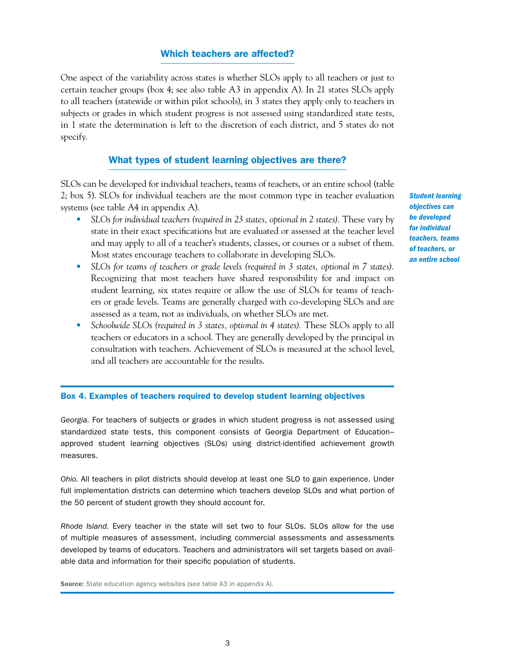#### Which teachers are affected?

One aspect of the variability across states is whether SLOs apply to all teachers or just to certain teacher groups (box 4; see also table A3 in appendix A). In 21 states SLOs apply to all teachers (statewide or within pilot schools), in 3 states they apply only to teachers in subjects or grades in which student progress is not assessed using standardized state tests, in 1 state the determination is left to the discretion of each district, and 5 states do not specify.

#### What types of student learning objectives are there?

SLOs can be developed for individual teachers, teams of teachers, or an entire school (table 2; box 5). SLOs for individual teachers are the most common type in teacher evaluation systems (see table A4 in appendix A).

- *SLOs for individual teachers (required in 23 states, optional in 2 states).* These vary by state in their exact specifications but are evaluated or assessed at the teacher level and may apply to all of a teacher's students, classes, or courses or a subset of them. Most states encourage teachers to collaborate in developing SLOs.
- *SLOs for teams of teachers or grade levels (required in 3 states, optional in 7 states).* Recognizing that most teachers have shared responsibility for and impact on student learning, six states require or allow the use of SLOs for teams of teachers or grade levels. Teams are generally charged with co- developing SLOs and are assessed as a team, not as individuals, on whether SLOs are met.
- *Schoolwide SLOs (required in 3 states, optional in 4 states).* These SLOs apply to all teachers or educators in a school. They are generally developed by the principal in consultation with teachers. Achievement of SLOs is measured at the school level, and all teachers are accountable for the results.

Box 4. Examples of teachers required to develop student learning objectives

*Georgia.* For teachers of subjects or grades in which student progress is not assessed using standardized state tests, this component consists of Georgia Department of Education– approved student learning objectives (SLOs) using district-identified achievement growth measures.

*Ohio.* All teachers in pilot districts should develop at least one SLO to gain experience. Under full implementation districts can determine which teachers develop SLOs and what portion of the 50 percent of student growth they should account for.

*Rhode Island.* Every teacher in the state will set two to four SLOs. SLOs allow for the use of multiple measures of assessment, including commercial assessments and assessments developed by teams of educators. Teachers and administrators will set targets based on available data and information for their specific population of students.

Source: State education agency websites (see table A3 in appendix A).

*student learning objectives can be developed for individual teachers, teams of teachers, or an entire school*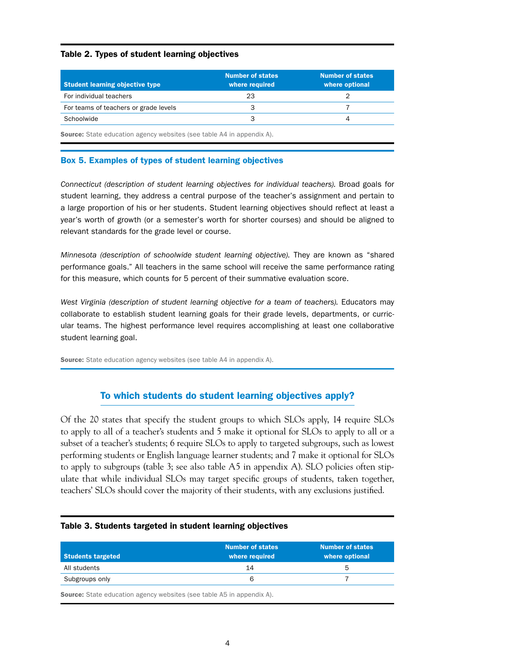#### Table 2. Types of student learning objectives

| <b>Student learning objective type</b> | <b>Number of states</b><br>where required | <b>Number of states</b><br>where optional |
|----------------------------------------|-------------------------------------------|-------------------------------------------|
| For individual teachers                | 23                                        |                                           |
| For teams of teachers or grade levels  |                                           |                                           |
| Schoolwide                             |                                           |                                           |
|                                        |                                           |                                           |

Source: State education agency websites (see table A4 in appendix A).

#### Box 5. Examples of types of student learning objectives

*Connecticut (description of student learning objectives for individual teachers).* Broad goals for student learning, they address a central purpose of the teacher's assignment and pertain to a large proportion of his or her students. Student learning objectives should reflect at least a year's worth of growth (or a semester's worth for shorter courses) and should be aligned to relevant standards for the grade level or course.

*Minnesota (description of schoolwide student learning objective).* They are known as "shared performance goals." All teachers in the same school will receive the same performance rating for this measure, which counts for 5 percent of their summative evaluation score.

*West Virginia (description of student learning objective for a team of teachers).* Educators may collaborate to establish student learning goals for their grade levels, departments, or curricular teams. The highest performance level requires accomplishing at least one collaborative student learning goal.

Source: State education agency websites (see table A4 in appendix A).

#### To which students do student learning objectives apply?

Of the 20 states that specify the student groups to which SLOs apply, 14 require SLOs to apply to all of a teacher's students and 5 make it optional for SLOs to apply to all or a subset of a teacher's students; 6 require SLOs to apply to targeted subgroups, such as lowest performing students or English language learner students; and 7 make it optional for SLOs to apply to subgroups (table 3; see also table A5 in appendix A). SLO policies often stipulate that while individual SLOs may target specific groups of students, taken together, teachers' SLOs should cover the majority of their students, with any exclusions justified.

| Students targeted | <b>Number of states</b><br>where required | <b>Number of states</b><br>where optional |
|-------------------|-------------------------------------------|-------------------------------------------|
| All students      | 14                                        |                                           |
| Subgroups only    |                                           |                                           |

#### Table 3. Students targeted in student learning objectives

**Source:** State education agency websites (see table A5 in appendix A).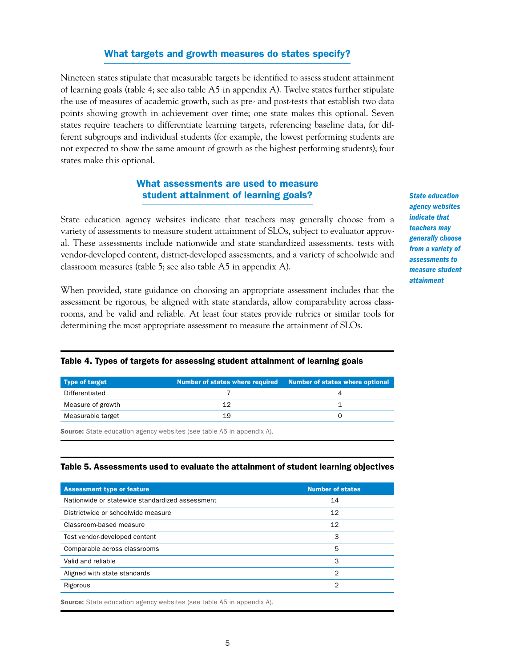#### What targets and growth measures do states specify?

Nineteen states stipulate that measurable targets be identified to assess student attainment of learning goals (table 4; see also table A5 in appendix A). Twelve states further stipulate the use of measures of academic growth, such as pre- and post-tests that establish two data points showing growth in achievement over time; one state makes this optional. Seven states require teachers to differentiate learning targets, referencing baseline data, for different subgroups and individual students (for example, the lowest performing students are not expected to show the same amount of growth as the highest performing students); four states make this optional.

#### What assessments are used to measure student attainment of learning goals?

State education agency websites indicate that teachers may generally choose from a variety of assessments to measure student attainment of SLOs, subject to evaluator approval. These assessments include nationwide and state standardized assessments, tests with vendor- developed content, district-developed assessments, and a variety of schoolwide and classroom measures (table 5; see also table A5 in appendix A).

When provided, state guidance on choosing an appropriate assessment includes that the assessment be rigorous, be aligned with state standards, allow comparability across classrooms, and be valid and reliable. At least four states provide rubrics or similar tools for determining the most appropriate assessment to measure the attainment of SLOs.

*state education agency websites indicate that teachers may generally choose from a variety of assessments to measure student attainment*

#### Table 4. Types of targets for assessing student attainment of learning goals

| Type of target    |    | Number of states where required Number of states where optional |
|-------------------|----|-----------------------------------------------------------------|
| Differentiated    |    |                                                                 |
| Measure of growth |    |                                                                 |
| Measurable target | 19 |                                                                 |

Source: State education agency websites (see table A5 in appendix A).

#### Table 5. Assessments used to evaluate the attainment of student learning objectives

| <b>Assessment type or feature</b>               | <b>Number of states</b> |
|-------------------------------------------------|-------------------------|
| Nationwide or statewide standardized assessment | 14                      |
| Districtwide or schoolwide measure              | 12                      |
| Classroom-based measure                         | 12                      |
| Test vendor-developed content                   | 3                       |
| Comparable across classrooms                    | 5                       |
| Valid and reliable                              | 3                       |
| Aligned with state standards                    | っ                       |
| Rigorous                                        | 2                       |
|                                                 |                         |

Source: State education agency websites (see table A5 in appendix A).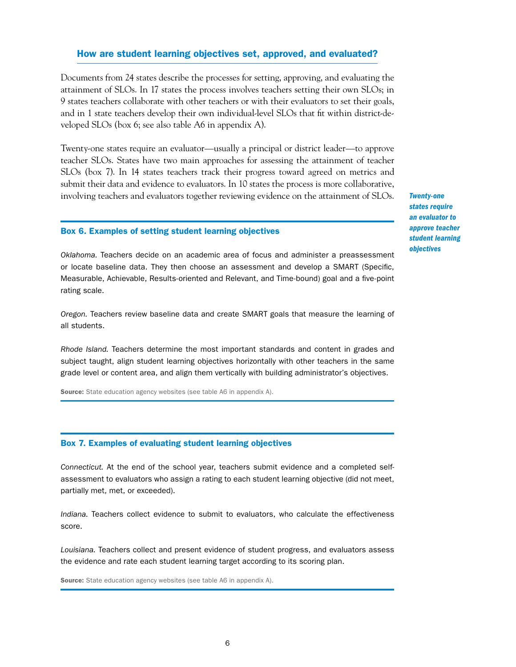#### How are student learning objectives set, approved, and evaluated?

Documents from 24 states describe the processes for setting, approving, and evaluating the attainment of SLOs. In 17 states the process involves teachers setting their own SLOs; in 9 states teachers collaborate with other teachers or with their evaluators to set their goals, and in 1 state teachers develop their own individual-level SLOs that fit within district-developed SLOs (box 6; see also table A6 in appendix A).

Twenty-one states require an evaluator—usually a principal or district leader—to approve teacher SLOs. States have two main approaches for assessing the attainment of teacher SLOs (box 7). In 14 states teachers track their progress toward agreed on metrics and submit their data and evidence to evaluators. In 10 states the process is more collaborative, involving teachers and evaluators together reviewing evidence on the attainment of SLOs.

#### Box 6. Examples of setting student learning objectives

*Oklahoma.* Teachers decide on an academic area of focus and administer a preassessment or locate baseline data. They then choose an assessment and develop a SMART (Specific, Measurable, Achievable, Results-oriented and Relevant, and Time-bound) goal and a five-point rating scale.

*Oregon.* Teachers review baseline data and create SMART goals that measure the learning of all students.

*Rhode Island.* Teachers determine the most important standards and content in grades and subject taught, align student learning objectives horizontally with other teachers in the same grade level or content area, and align them vertically with building administrator's objectives.

**Source:** State education agency websites (see table A6 in appendix A).

#### Box 7. Examples of evaluating student learning objectives

*Connecticut.* At the end of the school year, teachers submit evidence and a completed selfassessment to evaluators who assign a rating to each student learning objective (did not meet, partially met, met, or exceeded).

*Indiana.* Teachers collect evidence to submit to evaluators, who calculate the effectiveness score.

*Louisiana.* Teachers collect and present evidence of student progress, and evaluators assess the evidence and rate each student learning target according to its scoring plan.

Source: State education agency websites (see table A6 in appendix A).

*Twenty-one states require an evaluator to approve teacher student learning objectives*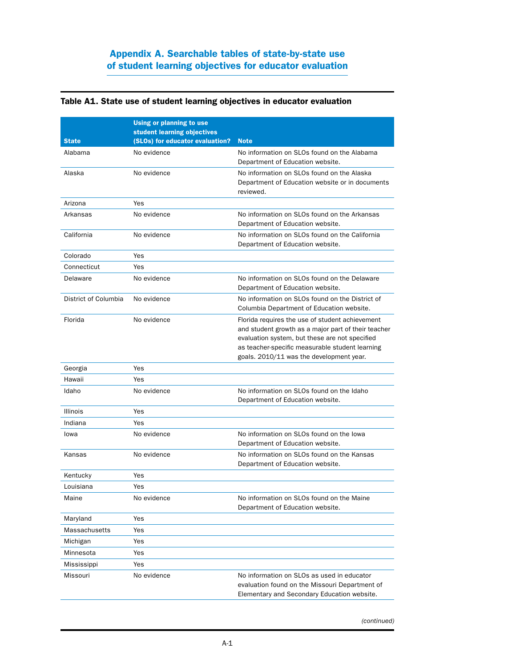# Appendix A. Searchable tables of state-by-state use of student learning objectives for educator evaluation

#### Table A1. State use of student learning objectives in educator evaluation

|                      | Using or planning to use                                       |                                                                                                                                                                                                                                                         |
|----------------------|----------------------------------------------------------------|---------------------------------------------------------------------------------------------------------------------------------------------------------------------------------------------------------------------------------------------------------|
| <b>State</b>         | student learning objectives<br>(SLOs) for educator evaluation? | <b>Note</b>                                                                                                                                                                                                                                             |
| Alabama              | No evidence                                                    | No information on SLOs found on the Alabama                                                                                                                                                                                                             |
|                      |                                                                | Department of Education website.                                                                                                                                                                                                                        |
| Alaska               | No evidence                                                    | No information on SLOs found on the Alaska                                                                                                                                                                                                              |
|                      |                                                                | Department of Education website or in documents                                                                                                                                                                                                         |
|                      |                                                                | reviewed.                                                                                                                                                                                                                                               |
| Arizona              | Yes                                                            | No information on SLOs found on the Arkansas                                                                                                                                                                                                            |
| Arkansas             | No evidence                                                    | Department of Education website.                                                                                                                                                                                                                        |
| California           | No evidence                                                    | No information on SLOs found on the California<br>Department of Education website.                                                                                                                                                                      |
| Colorado             | Yes                                                            |                                                                                                                                                                                                                                                         |
| Connecticut          | Yes                                                            |                                                                                                                                                                                                                                                         |
| Delaware             | No evidence                                                    | No information on SLOs found on the Delaware<br>Department of Education website.                                                                                                                                                                        |
| District of Columbia | No evidence                                                    | No information on SLOs found on the District of<br>Columbia Department of Education website.                                                                                                                                                            |
| Florida              | No evidence                                                    | Florida requires the use of student achievement<br>and student growth as a major part of their teacher<br>evaluation system, but these are not specified<br>as teacher-specific measurable student learning<br>goals. 2010/11 was the development year. |
| Georgia              | Yes                                                            |                                                                                                                                                                                                                                                         |
| Hawaii               | Yes                                                            |                                                                                                                                                                                                                                                         |
| Idaho                | No evidence                                                    | No information on SLOs found on the Idaho<br>Department of Education website.                                                                                                                                                                           |
| <b>Illinois</b>      | Yes                                                            |                                                                                                                                                                                                                                                         |
| Indiana              | Yes                                                            |                                                                                                                                                                                                                                                         |
| lowa                 | No evidence                                                    | No information on SLOs found on the lowa<br>Department of Education website.                                                                                                                                                                            |
| Kansas               | No evidence                                                    | No information on SLOs found on the Kansas<br>Department of Education website.                                                                                                                                                                          |
| Kentucky             | Yes                                                            |                                                                                                                                                                                                                                                         |
| Louisiana            | Yes                                                            |                                                                                                                                                                                                                                                         |
| Maine                | No evidence                                                    | No information on SLOs found on the Maine<br>Department of Education website.                                                                                                                                                                           |
| Maryland             | Yes                                                            |                                                                                                                                                                                                                                                         |
| Massachusetts        | Yes                                                            |                                                                                                                                                                                                                                                         |
| Michigan             | Yes                                                            |                                                                                                                                                                                                                                                         |
| Minnesota            | Yes                                                            |                                                                                                                                                                                                                                                         |
| Mississippi          | Yes                                                            |                                                                                                                                                                                                                                                         |
| Missouri             | No evidence                                                    | No information on SLOs as used in educator                                                                                                                                                                                                              |
|                      |                                                                | evaluation found on the Missouri Department of<br>Elementary and Secondary Education website.                                                                                                                                                           |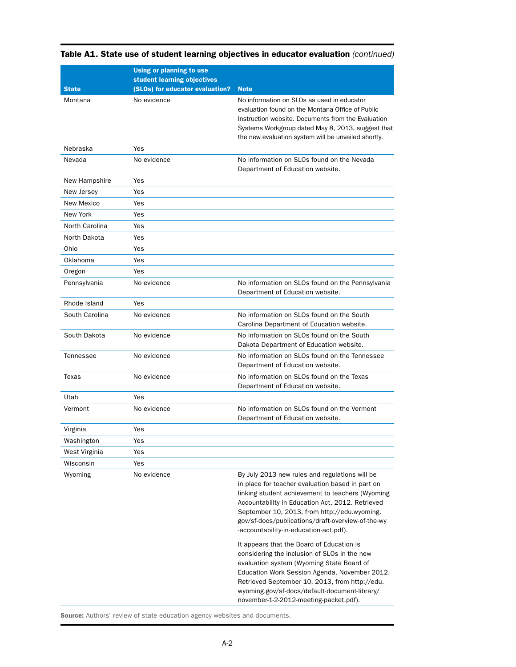|                | Using or planning to use<br>student learning objectives |                                                                                                                                                                                                                                                                                                                                                           |
|----------------|---------------------------------------------------------|-----------------------------------------------------------------------------------------------------------------------------------------------------------------------------------------------------------------------------------------------------------------------------------------------------------------------------------------------------------|
| <b>State</b>   | (SLOs) for educator evaluation?                         | <b>Note</b>                                                                                                                                                                                                                                                                                                                                               |
| Montana        | No evidence                                             | No information on SLOs as used in educator<br>evaluation found on the Montana Office of Public<br>Instruction website. Documents from the Evaluation<br>Systems Workgroup dated May 8, 2013, suggest that<br>the new evaluation system will be unveiled shortly.                                                                                          |
| Nebraska       | Yes                                                     |                                                                                                                                                                                                                                                                                                                                                           |
| Nevada         | No evidence                                             | No information on SLOs found on the Nevada<br>Department of Education website.                                                                                                                                                                                                                                                                            |
| New Hampshire  | Yes                                                     |                                                                                                                                                                                                                                                                                                                                                           |
| New Jersey     | Yes                                                     |                                                                                                                                                                                                                                                                                                                                                           |
| New Mexico     | Yes                                                     |                                                                                                                                                                                                                                                                                                                                                           |
| New York       | Yes                                                     |                                                                                                                                                                                                                                                                                                                                                           |
| North Carolina | Yes                                                     |                                                                                                                                                                                                                                                                                                                                                           |
| North Dakota   | Yes                                                     |                                                                                                                                                                                                                                                                                                                                                           |
| Ohio           | Yes                                                     |                                                                                                                                                                                                                                                                                                                                                           |
| Oklahoma       | Yes                                                     |                                                                                                                                                                                                                                                                                                                                                           |
| Oregon         | Yes                                                     |                                                                                                                                                                                                                                                                                                                                                           |
| Pennsylvania   | No evidence                                             | No information on SLOs found on the Pennsylvania<br>Department of Education website.                                                                                                                                                                                                                                                                      |
| Rhode Island   | Yes                                                     |                                                                                                                                                                                                                                                                                                                                                           |
| South Carolina | No evidence                                             | No information on SLOs found on the South<br>Carolina Department of Education website.                                                                                                                                                                                                                                                                    |
| South Dakota   | No evidence                                             | No information on SLOs found on the South<br>Dakota Department of Education website.                                                                                                                                                                                                                                                                      |
| Tennessee      | No evidence                                             | No information on SLOs found on the Tennessee<br>Department of Education website.                                                                                                                                                                                                                                                                         |
| Texas          | No evidence                                             | No information on SLOs found on the Texas<br>Department of Education website.                                                                                                                                                                                                                                                                             |
| Utah           | Yes                                                     |                                                                                                                                                                                                                                                                                                                                                           |
| Vermont        | No evidence                                             | No information on SLOs found on the Vermont<br>Department of Education website.                                                                                                                                                                                                                                                                           |
| Virginia       | Yes                                                     |                                                                                                                                                                                                                                                                                                                                                           |
| Washington     | Yes                                                     |                                                                                                                                                                                                                                                                                                                                                           |
| West Virginia  | Yes                                                     |                                                                                                                                                                                                                                                                                                                                                           |
| Wisconsin      | Yes                                                     |                                                                                                                                                                                                                                                                                                                                                           |
| Wyoming        | No evidence                                             | By July 2013 new rules and regulations will be<br>in place for teacher evaluation based in part on<br>linking student achievement to teachers (Wyoming<br>Accountability in Education Act, 2012. Retrieved<br>September 10, 2013, from http://edu.wyoming.<br>gov/sf-docs/publications/draft-overview-of-the-wy<br>-accountability-in-education-act.pdf). |
|                |                                                         | It appears that the Board of Education is<br>considering the inclusion of SLOs in the new<br>evaluation system (Wyoming State Board of<br>Education Work Session Agenda, November 2012.<br>Retrieved September 10, 2013, from http://edu.<br>wyoming.gov/sf-docs/default-document-library/<br>november-1-2-2012-meeting-packet.pdf).                      |

# Table A1. State use of student learning objectives in educator evaluation *(continued)*

Source: Authors' review of state education agency websites and documents.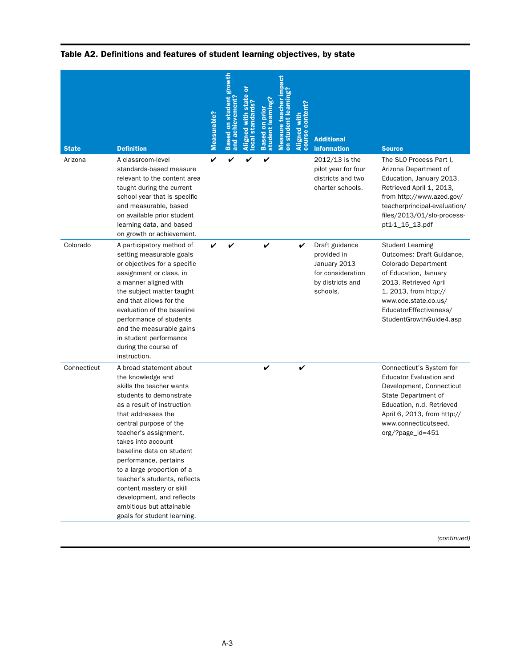| <b>State</b> | <b>Definition</b>                                                                                                                                                                                                                                                                                                                                                                                                                                                       | Measurable? | Based on student growth<br>ement<br>and achiev | ō<br>standards?<br>$\overline{1}$ | earnin<br>ā<br><b>student</b><br><b>Based</b> | on student learning<br>cher<br>easure | Aligned with<br>course content? | <b>Additional</b><br><b>information</b>                                                            | <b>Source</b>                                                                                                                                                                                                                       |
|--------------|-------------------------------------------------------------------------------------------------------------------------------------------------------------------------------------------------------------------------------------------------------------------------------------------------------------------------------------------------------------------------------------------------------------------------------------------------------------------------|-------------|------------------------------------------------|-----------------------------------|-----------------------------------------------|---------------------------------------|---------------------------------|----------------------------------------------------------------------------------------------------|-------------------------------------------------------------------------------------------------------------------------------------------------------------------------------------------------------------------------------------|
| Arizona      | A classroom-level<br>standards-based measure<br>relevant to the content area<br>taught during the current<br>school year that is specific<br>and measurable, based<br>on available prior student<br>learning data, and based<br>on growth or achievement.                                                                                                                                                                                                               | V           |                                                |                                   | V                                             |                                       |                                 | 2012/13 is the<br>pilot year for four<br>districts and two<br>charter schools.                     | The SLO Process Part I,<br>Arizona Department of<br>Education, January 2013.<br>Retrieved April 1, 2013,<br>from http://www.azed.gov/<br>teacherprincipal-evaluation/<br>files/2013/01/slo-process-<br>pt1-1_15_13.pdf              |
| Colorado     | A participatory method of<br>setting measurable goals<br>or objectives for a specific<br>assignment or class, in<br>a manner aligned with<br>the subject matter taught<br>and that allows for the<br>evaluation of the baseline<br>performance of students<br>and the measurable gains<br>in student performance<br>during the course of<br>instruction.                                                                                                                | V           | V                                              |                                   | V                                             |                                       | V                               | Draft guidance<br>provided in<br>January 2013<br>for consideration<br>by districts and<br>schools. | <b>Student Learning</b><br>Outcomes: Draft Guidance,<br>Colorado Department<br>of Education, January<br>2013. Retrieved April<br>1, 2013, from http://<br>www.cde.state.co.us/<br>EducatorEffectiveness/<br>StudentGrowthGuide4.asp |
| Connecticut  | A broad statement about<br>the knowledge and<br>skills the teacher wants<br>students to demonstrate<br>as a result of instruction<br>that addresses the<br>central purpose of the<br>teacher's assignment,<br>takes into account<br>baseline data on student<br>performance, pertains<br>to a large proportion of a<br>teacher's students, reflects<br>content mastery or skill<br>development, and reflects<br>ambitious but attainable<br>goals for student learning. |             |                                                |                                   | V                                             |                                       | V                               |                                                                                                    | Connecticut's System for<br><b>Educator Evaluation and</b><br>Development, Connecticut<br>State Department of<br>Education, n.d. Retrieved<br>April 6, 2013, from http://<br>www.connecticutseed.<br>org/?page_id=451               |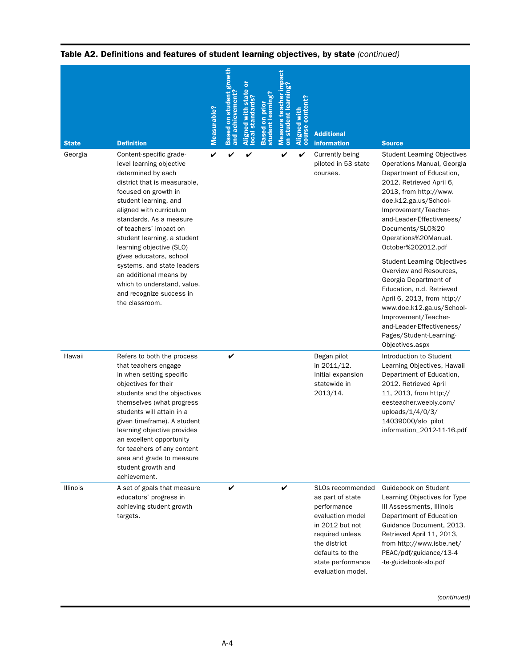| <b>State</b><br>Georgia | <b>Definition</b><br>Content-specific grade-<br>level learning objective<br>determined by each<br>district that is measurable,<br>focused on growth in<br>student learning, and<br>aligned with curriculum<br>standards. As a measure<br>of teachers' impact on                                                                                                                             | Measurable?<br>V | growth<br>student<br>and achievement<br>sed<br>✓ | V | student learning' | cher<br><b>Measure</b><br>stud<br>✓ | course content?<br>Aligned<br>V | <b>Additional</b><br><b>information</b><br>Currently being<br>piloted in 53 state<br>courses.                                                                                              | <b>Source</b><br><b>Student Learning Objectives</b><br>Operations Manual, Georgia<br>Department of Education,<br>2012. Retrieved April 6,<br>2013, from http://www.<br>doe.k12.ga.us/School-<br>Improvement/Teacher-<br>and-Leader-Effectiveness/<br>Documents/SL0%20                                                            |
|-------------------------|---------------------------------------------------------------------------------------------------------------------------------------------------------------------------------------------------------------------------------------------------------------------------------------------------------------------------------------------------------------------------------------------|------------------|--------------------------------------------------|---|-------------------|-------------------------------------|---------------------------------|--------------------------------------------------------------------------------------------------------------------------------------------------------------------------------------------|----------------------------------------------------------------------------------------------------------------------------------------------------------------------------------------------------------------------------------------------------------------------------------------------------------------------------------|
|                         | student learning, a student<br>learning objective (SLO)<br>gives educators, school<br>systems, and state leaders<br>an additional means by<br>which to understand, value,<br>and recognize success in<br>the classroom.                                                                                                                                                                     |                  |                                                  |   |                   |                                     |                                 |                                                                                                                                                                                            | Operations%20Manual.<br>October%202012.pdf<br><b>Student Learning Objectives</b><br>Overview and Resources,<br>Georgia Department of<br>Education, n.d. Retrieved<br>April 6, 2013, from http://<br>www.doe.k12.ga.us/School-<br>Improvement/Teacher-<br>and-Leader-Effectiveness/<br>Pages/Student-Learning-<br>Objectives.aspx |
| Hawaii                  | Refers to both the process<br>that teachers engage<br>in when setting specific<br>objectives for their<br>students and the objectives<br>themselves (what progress<br>students will attain in a<br>given timeframe). A student<br>learning objective provides<br>an excellent opportunity<br>for teachers of any content<br>area and grade to measure<br>student growth and<br>achievement. |                  | V                                                |   |                   |                                     |                                 | Began pilot<br>in 2011/12.<br>Initial expansion<br>statewide in<br>2013/14.                                                                                                                | Introduction to Student<br>Learning Objectives, Hawaii<br>Department of Education,<br>2012. Retrieved April<br>11, 2013, from http://<br>eesteacher.weebly.com/<br>uploads/1/4/0/3/<br>14039000/slo_pilot_<br>information_2012-11-16.pdf                                                                                         |
| <b>Illinois</b>         | A set of goals that measure<br>educators' progress in<br>achieving student growth<br>targets.                                                                                                                                                                                                                                                                                               |                  | V                                                |   |                   | V                                   |                                 | SLOs recommended<br>as part of state<br>performance<br>evaluation model<br>in 2012 but not<br>required unless<br>the district<br>defaults to the<br>state performance<br>evaluation model. | Guidebook on Student<br>Learning Objectives for Type<br>III Assessments, Illinois<br>Department of Education<br>Guidance Document, 2013.<br>Retrieved April 11, 2013,<br>from http://www.isbe.net/<br>PEAC/pdf/guidance/13-4<br>-te-guidebook-slo.pdf                                                                            |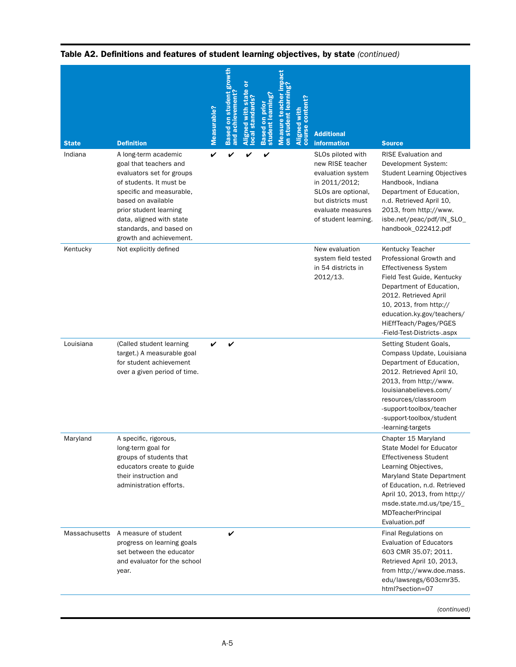|                         |                                                                                                                                                                                                                                                                                           | Measurable? | <b>Based on student growth</b><br>and achievement | ō<br>ate<br>ocal standards?<br>5<br>with<br>gned | student learning?<br>Ē<br>S<br><b>Based</b> | on student<br><b>Measure</b> | <b>content?</b><br>Aligned with<br>cour: | <b>Additional</b>                                                                                                                                                                          |                                                                                                                                                                                                                                                                                        |
|-------------------------|-------------------------------------------------------------------------------------------------------------------------------------------------------------------------------------------------------------------------------------------------------------------------------------------|-------------|---------------------------------------------------|--------------------------------------------------|---------------------------------------------|------------------------------|------------------------------------------|--------------------------------------------------------------------------------------------------------------------------------------------------------------------------------------------|----------------------------------------------------------------------------------------------------------------------------------------------------------------------------------------------------------------------------------------------------------------------------------------|
| <b>State</b><br>Indiana | <b>Definition</b><br>A long-term academic<br>goal that teachers and<br>evaluators set for groups<br>of students. It must be<br>specific and measurable,<br>based on available<br>prior student learning<br>data, aligned with state<br>standards, and based on<br>growth and achievement. | V           |                                                   | V                                                | V                                           |                              |                                          | <b>information</b><br>SLOs piloted with<br>new RISE teacher<br>evaluation system<br>in 2011/2012;<br>SLOs are optional,<br>but districts must<br>evaluate measures<br>of student learning. | <b>Source</b><br><b>RISE Evaluation and</b><br>Development System:<br><b>Student Learning Objectives</b><br>Handbook, Indiana<br>Department of Education,<br>n.d. Retrieved April 10,<br>2013, from http://www.<br>isbe.net/peac/pdf/IN_SLO_<br>handbook_022412.pdf                    |
| Kentucky                | Not explicitly defined                                                                                                                                                                                                                                                                    |             |                                                   |                                                  |                                             |                              |                                          | New evaluation<br>system field tested<br>in 54 districts in<br>2012/13.                                                                                                                    | Kentucky Teacher<br>Professional Growth and<br><b>Effectiveness System</b><br>Field Test Guide, Kentucky<br>Department of Education,<br>2012. Retrieved April<br>10, 2013, from http://<br>education.ky.gov/teachers/<br>HiEffTeach/Pages/PGES<br>-Field-Test-Districts-.aspx          |
| Louisiana               | (Called student learning<br>target.) A measurable goal<br>for student achievement<br>over a given period of time.                                                                                                                                                                         | ✓           | V                                                 |                                                  |                                             |                              |                                          |                                                                                                                                                                                            | Setting Student Goals,<br>Compass Update, Louisiana<br>Department of Education,<br>2012. Retrieved April 10,<br>2013, from http://www.<br>louisianabelieves.com/<br>resources/classroom<br>-support-toolbox/teacher<br>-support-toolbox/student<br>-learning-targets                   |
| Maryland                | A specific, rigorous,<br>long-term goal for<br>groups of students that<br>educators create to guide<br>their instruction and<br>administration efforts.                                                                                                                                   |             |                                                   |                                                  |                                             |                              |                                          |                                                                                                                                                                                            | Chapter 15 Maryland<br><b>State Model for Educator</b><br><b>Effectiveness Student</b><br>Learning Objectives,<br>Maryland State Department<br>of Education, n.d. Retrieved<br>April 10, 2013, from http://<br>msde.state.md.us/tpe/15_<br><b>MDTeacherPrincipal</b><br>Evaluation.pdf |
| Massachusetts           | A measure of student<br>progress on learning goals<br>set between the educator<br>and evaluator for the school<br>year.                                                                                                                                                                   |             | V                                                 |                                                  |                                             |                              |                                          |                                                                                                                                                                                            | Final Regulations on<br><b>Evaluation of Educators</b><br>603 CMR 35.07; 2011.<br>Retrieved April 10, 2013,<br>from http://www.doe.mass.<br>edu/lawsregs/603cmr35.<br>html?section=07                                                                                                  |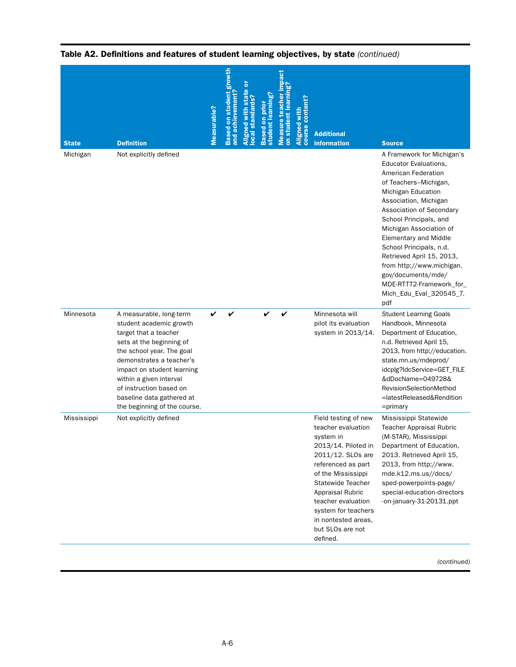| <b>State</b> | <b>Definition</b>                                                                                                                                                                                                                                                                                                 | Measurable? | Based on student growth<br>and achievement | standards<br>$\overline{0}$ cal | student learnin<br><b>Based</b> | teach<br>on student lea<br>easure | content?<br><b>Aligned wit</b><br>course | <b>Additional</b><br><b>information</b>                                                                                                                                                                                                                                                             | <b>Source</b>                                                                                                                                                                                                                                                                                                                                                                                                                                       |
|--------------|-------------------------------------------------------------------------------------------------------------------------------------------------------------------------------------------------------------------------------------------------------------------------------------------------------------------|-------------|--------------------------------------------|---------------------------------|---------------------------------|-----------------------------------|------------------------------------------|-----------------------------------------------------------------------------------------------------------------------------------------------------------------------------------------------------------------------------------------------------------------------------------------------------|-----------------------------------------------------------------------------------------------------------------------------------------------------------------------------------------------------------------------------------------------------------------------------------------------------------------------------------------------------------------------------------------------------------------------------------------------------|
| Michigan     | Not explicitly defined                                                                                                                                                                                                                                                                                            |             |                                            |                                 |                                 |                                   |                                          |                                                                                                                                                                                                                                                                                                     | A Framework for Michigan's<br><b>Educator Evaluations,</b><br>American Federation<br>of Teachers-Michigan,<br>Michigan Education<br>Association, Michigan<br>Association of Secondary<br>School Principals, and<br>Michigan Association of<br><b>Elementary and Middle</b><br>School Principals, n.d.<br>Retrieved April 15, 2013,<br>from http://www.michigan.<br>gov/documents/mde/<br>MDE-RTTT2-Framework_for_<br>Mich_Edu_Eval_320545_7.<br>pdf |
| Minnesota    | A measurable, long-term<br>student academic growth<br>target that a teacher<br>sets at the beginning of<br>the school year. The goal<br>demonstrates a teacher's<br>impact on student learning<br>within a given interval<br>of instruction based on<br>baseline data gathered at<br>the beginning of the course. | ✓           |                                            |                                 |                                 |                                   |                                          | Minnesota will<br>pilot its evaluation<br>system in 2013/14.                                                                                                                                                                                                                                        | <b>Student Learning Goals</b><br>Handbook, Minnesota<br>Department of Education,<br>n.d. Retrieved April 15,<br>2013, from http://education.<br>state.mn.us/mdeprod/<br>idcplg?ldcService=GET_FILE<br>&dDocName=049728&<br>RevisionSelectionMethod<br>=latestReleased&Rendition<br>$=$ primary                                                                                                                                                      |
| Mississippi  | Not explicitly defined                                                                                                                                                                                                                                                                                            |             |                                            |                                 |                                 |                                   |                                          | Field testing of new<br>teacher evaluation<br>system in<br>2013/14. Piloted in<br>2011/12. SLOs are<br>referenced as part<br>of the Mississippi<br>Statewide Teacher<br><b>Appraisal Rubric</b><br>teacher evaluation<br>system for teachers<br>in nontested areas,<br>but SLOs are not<br>defined. | Mississippi Statewide<br><b>Teacher Appraisal Rubric</b><br>(M-STAR), Mississippi<br>Department of Education,<br>2013. Retrieved April 15,<br>2013, from http://www.<br>mde.k12.ms.us//docs/<br>sped-powerpoints-page/<br>special-education-directors<br>-on-january-31-20131.ppt                                                                                                                                                                   |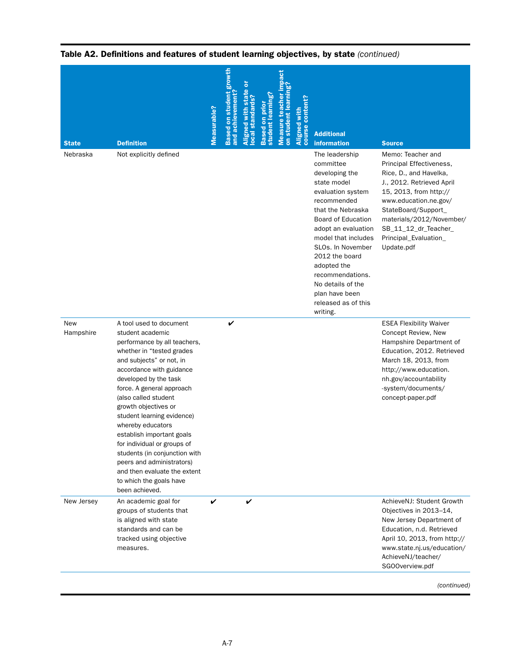| <b>State</b>            | <b>Definition</b>                                                                                                                                                                                                                                                                                                                                                                                                                                                                                                                | Measurable? | Based on student growth<br>and achievement | ō<br><b>ocal standards?</b><br>gned | student learning<br>ã<br><b>Based</b> | on student learning?<br>Measure teach | content?<br>Aligned with<br>course | <b>Additional</b><br><b>information</b>                                                                                                                                                                                                                                                                                                              | <b>Source</b>                                                                                                                                                                                                                                                             |
|-------------------------|----------------------------------------------------------------------------------------------------------------------------------------------------------------------------------------------------------------------------------------------------------------------------------------------------------------------------------------------------------------------------------------------------------------------------------------------------------------------------------------------------------------------------------|-------------|--------------------------------------------|-------------------------------------|---------------------------------------|---------------------------------------|------------------------------------|------------------------------------------------------------------------------------------------------------------------------------------------------------------------------------------------------------------------------------------------------------------------------------------------------------------------------------------------------|---------------------------------------------------------------------------------------------------------------------------------------------------------------------------------------------------------------------------------------------------------------------------|
| Nebraska                | Not explicitly defined                                                                                                                                                                                                                                                                                                                                                                                                                                                                                                           |             |                                            |                                     |                                       |                                       |                                    | The leadership<br>committee<br>developing the<br>state model<br>evaluation system<br>recommended<br>that the Nebraska<br><b>Board of Education</b><br>adopt an evaluation<br>model that includes<br>SLOs. In November<br>2012 the board<br>adopted the<br>recommendations.<br>No details of the<br>plan have been<br>released as of this<br>writing. | Memo: Teacher and<br>Principal Effectiveness,<br>Rice, D., and Havelka,<br>J., 2012. Retrieved April<br>15, 2013, from http://<br>www.education.ne.gov/<br>StateBoard/Support_<br>materials/2012/November/<br>SB_11_12_dr_Teacher_<br>Principal_Evaluation_<br>Update.pdf |
| <b>New</b><br>Hampshire | A tool used to document<br>student academic<br>performance by all teachers,<br>whether in "tested grades<br>and subjects" or not, in<br>accordance with guidance<br>developed by the task<br>force. A general approach<br>(also called student<br>growth objectives or<br>student learning evidence)<br>whereby educators<br>establish important goals<br>for individual or groups of<br>students (in conjunction with<br>peers and administrators)<br>and then evaluate the extent<br>to which the goals have<br>been achieved. |             | V                                          |                                     |                                       |                                       |                                    |                                                                                                                                                                                                                                                                                                                                                      | <b>ESEA Flexibility Waiver</b><br>Concept Review, New<br>Hampshire Department of<br>Education, 2012. Retrieved<br>March 18, 2013, from<br>http://www.education.<br>nh.gov/accountability<br>-system/documents/<br>concept-paper.pdf                                       |
| New Jersey              | An academic goal for<br>groups of students that<br>is aligned with state<br>standards and can be<br>tracked using objective<br>measures.                                                                                                                                                                                                                                                                                                                                                                                         | V           |                                            | V                                   |                                       |                                       |                                    |                                                                                                                                                                                                                                                                                                                                                      | AchieveNJ: Student Growth<br>Objectives in 2013-14,<br>New Jersey Department of<br>Education, n.d. Retrieved<br>April 10, 2013, from http://<br>www.state.nj.us/education/<br>AchieveNJ/teacher/<br>SGOOverview.pdf                                                       |
|                         |                                                                                                                                                                                                                                                                                                                                                                                                                                                                                                                                  |             |                                            |                                     |                                       |                                       |                                    |                                                                                                                                                                                                                                                                                                                                                      | (continued)                                                                                                                                                                                                                                                               |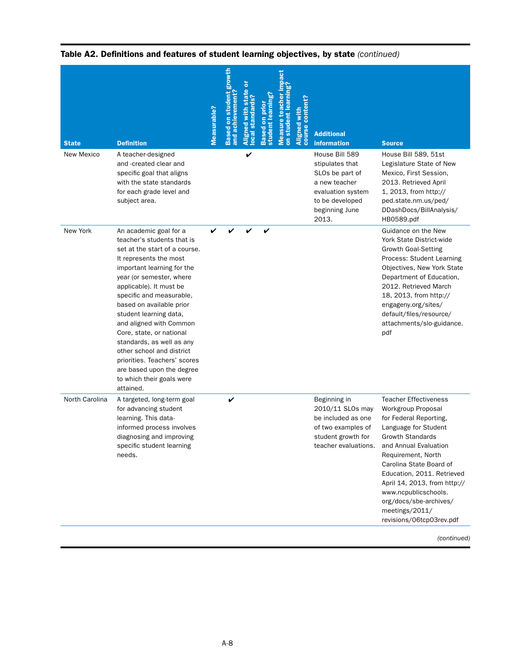| <b>State</b>   | <b>Definition</b>                                                                                                                                                                                                                                                                                                                                                                                                                                                                                              | Measurable? | <b>Based on student growth</b><br>and achievement? | ō<br>state<br>standards?<br>with<br>gmed | earnin<br>prio<br>student<br><b>Based</b> | student learning<br>teacher<br>easure<br>$\overline{\delta}$ | conte<br>Aligned with<br>course conte | <b>Additional</b><br>information                                                                                                         | <b>Source</b>                                                                                                                                                                                                                                                                                                                                                                          |
|----------------|----------------------------------------------------------------------------------------------------------------------------------------------------------------------------------------------------------------------------------------------------------------------------------------------------------------------------------------------------------------------------------------------------------------------------------------------------------------------------------------------------------------|-------------|----------------------------------------------------|------------------------------------------|-------------------------------------------|--------------------------------------------------------------|---------------------------------------|------------------------------------------------------------------------------------------------------------------------------------------|----------------------------------------------------------------------------------------------------------------------------------------------------------------------------------------------------------------------------------------------------------------------------------------------------------------------------------------------------------------------------------------|
| New Mexico     | A teacher-designed<br>and -created clear and<br>specific goal that aligns<br>with the state standards<br>for each grade level and<br>subject area.                                                                                                                                                                                                                                                                                                                                                             |             |                                                    | V                                        |                                           |                                                              |                                       | House Bill 589<br>stipulates that<br>SLOs be part of<br>a new teacher<br>evaluation system<br>to be developed<br>beginning June<br>2013. | House Bill 589, 51st<br>Legislature State of New<br>Mexico, First Session,<br>2013. Retrieved April<br>1, 2013, from http://<br>ped.state.nm.us/ped/<br>DDashDocs/BillAnalysis/<br>HB0589.pdf                                                                                                                                                                                          |
| New York       | An academic goal for a<br>teacher's students that is<br>set at the start of a course.<br>It represents the most<br>important learning for the<br>year (or semester, where<br>applicable). It must be<br>specific and measurable,<br>based on available prior<br>student learning data,<br>and aligned with Common<br>Core, state, or national<br>standards, as well as any<br>other school and district<br>priorities. Teachers' scores<br>are based upon the degree<br>to which their goals were<br>attained. | ✔           |                                                    |                                          | V                                         |                                                              |                                       |                                                                                                                                          | Guidance on the New<br>York State District-wide<br><b>Growth Goal-Setting</b><br>Process: Student Learning<br>Objectives, New York State<br>Department of Education,<br>2012. Retrieved March<br>18, 2013, from http://<br>engageny.org/sites/<br>default/files/resource/<br>attachments/slo-guidance.<br>pdf                                                                          |
| North Carolina | A targeted, long-term goal<br>for advancing student<br>learning. This data-<br>informed process involves<br>diagnosing and improving<br>specific student learning<br>needs.                                                                                                                                                                                                                                                                                                                                    |             | V                                                  |                                          |                                           |                                                              |                                       | Beginning in<br>2010/11 SLOs may<br>be included as one<br>of two examples of<br>student growth for<br>teacher evaluations.               | <b>Teacher Effectiveness</b><br>Workgroup Proposal<br>for Federal Reporting,<br>Language for Student<br><b>Growth Standards</b><br>and Annual Evaluation<br>Requirement, North<br>Carolina State Board of<br>Education, 2011. Retrieved<br>April 14, 2013, from http://<br>www.ncpublicschools.<br>org/docs/sbe-archives/<br>meetings/2011/<br>revisions/06tcp03rev.pdf<br>(continued) |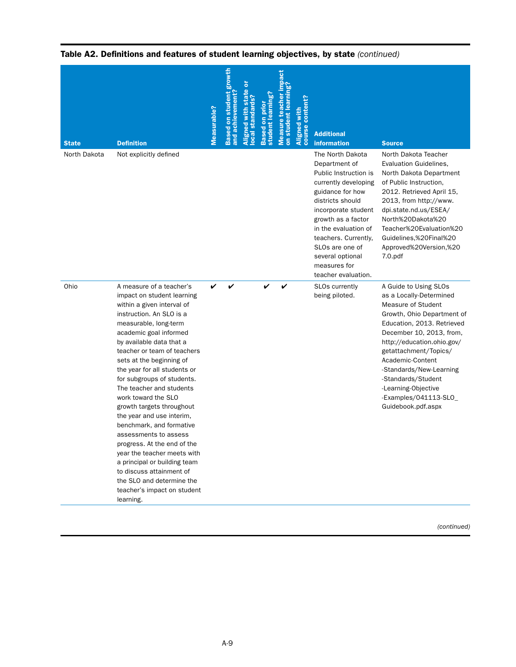| <b>State</b> | <b>Definition</b>                                                                                                                                                                                                                                                                                                                                                                                                                                                                                                                                                                                                                                                                             | Measurable? | on student growth<br>and achievement<br><b>Based</b> | standards | learnin<br>prio<br>student<br><b>Based</b> | teacher<br>on student learni<br>easure | content?<br>Aligned with<br>course | <b>Additional</b><br><b>information</b>                                                                                                                                                                                                                                                                           | <b>Source</b>                                                                                                                                                                                                                                                                                                                                                    |
|--------------|-----------------------------------------------------------------------------------------------------------------------------------------------------------------------------------------------------------------------------------------------------------------------------------------------------------------------------------------------------------------------------------------------------------------------------------------------------------------------------------------------------------------------------------------------------------------------------------------------------------------------------------------------------------------------------------------------|-------------|------------------------------------------------------|-----------|--------------------------------------------|----------------------------------------|------------------------------------|-------------------------------------------------------------------------------------------------------------------------------------------------------------------------------------------------------------------------------------------------------------------------------------------------------------------|------------------------------------------------------------------------------------------------------------------------------------------------------------------------------------------------------------------------------------------------------------------------------------------------------------------------------------------------------------------|
| North Dakota | Not explicitly defined                                                                                                                                                                                                                                                                                                                                                                                                                                                                                                                                                                                                                                                                        |             |                                                      |           |                                            |                                        |                                    | The North Dakota<br>Department of<br>Public Instruction is<br>currently developing<br>guidance for how<br>districts should<br>incorporate student<br>growth as a factor<br>in the evaluation of<br>teachers. Currently,<br>SLO <sub>s</sub> are one of<br>several optional<br>measures for<br>teacher evaluation. | North Dakota Teacher<br>Evaluation Guidelines,<br>North Dakota Department<br>of Public Instruction,<br>2012. Retrieved April 15,<br>2013, from http://www.<br>dpi.state.nd.us/ESEA/<br>North%20Dakota%20<br>Teacher%20Evaluation%20<br>Guidelines,%20Final%20<br>Approved%20Version,%20<br>7.0.pdf                                                               |
| Ohio         | A measure of a teacher's<br>impact on student learning<br>within a given interval of<br>instruction. An SLO is a<br>measurable, long-term<br>academic goal informed<br>by available data that a<br>teacher or team of teachers<br>sets at the beginning of<br>the year for all students or<br>for subgroups of students.<br>The teacher and students<br>work toward the SLO<br>growth targets throughout<br>the year and use interim,<br>benchmark, and formative<br>assessments to assess<br>progress. At the end of the<br>year the teacher meets with<br>a principal or building team<br>to discuss attainment of<br>the SLO and determine the<br>teacher's impact on student<br>learning. | V           |                                                      |           |                                            |                                        |                                    | <b>SLOs currently</b><br>being piloted.                                                                                                                                                                                                                                                                           | A Guide to Using SLOs<br>as a Locally-Determined<br>Measure of Student<br>Growth, Ohio Department of<br>Education, 2013. Retrieved<br>December 10, 2013, from,<br>http://education.ohio.gov/<br>getattachment/Topics/<br>Academic-Content<br>-Standards/New-Learning<br>-Standards/Student<br>-Learning-Objective<br>-Examples/041113-SLO_<br>Guidebook.pdf.aspx |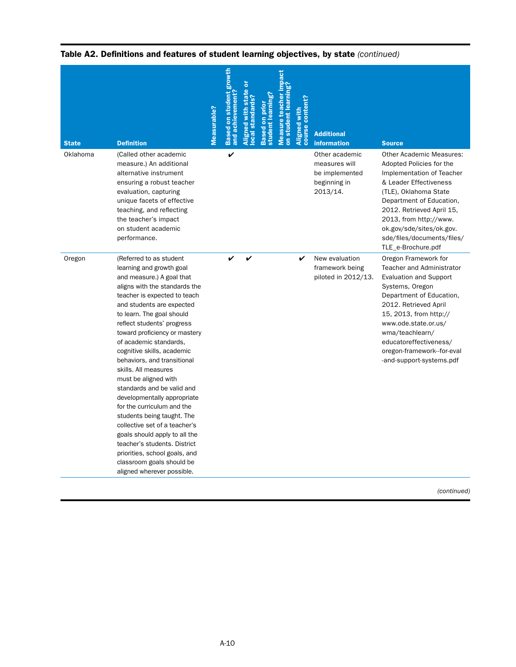| <b>State</b> | <b>Definition</b>                                                                                                                                                                                                                                                                                                                                                                                                                                                                                                                                                                                                                                                                                                                        | Measurable? | student<br>and achievemen <sup>®</sup><br>$\overline{\overline{\delta}}$<br>sed | student learning<br>sed | teacher<br>on student lea<br><b>Measure</b> | <b>Content?</b><br>Aligned with<br>course | <b>Additional</b><br><b>information</b>                                       | <b>Source</b>                                                                                                                                                                                                                                                                                                              |
|--------------|------------------------------------------------------------------------------------------------------------------------------------------------------------------------------------------------------------------------------------------------------------------------------------------------------------------------------------------------------------------------------------------------------------------------------------------------------------------------------------------------------------------------------------------------------------------------------------------------------------------------------------------------------------------------------------------------------------------------------------------|-------------|---------------------------------------------------------------------------------|-------------------------|---------------------------------------------|-------------------------------------------|-------------------------------------------------------------------------------|----------------------------------------------------------------------------------------------------------------------------------------------------------------------------------------------------------------------------------------------------------------------------------------------------------------------------|
| Oklahoma     | (Called other academic<br>measure.) An additional<br>alternative instrument<br>ensuring a robust teacher<br>evaluation, capturing<br>unique facets of effective<br>teaching, and reflecting<br>the teacher's impact<br>on student academic<br>performance.                                                                                                                                                                                                                                                                                                                                                                                                                                                                               |             | V                                                                               |                         |                                             |                                           | Other academic<br>measures will<br>be implemented<br>beginning in<br>2013/14. | <b>Other Academic Measures:</b><br>Adopted Policies for the<br>Implementation of Teacher<br>& Leader Effectiveness<br>(TLE), Oklahoma State<br>Department of Education,<br>2012. Retrieved April 15,<br>2013, from http://www.<br>ok.gov/sde/sites/ok.gov.<br>sde/files/documents/files/<br>TLE_e-Brochure.pdf             |
| Oregon       | (Referred to as student<br>learning and growth goal<br>and measure.) A goal that<br>aligns with the standards the<br>teacher is expected to teach<br>and students are expected<br>to learn. The goal should<br>reflect students' progress<br>toward proficiency or mastery<br>of academic standards,<br>cognitive skills, academic<br>behaviors, and transitional<br>skills. All measures<br>must be aligned with<br>standards and be valid and<br>developmentally appropriate<br>for the curriculum and the<br>students being taught. The<br>collective set of a teacher's<br>goals should apply to all the<br>teacher's students. District<br>priorities, school goals, and<br>classroom goals should be<br>aligned wherever possible. |             |                                                                                 |                         |                                             | V                                         | New evaluation<br>framework being<br>piloted in 2012/13.                      | Oregon Framework for<br><b>Teacher and Administrator</b><br><b>Evaluation and Support</b><br>Systems, Oregon<br>Department of Education,<br>2012. Retrieved April<br>15, 2013, from http://<br>www.ode.state.or.us/<br>wma/teachlearn/<br>educatoreffectiveness/<br>oregon-framework--for-eval<br>-and-support-systems.pdf |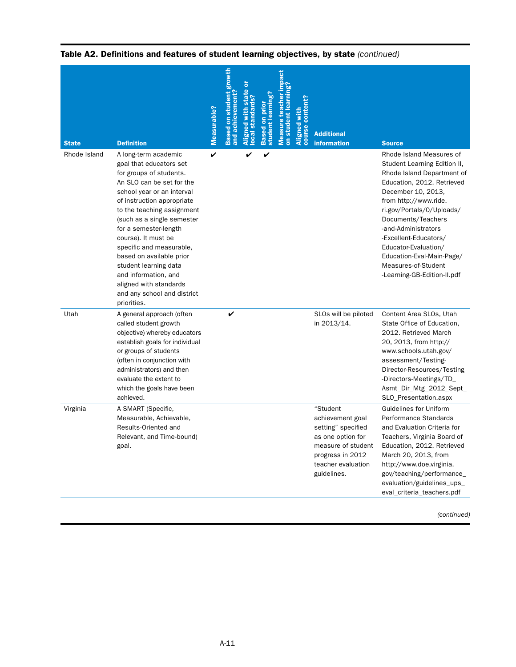| <b>State</b> | <b>Definition</b>                                                                                                                                                                                                                                                                                                                                                                                                                                                | Measurable? | student<br>and achievemen <sup>.</sup><br>ē | andards<br><u>ö</u> | student learning?<br>on prio<br><b>Based</b> | teacher<br>student learn<br>easure | <b>content?</b><br>Aligned with<br>course | <b>Additional</b><br><i>information</i>                                                                                                                | <b>Source</b>                                                                                                                                                                                                                                                                                                                                                                     |
|--------------|------------------------------------------------------------------------------------------------------------------------------------------------------------------------------------------------------------------------------------------------------------------------------------------------------------------------------------------------------------------------------------------------------------------------------------------------------------------|-------------|---------------------------------------------|---------------------|----------------------------------------------|------------------------------------|-------------------------------------------|--------------------------------------------------------------------------------------------------------------------------------------------------------|-----------------------------------------------------------------------------------------------------------------------------------------------------------------------------------------------------------------------------------------------------------------------------------------------------------------------------------------------------------------------------------|
| Rhode Island | A long-term academic<br>goal that educators set<br>for groups of students.<br>An SLO can be set for the<br>school year or an interval<br>of instruction appropriate<br>to the teaching assignment<br>(such as a single semester<br>for a semester-length<br>course). It must be<br>specific and measurable,<br>based on available prior<br>student learning data<br>and information, and<br>aligned with standards<br>and any school and district<br>priorities. | V           |                                             |                     | V                                            |                                    |                                           |                                                                                                                                                        | Rhode Island Measures of<br>Student Learning Edition II,<br>Rhode Island Department of<br>Education, 2012. Retrieved<br>December 10, 2013,<br>from http://www.ride.<br>ri.gov/Portals/0/Uploads/<br>Documents/Teachers<br>-and-Administrators<br>-Excellent-Educators/<br>Educator-Evaluation/<br>Education-Eval-Main-Page/<br>Measures-of-Student<br>-Learning-GB-Edition-II.pdf |
| Utah         | A general approach (often<br>called student growth<br>objective) whereby educators<br>establish goals for individual<br>or groups of students<br>(often in conjunction with<br>administrators) and then<br>evaluate the extent to<br>which the goals have been<br>achieved.                                                                                                                                                                                      |             | V                                           |                     |                                              |                                    |                                           | SLOs will be piloted<br>in 2013/14.                                                                                                                    | Content Area SLOs, Utah<br>State Office of Education,<br>2012. Retrieved March<br>20, 2013, from http://<br>www.schools.utah.gov/<br>assessment/Testing-<br>Director-Resources/Testing<br>-Directors-Meetings/TD_<br>Asmt_Dir_Mtg_2012_Sept_<br>SLO_Presentation.aspx                                                                                                             |
| Virginia     | A SMART (Specific,<br>Measurable, Achievable,<br>Results-Oriented and<br>Relevant, and Time-bound)<br>goal.                                                                                                                                                                                                                                                                                                                                                      |             |                                             |                     |                                              |                                    |                                           | "Student<br>achievement goal<br>setting" specified<br>as one option for<br>measure of student<br>progress in 2012<br>teacher evaluation<br>guidelines. | <b>Guidelines for Uniform</b><br>Performance Standards<br>and Evaluation Criteria for<br>Teachers, Virginia Board of<br>Education, 2012. Retrieved<br>March 20, 2013, from<br>http://www.doe.virginia.<br>gov/teaching/performance_<br>evaluation/guidelines_ups_<br>eval_criteria_teachers.pdf                                                                                   |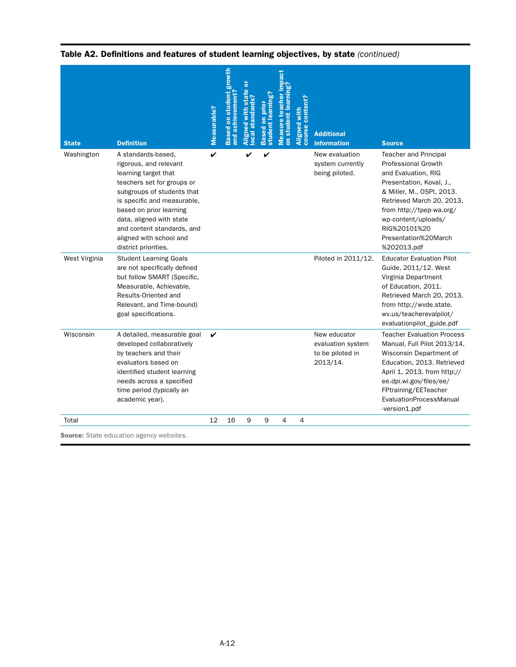| <b>State</b>  | <b>Definition</b>                                                                                                                                                                                                                                                                                       | Measurable? | student growth<br>and achievement<br>sed on<br>æ | ō<br>state<br>standards?<br>with<br>gined<br>$\overline{a}$ | earnın<br>ã<br>student I<br><b>Based</b> | student<br><b>Measure</b><br>$\overline{5}$ | conten<br>Aligned with<br>course cont | <b>Additional</b><br><b>information</b>                           | <b>Source</b>                                                                                                                                                                                                                                                                     |
|---------------|---------------------------------------------------------------------------------------------------------------------------------------------------------------------------------------------------------------------------------------------------------------------------------------------------------|-------------|--------------------------------------------------|-------------------------------------------------------------|------------------------------------------|---------------------------------------------|---------------------------------------|-------------------------------------------------------------------|-----------------------------------------------------------------------------------------------------------------------------------------------------------------------------------------------------------------------------------------------------------------------------------|
| Washington    | A standards-based,<br>rigorous, and relevant<br>learning target that<br>teachers set for groups or<br>subgroups of students that<br>is specific and measurable,<br>based on prior learning<br>data, aligned with state<br>and content standards, and<br>aligned with school and<br>district priorities. | V           |                                                  |                                                             | V                                        |                                             |                                       | New evaluation<br>system currently<br>being piloted.              | <b>Teacher and Principal</b><br><b>Professional Growth</b><br>and Evaluation, RIG<br>Presentation, Koval, J.,<br>& Miller, M., OSPI, 2013.<br>Retrieved March 20, 2013,<br>from http://tpep-wa.org/<br>wp-content/uploads/<br>RIG%20101%20<br>Presentation%20March<br>%202013.pdf |
| West Virginia | <b>Student Learning Goals</b><br>are not specifically defined<br>but follow SMART (Specific,<br>Measurable, Achievable,<br>Results-Oriented and<br>Relevant, and Time-bound)<br>goal specifications.                                                                                                    |             |                                                  |                                                             |                                          |                                             |                                       | Piloted in 2011/12.                                               | <b>Educator Evaluation Pilot</b><br>Guide, 2011/12. West<br>Virginia Department<br>of Education, 2011.<br>Retrieved March 20, 2013,<br>from http://wvde.state.<br>wv.us/teacherevalpilot/<br>evaluationpilot_guide.pdf                                                            |
| Wisconsin     | A detailed, measurable goal<br>developed collaboratively<br>by teachers and their<br>evaluators based on<br>identified student learning<br>needs across a specified<br>time period (typically an<br>academic year).                                                                                     | V           |                                                  |                                                             |                                          |                                             |                                       | New educator<br>evaluation system<br>to be piloted in<br>2013/14. | <b>Teacher Evaluation Process</b><br>Manual, Full Pilot 2013/14,<br>Wisconsin Department of<br>Education, 2013. Retrieved<br>April 1, 2013, from http://<br>ee.dpi.wi.gov/files/ee/<br>FPtraining/EETeacher<br>EvaluationProcessManual<br>-version1.pdf                           |
| Total         |                                                                                                                                                                                                                                                                                                         | 12          | 16                                               | 9                                                           | 9                                        | 4                                           | 4                                     |                                                                   |                                                                                                                                                                                                                                                                                   |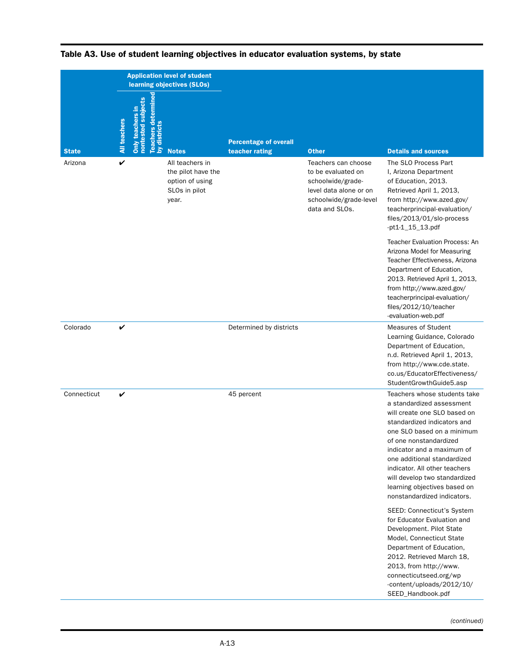|              |                     |                                                                                       | <b>Application level of student</b><br>learning objectives (SLOs)                  |                                                |                                                                                                                                      |                                                                                                                                                                                                                                                                                                                                                                                |
|--------------|---------------------|---------------------------------------------------------------------------------------|------------------------------------------------------------------------------------|------------------------------------------------|--------------------------------------------------------------------------------------------------------------------------------------|--------------------------------------------------------------------------------------------------------------------------------------------------------------------------------------------------------------------------------------------------------------------------------------------------------------------------------------------------------------------------------|
| <b>State</b> | <b>All teachers</b> | ermine<br>subjects<br>Only teachers in<br>nontested<br><b>Teache</b><br>dis<br>$\geq$ | <b>Notes</b>                                                                       | <b>Percentage of overall</b><br>teacher rating | <b>Other</b>                                                                                                                         | <b>Details and sources</b>                                                                                                                                                                                                                                                                                                                                                     |
| Arizona      | V                   |                                                                                       | All teachers in<br>the pilot have the<br>option of using<br>SLOs in pilot<br>year. |                                                | Teachers can choose<br>to be evaluated on<br>schoolwide/grade-<br>level data alone or on<br>schoolwide/grade-level<br>data and SLOs. | The SLO Process Part<br>I, Arizona Department<br>of Education, 2013.<br>Retrieved April 1, 2013,<br>from http://www.azed.gov/<br>teacherprincipal-evaluation/<br>files/2013/01/slo-process<br>-pt1-1_15_13.pdf                                                                                                                                                                 |
|              |                     |                                                                                       |                                                                                    |                                                |                                                                                                                                      | <b>Teacher Evaluation Process: An</b><br>Arizona Model for Measuring<br>Teacher Effectiveness, Arizona<br>Department of Education,<br>2013. Retrieved April 1, 2013,<br>from http://www.azed.gov/<br>teacherprincipal-evaluation/<br>files/2012/10/teacher<br>-evaluation-web.pdf                                                                                              |
| Colorado     | V                   |                                                                                       |                                                                                    | Determined by districts                        |                                                                                                                                      | <b>Measures of Student</b><br>Learning Guidance, Colorado<br>Department of Education,<br>n.d. Retrieved April 1, 2013,<br>from http://www.cde.state.<br>co.us/EducatorEffectiveness/<br>StudentGrowthGuide5.asp                                                                                                                                                                |
| Connecticut  | V                   |                                                                                       |                                                                                    | 45 percent                                     |                                                                                                                                      | Teachers whose students take<br>a standardized assessment<br>will create one SLO based on<br>standardized indicators and<br>one SLO based on a minimum<br>of one nonstandardized<br>indicator and a maximum of<br>one additional standardized<br>indicator. All other teachers<br>will develop two standardized<br>learning objectives based on<br>nonstandardized indicators. |
|              |                     |                                                                                       |                                                                                    |                                                |                                                                                                                                      | SEED: Connecticut's System<br>for Educator Evaluation and<br>Development. Pilot State<br>Model, Connecticut State<br>Department of Education,<br>2012. Retrieved March 18,<br>2013, from http://www.<br>connecticutseed.org/wp<br>-content/uploads/2012/10/<br>SEED_Handbook.pdf                                                                                               |

# Table A3. Use of student learning objectives in educator evaluation systems, by state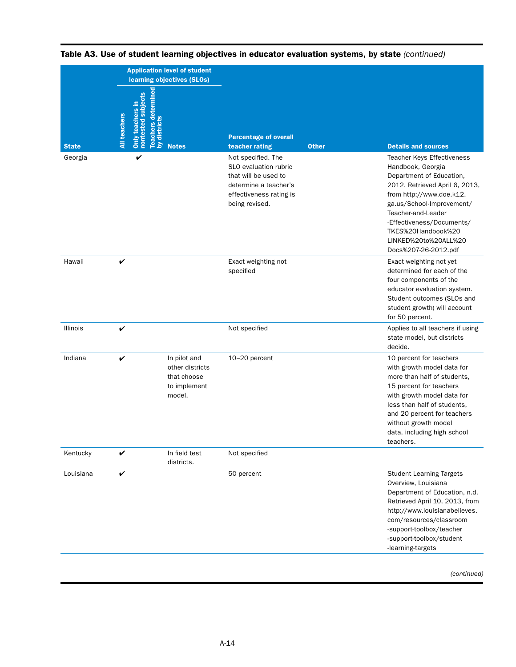|              | <b>Application level of student</b><br>learning objectives (SLOs)                                                    |                                                                                                                                           |                                                                                                                                                                                                                                                                                                        |
|--------------|----------------------------------------------------------------------------------------------------------------------|-------------------------------------------------------------------------------------------------------------------------------------------|--------------------------------------------------------------------------------------------------------------------------------------------------------------------------------------------------------------------------------------------------------------------------------------------------------|
| <b>State</b> | Teachers determined<br>by districts<br>nontested subjects<br>Only teachers in<br><b>All teachers</b><br><b>Notes</b> | <b>Percentage of overall</b><br><b>Other</b><br>teacher rating                                                                            | <b>Details and sources</b>                                                                                                                                                                                                                                                                             |
| Georgia      | V                                                                                                                    | Not specified. The<br>SLO evaluation rubric<br>that will be used to<br>determine a teacher's<br>effectiveness rating is<br>being revised. | <b>Teacher Keys Effectiveness</b><br>Handbook, Georgia<br>Department of Education,<br>2012. Retrieved April 6, 2013,<br>from http://www.doe.k12.<br>ga.us/School-Improvement/<br>Teacher-and-Leader<br>-Effectiveness/Documents/<br>TKES%20Handbook%20<br>LINKED%20to%20ALL%20<br>Docs%207-26-2012.pdf |
| Hawaii       | ✓                                                                                                                    | Exact weighting not<br>specified                                                                                                          | Exact weighting not yet<br>determined for each of the<br>four components of the<br>educator evaluation system.<br>Student outcomes (SLOs and<br>student growth) will account<br>for 50 percent.                                                                                                        |
| Illinois     | V                                                                                                                    | Not specified                                                                                                                             | Applies to all teachers if using<br>state model, but districts<br>decide.                                                                                                                                                                                                                              |
| Indiana      | V<br>In pilot and<br>other districts<br>that choose<br>to implement<br>model.                                        | 10-20 percent                                                                                                                             | 10 percent for teachers<br>with growth model data for<br>more than half of students,<br>15 percent for teachers<br>with growth model data for<br>less than half of students,<br>and 20 percent for teachers<br>without growth model<br>data, including high school<br>teachers.                        |
| Kentucky     | In field test<br>V<br>districts.                                                                                     | Not specified                                                                                                                             |                                                                                                                                                                                                                                                                                                        |
| Louisiana    | V                                                                                                                    | 50 percent                                                                                                                                | <b>Student Learning Targets</b><br>Overview, Louisiana<br>Department of Education, n.d.<br>Retrieved April 10, 2013, from<br>http://www.louisianabelieves.<br>com/resources/classroom<br>-support-toolbox/teacher<br>-support-toolbox/student<br>-learning-targets                                     |

# Table A3. Use of student learning objectives in educator evaluation systems, by state *(continued)*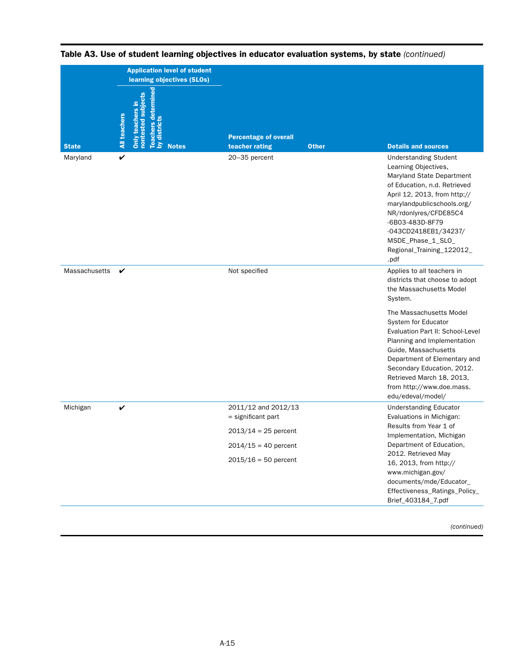|               | <b>Application level of student</b><br>learning objectives (SLOs)                                             |                                                                                                                           |                                                                                                                                                                                                                                                                                                                                                                                              |
|---------------|---------------------------------------------------------------------------------------------------------------|---------------------------------------------------------------------------------------------------------------------------|----------------------------------------------------------------------------------------------------------------------------------------------------------------------------------------------------------------------------------------------------------------------------------------------------------------------------------------------------------------------------------------------|
| <b>State</b>  | Teachers determined<br>by districts<br>Only teachers in<br>nontested subjects<br>All teachers<br><b>Notes</b> | <b>Percentage of overall</b><br><b>Other</b><br>teacher rating                                                            | <b>Details and sources</b>                                                                                                                                                                                                                                                                                                                                                                   |
| Maryland      | $\checkmark$                                                                                                  | 20-35 percent                                                                                                             | <b>Understanding Student</b><br>Learning Objectives,<br>Maryland State Department<br>of Education, n.d. Retrieved<br>April 12, 2013, from http://<br>marylandpublicschools.org/<br>NR/rdonlyres/CFDE85C4<br>-6B03-483D-8F79<br>-043CD2418EB1/34237/<br>MSDE_Phase_1_SLO_<br>Regional_Training_122012_<br>.pdf                                                                                |
| Massachusetts | V                                                                                                             | Not specified                                                                                                             | Applies to all teachers in<br>districts that choose to adopt<br>the Massachusetts Model<br>System.<br>The Massachusetts Model<br>System for Educator<br>Evaluation Part II: School-Level<br>Planning and Implementation<br>Guide, Massachusetts<br>Department of Elementary and<br>Secondary Education, 2012.<br>Retrieved March 18, 2013,<br>from http://www.doe.mass.<br>edu/edeval/model/ |
| Michigan      | V                                                                                                             | 2011/12 and 2012/13<br>$=$ significant part<br>$2013/14 = 25$ percent<br>$2014/15 = 40$ percent<br>$2015/16 = 50$ percent | <b>Understanding Educator</b><br>Evaluations in Michigan:<br>Results from Year 1 of<br>Implementation, Michigan<br>Department of Education,<br>2012. Retrieved May<br>16, 2013, from http://<br>www.michigan.gov/<br>documents/mde/Educator_<br>Effectiveness_Ratings_Policy_<br>Brief_403184_7.pdf                                                                                          |

Table A3. Use of student learning objectives in educator evaluation systems, by state *(continued)*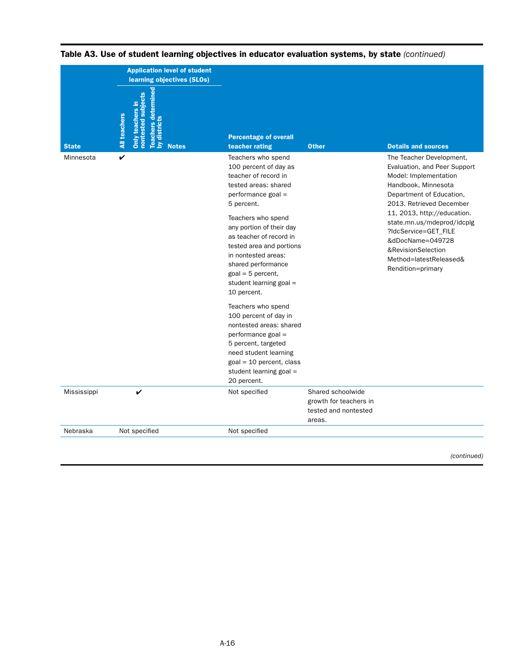|              | <b>Application level of student</b><br>learning objectives (SLOs)                                                        |                                                                                                                                                                                                                                                                                                                                                                                                                                                                                                                                                                                |                                                                               |                                                                                                                                                                                                                                                                                                                                                |  |
|--------------|--------------------------------------------------------------------------------------------------------------------------|--------------------------------------------------------------------------------------------------------------------------------------------------------------------------------------------------------------------------------------------------------------------------------------------------------------------------------------------------------------------------------------------------------------------------------------------------------------------------------------------------------------------------------------------------------------------------------|-------------------------------------------------------------------------------|------------------------------------------------------------------------------------------------------------------------------------------------------------------------------------------------------------------------------------------------------------------------------------------------------------------------------------------------|--|
| <b>State</b> | subjects<br>Only teachers in<br><b>All teachers</b><br>dist<br>Feach<br><b>Fon</b><br>$\bar{\mathbf{s}}$<br><b>Notes</b> | <b>Percentage of overall</b><br>teacher rating                                                                                                                                                                                                                                                                                                                                                                                                                                                                                                                                 | <b>Other</b>                                                                  | <b>Details and sources</b>                                                                                                                                                                                                                                                                                                                     |  |
| Minnesota    | V                                                                                                                        | Teachers who spend<br>100 percent of day as<br>teacher of record in<br>tested areas: shared<br>performance goal =<br>5 percent.<br>Teachers who spend<br>any portion of their day<br>as teacher of record in<br>tested area and portions<br>in nontested areas:<br>shared performance<br>$goal = 5$ percent,<br>student learning goal =<br>10 percent.<br>Teachers who spend<br>100 percent of day in<br>nontested areas: shared<br>performance goal =<br>5 percent, targeted<br>need student learning<br>$goal = 10$ percent, class<br>student learning goal =<br>20 percent. |                                                                               | The Teacher Development,<br>Evaluation, and Peer Support<br>Model: Implementation<br>Handbook, Minnesota<br>Department of Education,<br>2013. Retrieved December<br>11, 2013, http://education.<br>state.mn.us/mdeprod/idcplg<br>?IdcService=GET FILE<br>&dDocName=049728<br>&RevisionSelection<br>Method=latestReleased&<br>Rendition=primary |  |
| Mississippi  | ✓                                                                                                                        | Not specified                                                                                                                                                                                                                                                                                                                                                                                                                                                                                                                                                                  | Shared schoolwide<br>growth for teachers in<br>tested and nontested<br>areas. |                                                                                                                                                                                                                                                                                                                                                |  |
| Nebraska     | Not specified                                                                                                            | Not specified                                                                                                                                                                                                                                                                                                                                                                                                                                                                                                                                                                  |                                                                               |                                                                                                                                                                                                                                                                                                                                                |  |

# Table A3. Use of student learning objectives in educator evaluation systems, by state *(continued)*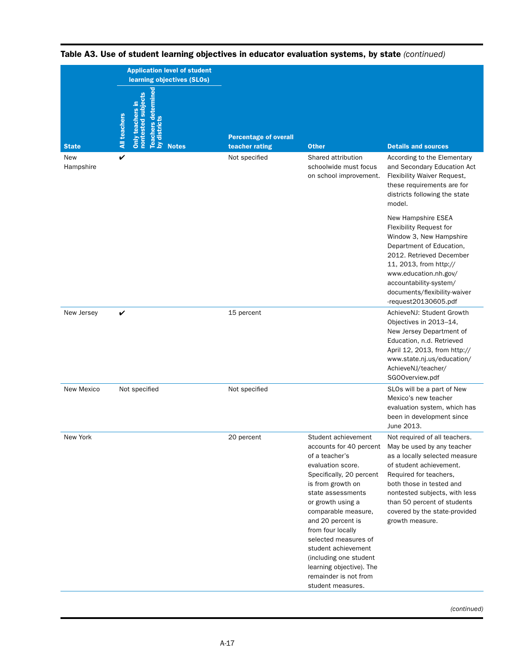|                     | <b>Application level of student</b><br>learning objectives (SLOs)                                                         |                                                                 |                                                                                                                                                                                                                                                                                                                                                                                                      |                                                                                                                                                                                                                                                                                                   |  |
|---------------------|---------------------------------------------------------------------------------------------------------------------------|-----------------------------------------------------------------|------------------------------------------------------------------------------------------------------------------------------------------------------------------------------------------------------------------------------------------------------------------------------------------------------------------------------------------------------------------------------------------------------|---------------------------------------------------------------------------------------------------------------------------------------------------------------------------------------------------------------------------------------------------------------------------------------------------|--|
| <b>State</b><br>New | Teachers determined<br>by districts<br>nontested subjects<br>Only teachers in<br><b>All teachers</b><br><b>Notes</b><br>V | <b>Percentage of overall</b><br>teacher rating<br>Not specified | <b>Other</b><br>Shared attribution                                                                                                                                                                                                                                                                                                                                                                   | <b>Details and sources</b><br>According to the Elementary                                                                                                                                                                                                                                         |  |
| Hampshire           |                                                                                                                           |                                                                 | schoolwide must focus<br>on school improvement.                                                                                                                                                                                                                                                                                                                                                      | and Secondary Education Act<br>Flexibility Waiver Request,<br>these requirements are for<br>districts following the state<br>model.                                                                                                                                                               |  |
|                     |                                                                                                                           |                                                                 |                                                                                                                                                                                                                                                                                                                                                                                                      | New Hampshire ESEA<br>Flexibility Request for<br>Window 3, New Hampshire<br>Department of Education,<br>2012. Retrieved December<br>11, 2013, from http://<br>www.education.nh.gov/<br>accountability-system/<br>documents/flexibility-waiver<br>-request20130605.pdf                             |  |
| New Jersey          | V                                                                                                                         | 15 percent                                                      |                                                                                                                                                                                                                                                                                                                                                                                                      | AchieveNJ: Student Growth<br>Objectives in 2013-14,<br>New Jersey Department of<br>Education, n.d. Retrieved<br>April 12, 2013, from http://<br>www.state.nj.us/education/<br>AchieveNJ/teacher/<br>SGOOverview.pdf                                                                               |  |
| New Mexico          | Not specified                                                                                                             | Not specified                                                   |                                                                                                                                                                                                                                                                                                                                                                                                      | SLOs will be a part of New<br>Mexico's new teacher<br>evaluation system, which has<br>been in development since<br>June 2013.                                                                                                                                                                     |  |
| New York            |                                                                                                                           | 20 percent                                                      | Student achievement<br>accounts for 40 percent<br>of a teacher's<br>evaluation score.<br>Specifically, 20 percent<br>is from growth on<br>state assessments<br>or growth using a<br>comparable measure,<br>and 20 percent is<br>from four locally<br>selected measures of<br>student achievement<br>(including one student<br>learning objective). The<br>remainder is not from<br>student measures. | Not required of all teachers.<br>May be used by any teacher<br>as a locally selected measure<br>of student achievement.<br>Required for teachers,<br>both those in tested and<br>nontested subjects, with less<br>than 50 percent of students<br>covered by the state-provided<br>growth measure. |  |

Table A3. Use of student learning objectives in educator evaluation systems, by state *(continued)*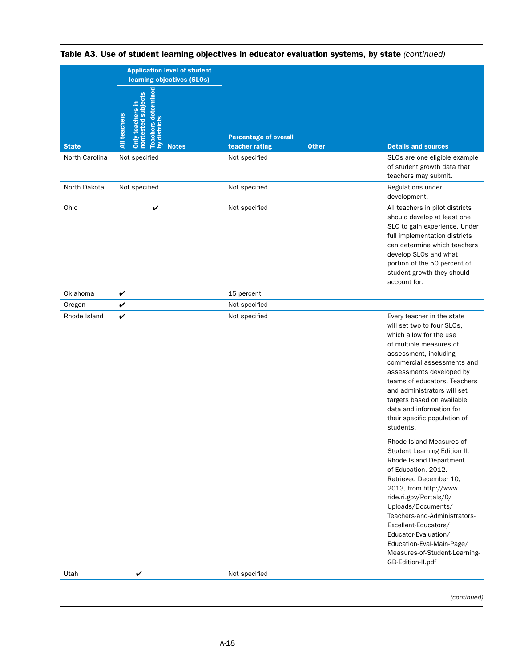|                | <b>Application level of student</b><br>learning objectives (SLOs)                                                                        |                                                |              |                                                                                                                                                                                                                                                                                                                                                                                   |
|----------------|------------------------------------------------------------------------------------------------------------------------------------------|------------------------------------------------|--------------|-----------------------------------------------------------------------------------------------------------------------------------------------------------------------------------------------------------------------------------------------------------------------------------------------------------------------------------------------------------------------------------|
| <b>State</b>   | mine<br>subjects<br>Only teachers in<br><b>Teachers deter</b><br><b>All teachers</b><br><b>ested</b><br>by distri<br>non<br><b>Notes</b> | <b>Percentage of overall</b><br>teacher rating | <b>Other</b> | <b>Details and sources</b>                                                                                                                                                                                                                                                                                                                                                        |
| North Carolina | Not specified                                                                                                                            | Not specified                                  |              | SLOs are one eligible example<br>of student growth data that<br>teachers may submit.                                                                                                                                                                                                                                                                                              |
| North Dakota   | Not specified                                                                                                                            | Not specified                                  |              | Regulations under<br>development.                                                                                                                                                                                                                                                                                                                                                 |
| Ohio           | V                                                                                                                                        | Not specified                                  |              | All teachers in pilot districts<br>should develop at least one<br>SLO to gain experience. Under<br>full implementation districts<br>can determine which teachers<br>develop SLOs and what<br>portion of the 50 percent of<br>student growth they should<br>account for.                                                                                                           |
| Oklahoma       | V                                                                                                                                        | 15 percent                                     |              |                                                                                                                                                                                                                                                                                                                                                                                   |
| Oregon         | V                                                                                                                                        | Not specified                                  |              |                                                                                                                                                                                                                                                                                                                                                                                   |
| Rhode Island   | V                                                                                                                                        | Not specified                                  |              | Every teacher in the state<br>will set two to four SLOs,<br>which allow for the use<br>of multiple measures of<br>assessment, including<br>commercial assessments and<br>assessments developed by<br>teams of educators. Teachers<br>and administrators will set<br>targets based on available<br>data and information for<br>their specific population of<br>students.           |
|                |                                                                                                                                          |                                                |              | Rhode Island Measures of<br>Student Learning Edition II,<br>Rhode Island Department<br>of Education, 2012.<br>Retrieved December 10,<br>2013, from http://www.<br>ride.ri.gov/Portals/0/<br>Uploads/Documents/<br>Teachers-and-Administrators-<br>Excellent-Educators/<br>Educator-Evaluation/<br>Education-Eval-Main-Page/<br>Measures-of-Student-Learning-<br>GB-Edition-II.pdf |
| Utah           | V                                                                                                                                        | Not specified                                  |              |                                                                                                                                                                                                                                                                                                                                                                                   |
|                |                                                                                                                                          |                                                |              |                                                                                                                                                                                                                                                                                                                                                                                   |

Table A3. Use of student learning objectives in educator evaluation systems, by state *(continued)*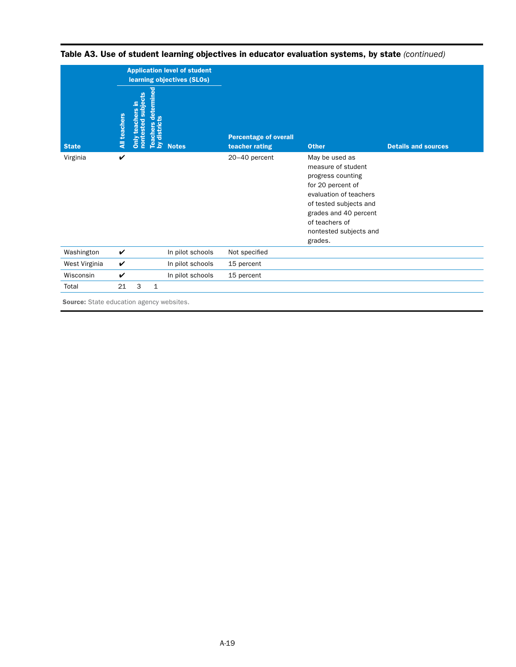|               |              |                                       |                                                    | <b>Application level of student</b><br>learning objectives (SLOs) |                                                |                                                                                                                                                                                                                    |                            |
|---------------|--------------|---------------------------------------|----------------------------------------------------|-------------------------------------------------------------------|------------------------------------------------|--------------------------------------------------------------------------------------------------------------------------------------------------------------------------------------------------------------------|----------------------------|
| <b>State</b>  | All teachers | subjects<br>teachers in<br>Only teach | etermined<br>ᄒ<br>ō<br><b>Teach</b><br>ᄛ<br>$\geq$ | <b>Notes</b>                                                      | <b>Percentage of overall</b><br>teacher rating | <b>Other</b>                                                                                                                                                                                                       | <b>Details and sources</b> |
| Virginia      | V            |                                       |                                                    |                                                                   | 20-40 percent                                  | May be used as<br>measure of student<br>progress counting<br>for 20 percent of<br>evaluation of teachers<br>of tested subjects and<br>grades and 40 percent<br>of teachers of<br>nontested subjects and<br>grades. |                            |
| Washington    | $\checkmark$ |                                       |                                                    | In pilot schools                                                  | Not specified                                  |                                                                                                                                                                                                                    |                            |
| West Virginia | V            |                                       |                                                    | In pilot schools                                                  | 15 percent                                     |                                                                                                                                                                                                                    |                            |
| Wisconsin     | V            |                                       |                                                    | In pilot schools                                                  | 15 percent                                     |                                                                                                                                                                                                                    |                            |
| Total         | 21           | 3                                     | $\mathbf{1}$                                       |                                                                   |                                                |                                                                                                                                                                                                                    |                            |

Table A3. Use of student learning objectives in educator evaluation systems, by state *(continued)*

**Source:** State education agency websites.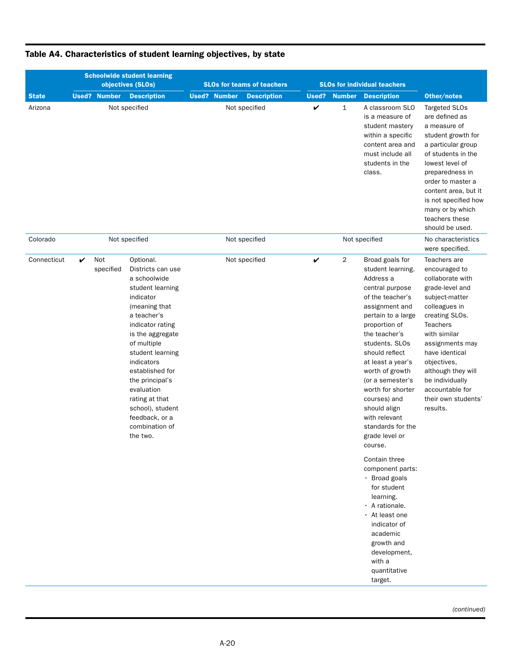|              | <b>Schoolwide student learning</b><br>objectives (SLOs) |                     |                                                                                                                                                                                                                                                                                                                                                    | <b>SLOs for teams of teachers</b>         |              | <b>SLOs for individual teachers</b> |                                                                                                                                                                                                                                                                                                                                                                                                                                                                                                                                                                                                                 |                                                                                                                                                                                                                                                                                                                 |
|--------------|---------------------------------------------------------|---------------------|----------------------------------------------------------------------------------------------------------------------------------------------------------------------------------------------------------------------------------------------------------------------------------------------------------------------------------------------------|-------------------------------------------|--------------|-------------------------------------|-----------------------------------------------------------------------------------------------------------------------------------------------------------------------------------------------------------------------------------------------------------------------------------------------------------------------------------------------------------------------------------------------------------------------------------------------------------------------------------------------------------------------------------------------------------------------------------------------------------------|-----------------------------------------------------------------------------------------------------------------------------------------------------------------------------------------------------------------------------------------------------------------------------------------------------------------|
| <b>State</b> |                                                         | <b>Used? Number</b> | <b>Description</b>                                                                                                                                                                                                                                                                                                                                 | <b>Used? Number</b><br><b>Description</b> | Used?        | <b>Number</b>                       | <b>Description</b>                                                                                                                                                                                                                                                                                                                                                                                                                                                                                                                                                                                              | Other/notes                                                                                                                                                                                                                                                                                                     |
| Arizona      |                                                         |                     | Not specified                                                                                                                                                                                                                                                                                                                                      | Not specified                             | $\checkmark$ | $\mathbf{1}$                        | A classroom SLO<br>is a measure of<br>student mastery<br>within a specific<br>content area and<br>must include all<br>students in the<br>class.                                                                                                                                                                                                                                                                                                                                                                                                                                                                 | Targeted SLOs<br>are defined as<br>a measure of<br>student growth for<br>a particular group<br>of students in the<br>lowest level of<br>preparedness in<br>order to master a<br>content area, but it<br>is not specified how<br>many or by which<br>teachers these<br>should be used.                           |
| Colorado     |                                                         |                     | Not specified                                                                                                                                                                                                                                                                                                                                      | Not specified                             |              |                                     | Not specified                                                                                                                                                                                                                                                                                                                                                                                                                                                                                                                                                                                                   | No characteristics<br>were specified.                                                                                                                                                                                                                                                                           |
| Connecticut  | V                                                       | Not<br>specified    | Optional.<br>Districts can use<br>a schoolwide<br>student learning<br>indicator<br>(meaning that<br>a teacher's<br>indicator rating<br>is the aggregate<br>of multiple<br>student learning<br>indicators<br>established for<br>the principal's<br>evaluation<br>rating at that<br>school), student<br>feedback, or a<br>combination of<br>the two. | Not specified                             | $\checkmark$ | 2                                   | Broad goals for<br>student learning.<br>Address a<br>central purpose<br>of the teacher's<br>assignment and<br>pertain to a large<br>proportion of<br>the teacher's<br>students. SLOs<br>should reflect<br>at least a year's<br>worth of growth<br>(or a semester's<br>worth for shorter<br>courses) and<br>should align<br>with relevant<br>standards for the<br>grade level or<br>course.<br>Contain three<br>component parts:<br>· Broad goals<br>for student<br>learning.<br>· A rationale.<br>· At least one<br>indicator of<br>academic<br>growth and<br>development,<br>with a<br>quantitative<br>target. | Teachers are<br>encouraged to<br>collaborate with<br>grade-level and<br>subject-matter<br>colleagues in<br>creating SLOs.<br><b>Teachers</b><br>with similar<br>assignments may<br>have identical<br>objectives,<br>although they will<br>be individually<br>accountable for<br>their own students'<br>results. |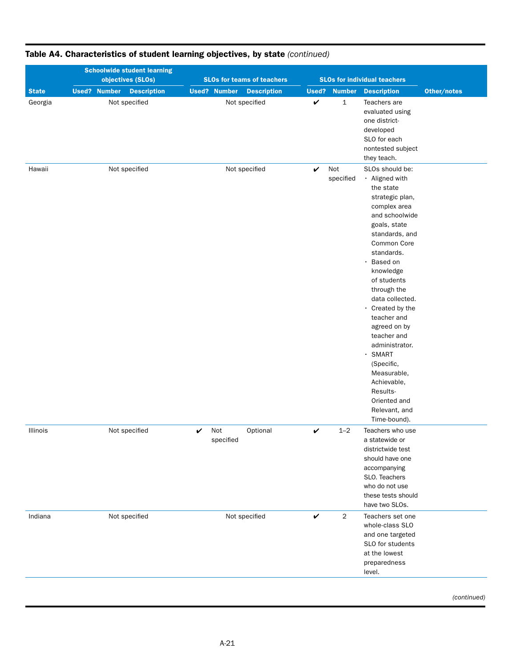|              | <b>Schoolwide student learning</b><br>objectives (SLOs) | <b>SLOs for teams of teachers</b>         |                                | <b>SLOs for individual teachers</b>                                                                                                                                                                                                                                                                                                                                                                                                                                          |
|--------------|---------------------------------------------------------|-------------------------------------------|--------------------------------|------------------------------------------------------------------------------------------------------------------------------------------------------------------------------------------------------------------------------------------------------------------------------------------------------------------------------------------------------------------------------------------------------------------------------------------------------------------------------|
| <b>State</b> | <b>Used? Number</b><br><b>Description</b>               | <b>Used? Number</b><br><b>Description</b> | Used?<br><b>Number</b>         | Other/notes<br><b>Description</b>                                                                                                                                                                                                                                                                                                                                                                                                                                            |
| Georgia      | Not specified                                           | Not specified                             | $\checkmark$<br>$\mathbf{1}$   | Teachers are<br>evaluated using<br>one district-<br>developed<br>SLO for each<br>nontested subject<br>they teach.                                                                                                                                                                                                                                                                                                                                                            |
| Hawaii       | Not specified                                           | Not specified                             | Not<br>V<br>specified          | SLOs should be:<br>• Aligned with<br>the state<br>strategic plan,<br>complex area<br>and schoolwide<br>goals, state<br>standards, and<br>Common Core<br>standards.<br>Based on<br>$\bullet$<br>knowledge<br>of students<br>through the<br>data collected.<br>• Created by the<br>teacher and<br>agreed on by<br>teacher and<br>administrator.<br>SMART<br>$\bullet$<br>(Specific,<br>Measurable,<br>Achievable,<br>Results-<br>Oriented and<br>Relevant, and<br>Time-bound). |
| Illinois     | Not specified                                           | Optional<br>Not<br>V<br>specified         | $1 - 2$<br>$\checkmark$        | Teachers who use<br>a statewide or<br>districtwide test<br>should have one<br>accompanying<br>SLO. Teachers<br>who do not use<br>these tests should<br>have two SLOs.                                                                                                                                                                                                                                                                                                        |
| Indiana      | Not specified                                           | Not specified                             | $\checkmark$<br>$\overline{2}$ | Teachers set one<br>whole-class SLO<br>and one targeted<br>SLO for students<br>at the lowest<br>preparedness<br>level.                                                                                                                                                                                                                                                                                                                                                       |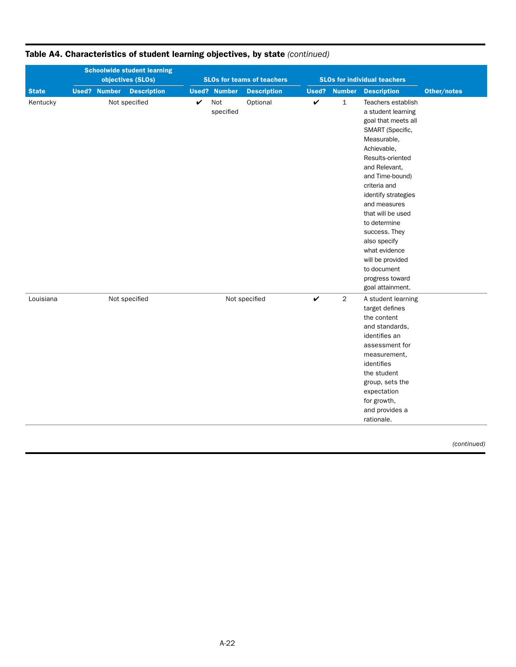| <b>Schoolwide student learning</b><br>objectives (SLOs) |  |                     |                    |             | <b>SLOs for teams of teachers</b> |                    | <b>SLOs for individual teachers</b> |                |                                                                                                                                                                                                                                                                                                                                                                                                   |             |
|---------------------------------------------------------|--|---------------------|--------------------|-------------|-----------------------------------|--------------------|-------------------------------------|----------------|---------------------------------------------------------------------------------------------------------------------------------------------------------------------------------------------------------------------------------------------------------------------------------------------------------------------------------------------------------------------------------------------------|-------------|
| <b>State</b>                                            |  | <b>Used? Number</b> | <b>Description</b> |             | <b>Used? Number</b>               | <b>Description</b> | Used?                               | <b>Number</b>  | <b>Description</b>                                                                                                                                                                                                                                                                                                                                                                                | Other/notes |
| Kentucky                                                |  |                     | Not specified      | $\mathbf v$ | Not<br>specified                  | Optional           | $\checkmark$                        | $\mathbf 1$    | Teachers establish<br>a student learning<br>goal that meets all<br>SMART (Specific,<br>Measurable,<br>Achievable,<br>Results-oriented<br>and Relevant,<br>and Time-bound)<br>criteria and<br>identify strategies<br>and measures<br>that will be used<br>to determine<br>success. They<br>also specify<br>what evidence<br>will be provided<br>to document<br>progress toward<br>goal attainment. |             |
| Louisiana                                               |  |                     | Not specified      |             |                                   | Not specified      | $\checkmark$                        | $\overline{2}$ | A student learning<br>target defines<br>the content<br>and standards.<br>identifies an<br>assessment for<br>measurement,<br>identifies<br>the student<br>group, sets the<br>expectation<br>for growth,<br>and provides a<br>rationale.                                                                                                                                                            |             |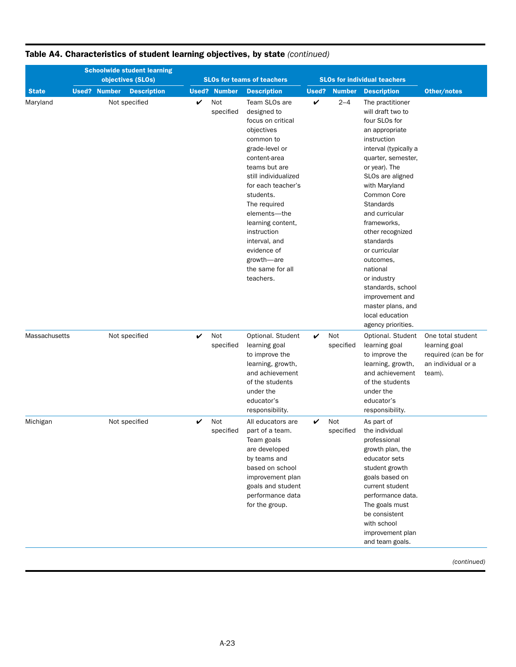|               | <b>Schoolwide student learning</b><br>objectives (SLOs) |                     |                    |   |                     | <b>SLOs for teams of teachers</b>                                                                                                                                                                                                                                                                                                             |   | <b>SLOs for individual teachers</b> |                                                                                                                                                                                                                                                                                                                                                                                                                                                           |                                                                                            |
|---------------|---------------------------------------------------------|---------------------|--------------------|---|---------------------|-----------------------------------------------------------------------------------------------------------------------------------------------------------------------------------------------------------------------------------------------------------------------------------------------------------------------------------------------|---|-------------------------------------|-----------------------------------------------------------------------------------------------------------------------------------------------------------------------------------------------------------------------------------------------------------------------------------------------------------------------------------------------------------------------------------------------------------------------------------------------------------|--------------------------------------------------------------------------------------------|
| <b>State</b>  |                                                         | <b>Used? Number</b> | <b>Description</b> |   | <b>Used? Number</b> | <b>Description</b>                                                                                                                                                                                                                                                                                                                            |   | <b>Used?</b> Number                 | <b>Description</b>                                                                                                                                                                                                                                                                                                                                                                                                                                        | Other/notes                                                                                |
| Maryland      |                                                         |                     | Not specified      | ✓ | Not<br>specified    | Team SLOs are<br>designed to<br>focus on critical<br>objectives<br>common to<br>grade-level or<br>content-area<br>teams but are<br>still individualized<br>for each teacher's<br>students.<br>The required<br>elements-the<br>learning content,<br>instruction<br>interval, and<br>evidence of<br>growth-are<br>the same for all<br>teachers. | V | $2 - 4$                             | The practitioner<br>will draft two to<br>four SLOs for<br>an appropriate<br>instruction<br>interval (typically a<br>quarter, semester,<br>or year). The<br>SLOs are aligned<br>with Maryland<br>Common Core<br>Standards<br>and curricular<br>frameworks,<br>other recognized<br>standards<br>or curricular<br>outcomes,<br>national<br>or industry<br>standards, school<br>improvement and<br>master plans, and<br>local education<br>agency priorities. |                                                                                            |
| Massachusetts |                                                         |                     | Not specified      | V | Not<br>specified    | Optional. Student<br>learning goal<br>to improve the<br>learning, growth,<br>and achievement<br>of the students<br>under the<br>educator's<br>responsibility.                                                                                                                                                                                 | V | Not<br>specified                    | Optional. Student<br>learning goal<br>to improve the<br>learning, growth,<br>and achievement<br>of the students<br>under the<br>educator's<br>responsibility.                                                                                                                                                                                                                                                                                             | One total student<br>learning goal<br>required (can be for<br>an individual or a<br>team). |
| Michigan      |                                                         |                     | Not specified      | V | Not<br>specified    | All educators are<br>part of a team.<br>Team goals<br>are developed<br>by teams and<br>based on school<br>improvement plan<br>goals and student<br>performance data<br>for the group.                                                                                                                                                         | V | Not<br>specified                    | As part of<br>the individual<br>professional<br>growth plan, the<br>educator sets<br>student growth<br>goals based on<br>current student<br>performance data.<br>The goals must<br>be consistent<br>with school<br>improvement plan<br>and team goals.                                                                                                                                                                                                    |                                                                                            |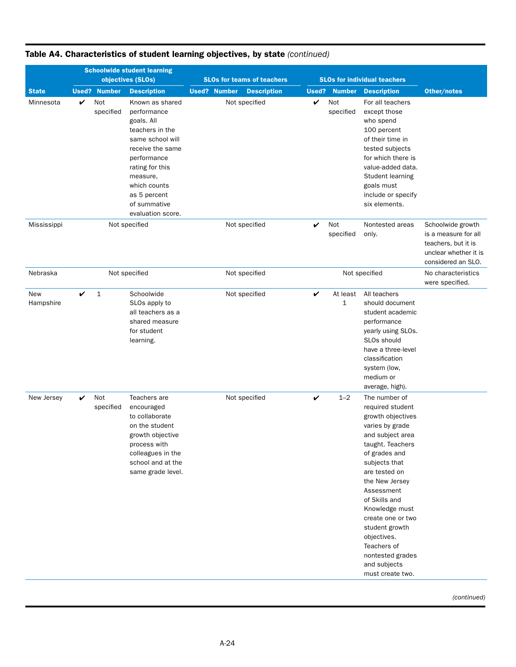|                  |   | <b>Schoolwide student learning</b> |                                                                                                                                                                                                                            |                     |  |                                   |   |                         |                                                                                                                                                                                                                                                                                                                                                                      |                                                                                                                 |
|------------------|---|------------------------------------|----------------------------------------------------------------------------------------------------------------------------------------------------------------------------------------------------------------------------|---------------------|--|-----------------------------------|---|-------------------------|----------------------------------------------------------------------------------------------------------------------------------------------------------------------------------------------------------------------------------------------------------------------------------------------------------------------------------------------------------------------|-----------------------------------------------------------------------------------------------------------------|
|                  |   |                                    | objectives (SLOs)                                                                                                                                                                                                          |                     |  | <b>SLOs for teams of teachers</b> |   |                         | <b>SLOs for individual teachers</b>                                                                                                                                                                                                                                                                                                                                  |                                                                                                                 |
| <b>State</b>     |   | <b>Used? Number</b>                | <b>Description</b>                                                                                                                                                                                                         | <b>Used? Number</b> |  | <b>Description</b>                |   | <b>Used? Number</b>     | <b>Description</b>                                                                                                                                                                                                                                                                                                                                                   | Other/notes                                                                                                     |
| Minnesota        | V | Not<br>specified                   | Known as shared<br>performance<br>goals. All<br>teachers in the<br>same school will<br>receive the same<br>performance<br>rating for this<br>measure,<br>which counts<br>as 5 percent<br>of summative<br>evaluation score. |                     |  | Not specified                     | ✓ | Not<br>specified        | For all teachers<br>except those<br>who spend<br>100 percent<br>of their time in<br>tested subjects<br>for which there is<br>value-added data.<br>Student learning<br>goals must<br>include or specify<br>six elements.                                                                                                                                              |                                                                                                                 |
| Mississippi      |   |                                    | Not specified                                                                                                                                                                                                              |                     |  | Not specified                     | V | Not<br>specified        | Nontested areas<br>only.                                                                                                                                                                                                                                                                                                                                             | Schoolwide growth<br>is a measure for all<br>teachers, but it is<br>unclear whether it is<br>considered an SLO. |
| Nebraska         |   |                                    | Not specified                                                                                                                                                                                                              |                     |  | Not specified                     |   |                         | Not specified                                                                                                                                                                                                                                                                                                                                                        | No characteristics<br>were specified.                                                                           |
| New<br>Hampshire | ✓ | $\mathbf 1$                        | Schoolwide<br>SLOs apply to<br>all teachers as a<br>shared measure<br>for student<br>learning.                                                                                                                             |                     |  | Not specified                     | V | At least<br>$\mathbf 1$ | All teachers<br>should document<br>student academic<br>performance<br>yearly using SLOs.<br>SLOs should<br>have a three-level<br>classification<br>system (low,<br>medium or<br>average, high).                                                                                                                                                                      |                                                                                                                 |
| New Jersey       | V | Not<br>specified                   | Teachers are<br>encouraged<br>to collaborate<br>on the student<br>growth objective<br>process with<br>colleagues in the<br>school and at the<br>same grade level.                                                          |                     |  | Not specified                     | V | $1 - 2$                 | The number of<br>required student<br>growth objectives<br>varies by grade<br>and subject area<br>taught. Teachers<br>of grades and<br>subjects that<br>are tested on<br>the New Jersey<br>Assessment<br>of Skills and<br>Knowledge must<br>create one or two<br>student growth<br>objectives.<br>Teachers of<br>nontested grades<br>and subjects<br>must create two. |                                                                                                                 |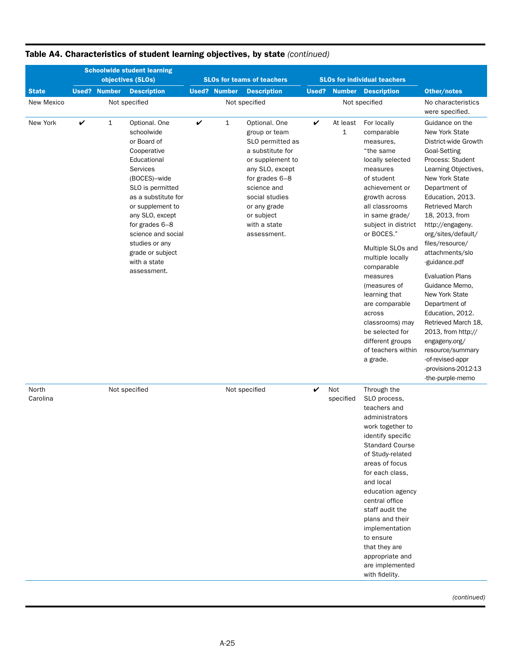|                   | <b>Schoolwide student learning</b><br>objectives (SLOs) |                     |                                                                                                                                                                                                                                                                                                     |   |                     | <b>SLOs for teams of teachers</b>                                                                                                                                                                                             |   |                  | <b>SLOs for individual teachers</b>                                                                                                                                                                                                                                                                                                                                                                                                       |                                                                                                                                                                                                                                                                                                                                                                                                                                                                                                                                                                                |
|-------------------|---------------------------------------------------------|---------------------|-----------------------------------------------------------------------------------------------------------------------------------------------------------------------------------------------------------------------------------------------------------------------------------------------------|---|---------------------|-------------------------------------------------------------------------------------------------------------------------------------------------------------------------------------------------------------------------------|---|------------------|-------------------------------------------------------------------------------------------------------------------------------------------------------------------------------------------------------------------------------------------------------------------------------------------------------------------------------------------------------------------------------------------------------------------------------------------|--------------------------------------------------------------------------------------------------------------------------------------------------------------------------------------------------------------------------------------------------------------------------------------------------------------------------------------------------------------------------------------------------------------------------------------------------------------------------------------------------------------------------------------------------------------------------------|
| <b>State</b>      |                                                         | <b>Used? Number</b> | <b>Description</b>                                                                                                                                                                                                                                                                                  |   | <b>Used? Number</b> | <b>Description</b>                                                                                                                                                                                                            |   |                  | <b>Used? Number Description</b>                                                                                                                                                                                                                                                                                                                                                                                                           | Other/notes                                                                                                                                                                                                                                                                                                                                                                                                                                                                                                                                                                    |
| New Mexico        |                                                         |                     | Not specified                                                                                                                                                                                                                                                                                       |   |                     | Not specified                                                                                                                                                                                                                 |   |                  | Not specified                                                                                                                                                                                                                                                                                                                                                                                                                             | No characteristics<br>were specified.                                                                                                                                                                                                                                                                                                                                                                                                                                                                                                                                          |
| New York          | V                                                       | $\mathbf{1}$        | Optional. One<br>schoolwide<br>or Board of<br>Cooperative<br>Educational<br>Services<br>(BOCES)-wide<br>SLO is permitted<br>as a substitute for<br>or supplement to<br>any SLO, except<br>for grades 6-8<br>science and social<br>studies or any<br>grade or subject<br>with a state<br>assessment. | V | 1                   | Optional. One<br>group or team<br>SLO permitted as<br>a substitute for<br>or supplement to<br>any SLO, except<br>for grades 6-8<br>science and<br>social studies<br>or any grade<br>or subject<br>with a state<br>assessment. | V | At least<br>1    | For locally<br>comparable<br>measures,<br>"the same<br>locally selected<br>measures<br>of student<br>achievement or<br>growth across<br>all classrooms<br>in same grade/<br>subject in district<br>or BOCES."<br>Multiple SLOs and<br>multiple locally<br>comparable<br>measures<br>(measures of<br>learning that<br>are comparable<br>across<br>classrooms) may<br>be selected for<br>different groups<br>of teachers within<br>a grade. | Guidance on the<br>New York State<br>District-wide Growth<br>Goal-Setting<br>Process: Student<br>Learning Objectives,<br>New York State<br>Department of<br>Education, 2013.<br><b>Retrieved March</b><br>18, 2013, from<br>http://engageny.<br>org/sites/default/<br>files/resource/<br>attachments/slo<br>-guidance.pdf<br><b>Evaluation Plans</b><br>Guidance Memo,<br>New York State<br>Department of<br>Education, 2012.<br>Retrieved March 18,<br>2013, from http://<br>engageny.org/<br>resource/summary<br>-of-revised-appr<br>-provisions-2012-13<br>-the-purple-memo |
| North<br>Carolina |                                                         |                     | Not specified                                                                                                                                                                                                                                                                                       |   |                     | Not specified                                                                                                                                                                                                                 | V | Not<br>specified | Through the<br>SLO process,<br>teachers and<br>administrators<br>work together to<br>identify specific<br><b>Standard Course</b><br>of Study-related<br>areas of focus<br>for each class.<br>and local<br>education agency<br>central office<br>staff audit the<br>plans and their<br>implementation<br>to ensure<br>that they are<br>appropriate and<br>are implemented<br>with fidelity.                                                |                                                                                                                                                                                                                                                                                                                                                                                                                                                                                                                                                                                |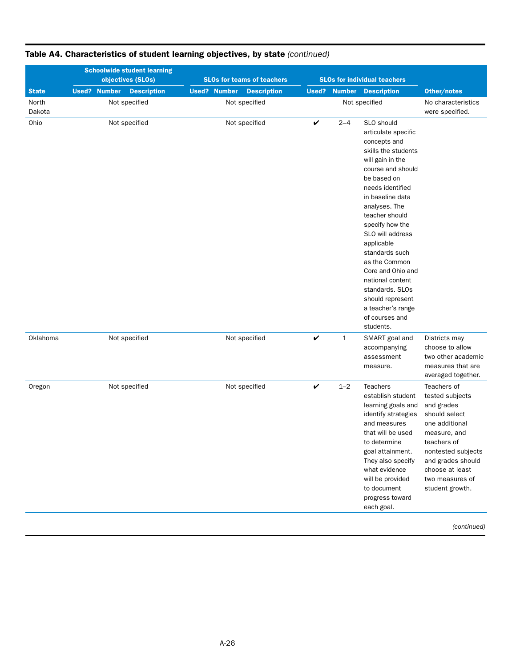|                 |                     | <b>Schoolwide student learning</b><br>objectives (SLOs) |                     | <b>SLOs for teams of teachers</b> |              |                     | <b>SLOs for individual teachers</b>                                                                                                                                                                                                                                                                                                                                                                                                     |                                                                                                                                                                                                                    |
|-----------------|---------------------|---------------------------------------------------------|---------------------|-----------------------------------|--------------|---------------------|-----------------------------------------------------------------------------------------------------------------------------------------------------------------------------------------------------------------------------------------------------------------------------------------------------------------------------------------------------------------------------------------------------------------------------------------|--------------------------------------------------------------------------------------------------------------------------------------------------------------------------------------------------------------------|
| <b>State</b>    | <b>Used? Number</b> | <b>Description</b>                                      | <b>Used? Number</b> | <b>Description</b>                |              | <b>Used? Number</b> | <b>Description</b>                                                                                                                                                                                                                                                                                                                                                                                                                      | Other/notes                                                                                                                                                                                                        |
| North<br>Dakota |                     | Not specified                                           |                     | Not specified                     |              |                     | Not specified                                                                                                                                                                                                                                                                                                                                                                                                                           | No characteristics<br>were specified.                                                                                                                                                                              |
| Ohio            |                     | Not specified                                           |                     | Not specified                     | V            | $2 - 4$             | SLO should<br>articulate specific<br>concepts and<br>skills the students<br>will gain in the<br>course and should<br>be based on<br>needs identified<br>in baseline data<br>analyses. The<br>teacher should<br>specify how the<br>SLO will address<br>applicable<br>standards such<br>as the Common<br>Core and Ohio and<br>national content<br>standards. SLOs<br>should represent<br>a teacher's range<br>of courses and<br>students. |                                                                                                                                                                                                                    |
| Oklahoma        |                     | Not specified                                           |                     | Not specified                     | $\checkmark$ | $\mathbf{1}$        | SMART goal and<br>accompanying<br>assessment<br>measure.                                                                                                                                                                                                                                                                                                                                                                                | Districts may<br>choose to allow<br>two other academic<br>measures that are<br>averaged together.                                                                                                                  |
| Oregon          |                     | Not specified                                           |                     | Not specified                     | V            | $1 - 2$             | <b>Teachers</b><br>establish student<br>learning goals and<br>identify strategies<br>and measures<br>that will be used<br>to determine<br>goal attainment.<br>They also specify<br>what evidence<br>will be provided<br>to document<br>progress toward<br>each goal.                                                                                                                                                                    | Teachers of<br>tested subjects<br>and grades<br>should select<br>one additional<br>measure, and<br>teachers of<br>nontested subjects<br>and grades should<br>choose at least<br>two measures of<br>student growth. |
|                 |                     |                                                         |                     |                                   |              |                     |                                                                                                                                                                                                                                                                                                                                                                                                                                         | (continued)                                                                                                                                                                                                        |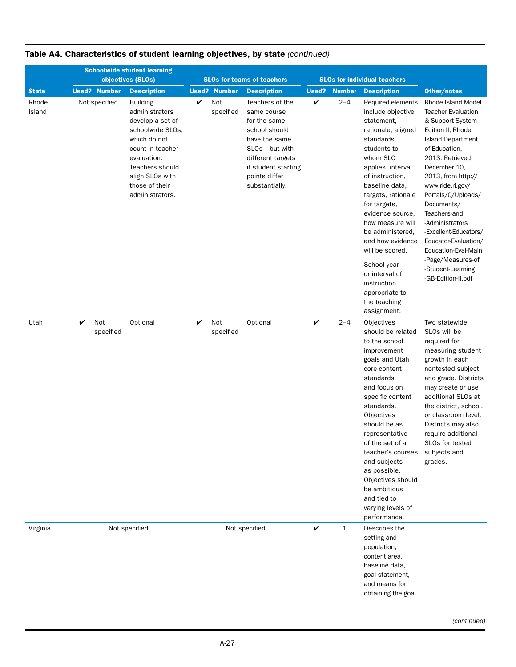|                 |                       | <b>Schoolwide student learning</b><br>objectives (SLOs)                                                                                                                                                 |   |                     | <b>SLOs for teams of teachers</b>                                                                                                                                                |              | <b>SLOs for individual teachers</b> |                                                                                                                                                                                                                                                                                                                                                                                                                         |                                                                                                                                                                                                                                                                                                                                                                                                                                   |
|-----------------|-----------------------|---------------------------------------------------------------------------------------------------------------------------------------------------------------------------------------------------------|---|---------------------|----------------------------------------------------------------------------------------------------------------------------------------------------------------------------------|--------------|-------------------------------------|-------------------------------------------------------------------------------------------------------------------------------------------------------------------------------------------------------------------------------------------------------------------------------------------------------------------------------------------------------------------------------------------------------------------------|-----------------------------------------------------------------------------------------------------------------------------------------------------------------------------------------------------------------------------------------------------------------------------------------------------------------------------------------------------------------------------------------------------------------------------------|
| <b>State</b>    | <b>Used? Number</b>   | <b>Description</b>                                                                                                                                                                                      |   | <b>Used? Number</b> | <b>Description</b>                                                                                                                                                               | <b>Used?</b> | <b>Number</b>                       | <b>Description</b>                                                                                                                                                                                                                                                                                                                                                                                                      | Other/notes                                                                                                                                                                                                                                                                                                                                                                                                                       |
| Rhode<br>Island | Not specified         | <b>Building</b><br>administrators<br>develop a set of<br>schoolwide SLOs,<br>which do not<br>count in teacher<br>evaluation.<br>Teachers should<br>align SLOs with<br>those of their<br>administrators. | V | Not<br>specified    | Teachers of the<br>same course<br>for the same<br>school should<br>have the same<br>SLOs-but with<br>different targets<br>if student starting<br>points differ<br>substantially. | V            | $2 - 4$                             | Required elements<br>include objective<br>statement,<br>rationale, aligned<br>standards,<br>students to<br>whom SLO<br>applies, interval<br>of instruction,<br>baseline data,<br>targets, rationale<br>for targets,<br>evidence source,<br>how measure will<br>be administered.<br>and how evidence<br>will be scored.<br>School year<br>or interval of<br>instruction<br>appropriate to<br>the teaching<br>assignment. | Rhode Island Model<br><b>Teacher Evaluation</b><br>& Support System<br>Edition II, Rhode<br><b>Island Department</b><br>of Education,<br>2013. Retrieved<br>December 10,<br>2013, from http://<br>www.ride.ri.gov/<br>Portals/0/Uploads/<br>Documents/<br>Teachers-and<br>-Administrators<br>-Excellent-Educators/<br>Educator-Evaluation/<br>Education-Eval-Main<br>-Page/Measures-of<br>-Student-Learning<br>-GB-Edition-II.pdf |
| Utah            | Not<br>V<br>specified | Optional                                                                                                                                                                                                | V | Not<br>specified    | Optional                                                                                                                                                                         | V            | $2 - 4$                             | Objectives<br>should be related<br>to the school<br>improvement<br>goals and Utah<br>core content<br>standards<br>and focus on<br>specific content<br>standards.<br>Objectives<br>should be as<br>representative<br>of the set of a<br>teacher's courses<br>and subjects<br>as possible.<br>Objectives should<br>be ambitious<br>and tied to<br>varying levels of<br>performance.                                       | Two statewide<br>SLOs will be<br>required for<br>measuring student<br>growth in each<br>nontested subject<br>and grade. Districts<br>may create or use<br>additional SLOs at<br>the district, school,<br>or classroom level.<br>Districts may also<br>require additional<br>SLOs for tested<br>subjects and<br>grades.                                                                                                            |
| Virginia        |                       | Not specified                                                                                                                                                                                           |   |                     | Not specified                                                                                                                                                                    | $\checkmark$ | 1                                   | Describes the<br>setting and<br>population,<br>content area,<br>baseline data,<br>goal statement,<br>and means for<br>obtaining the goal.                                                                                                                                                                                                                                                                               |                                                                                                                                                                                                                                                                                                                                                                                                                                   |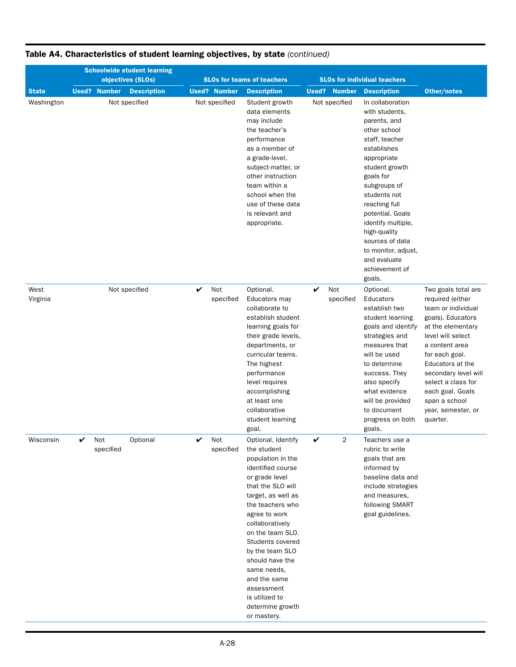|                  | <b>Schoolwide student learning</b><br>objectives (SLOs) |                       | <b>SLOs for teams of teachers</b>                                                                                                                                                                                                                                                                                                                                                |                        | <b>SLOs for individual teachers</b>                                                                                                                                                                                                                                                                                                                |                                                                                                                                                                                                                                                                                                           |
|------------------|---------------------------------------------------------|-----------------------|----------------------------------------------------------------------------------------------------------------------------------------------------------------------------------------------------------------------------------------------------------------------------------------------------------------------------------------------------------------------------------|------------------------|----------------------------------------------------------------------------------------------------------------------------------------------------------------------------------------------------------------------------------------------------------------------------------------------------------------------------------------------------|-----------------------------------------------------------------------------------------------------------------------------------------------------------------------------------------------------------------------------------------------------------------------------------------------------------|
| <b>State</b>     | <b>Used? Number</b><br><b>Description</b>               | <b>Used? Number</b>   | <b>Description</b>                                                                                                                                                                                                                                                                                                                                                               | <b>Number</b><br>Used? | <b>Description</b>                                                                                                                                                                                                                                                                                                                                 | Other/notes                                                                                                                                                                                                                                                                                               |
| Washington       | Not specified                                           | Not specified         | Student growth<br>data elements<br>may include<br>the teacher's<br>performance<br>as a member of<br>a grade-level,<br>subject-matter, or<br>other instruction<br>team within a<br>school when the<br>use of these data<br>is relevant and<br>appropriate.                                                                                                                        | Not specified          | In collaboration<br>with students,<br>parents, and<br>other school<br>staff, teacher<br>establishes<br>appropriate<br>student growth<br>goals for<br>subgroups of<br>students not<br>reaching full<br>potential. Goals<br>identify multiple,<br>high-quality<br>sources of data<br>to monitor, adjust,<br>and evaluate<br>achievement of<br>goals. |                                                                                                                                                                                                                                                                                                           |
| West<br>Virginia | Not specified                                           | Not<br>V<br>specified | Optional.<br>Educators may<br>collaborate to<br>establish student<br>learning goals for<br>their grade levels,<br>departments, or<br>curricular teams.<br>The highest<br>performance<br>level requires<br>accomplishing<br>at least one<br>collaborative<br>student learning<br>goal.                                                                                            | V<br>Not<br>specified  | Optional.<br>Educators<br>establish two<br>student learning<br>goals and identify<br>strategies and<br>measures that<br>will be used<br>to determine<br>success. They<br>also specify<br>what evidence<br>will be provided<br>to document<br>progress on both<br>goals.                                                                            | Two goals total are<br>required (either<br>team or individual<br>goals). Educators<br>at the elementary<br>level will select<br>a content area<br>for each goal.<br>Educators at the<br>secondary level will<br>select a class for<br>each goal. Goals<br>span a school<br>year, semester, or<br>quarter. |
| Wisconsin        | V<br>Not<br>Optional<br>specified                       | V<br>Not<br>specified | Optional. Identify<br>the student<br>population in the<br>identified course<br>or grade level<br>that the SLO will<br>target, as well as<br>the teachers who<br>agree to work<br>collaboratively<br>on the team SLO.<br>Students covered<br>by the team SLO<br>should have the<br>same needs,<br>and the same<br>assessment<br>is utilized to<br>determine growth<br>or mastery. | V<br>2                 | Teachers use a<br>rubric to write<br>goals that are<br>informed by<br>baseline data and<br>include strategies<br>and measures,<br>following SMART<br>goal guidelines.                                                                                                                                                                              |                                                                                                                                                                                                                                                                                                           |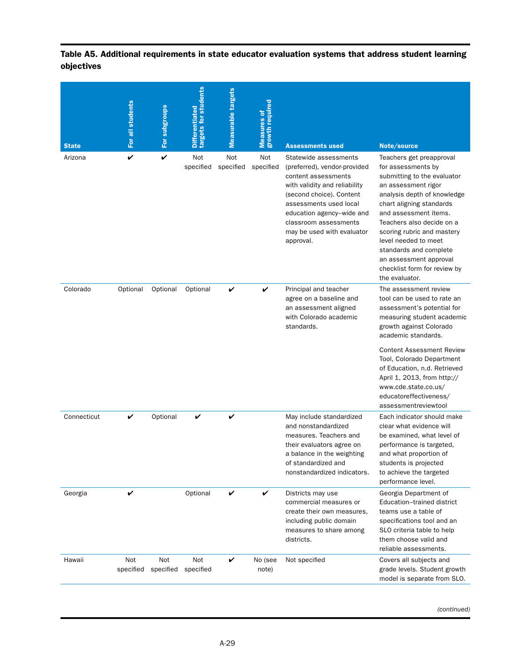| <b>State</b> | For all students | For subgroups    | targets for students<br><b>Differentiated</b> | <b>Measurable targets</b> | <b>Measures of<br/>growth required</b> | <b>Assessments used</b>                                                                                                                                                                                                                                              | Note/source                                                                                                                                                                                                                                                                                                                                                                       |
|--------------|------------------|------------------|-----------------------------------------------|---------------------------|----------------------------------------|----------------------------------------------------------------------------------------------------------------------------------------------------------------------------------------------------------------------------------------------------------------------|-----------------------------------------------------------------------------------------------------------------------------------------------------------------------------------------------------------------------------------------------------------------------------------------------------------------------------------------------------------------------------------|
| Arizona      | V                | V                | Not<br>specified                              | Not<br>specified          | Not<br>specified                       | Statewide assessments<br>(preferred), vendor-provided<br>content assessments<br>with validity and reliability<br>(second choice). Content<br>assessments used local<br>education agency–wide and<br>classroom assessments<br>may be used with evaluator<br>approval. | Teachers get preapproval<br>for assessments by<br>submitting to the evaluator<br>an assessment rigor<br>analysis depth of knowledge<br>chart aligning standards<br>and assessment items.<br>Teachers also decide on a<br>scoring rubric and mastery<br>level needed to meet<br>standards and complete<br>an assessment approval<br>checklist form for review by<br>the evaluator. |
| Colorado     | Optional         | Optional         | Optional                                      | V                         | V                                      | Principal and teacher<br>agree on a baseline and<br>an assessment aligned<br>with Colorado academic<br>standards.                                                                                                                                                    | The assessment review<br>tool can be used to rate an<br>assessment's potential for<br>measuring student academic<br>growth against Colorado<br>academic standards.<br><b>Content Assessment Review</b><br>Tool, Colorado Department<br>of Education, n.d. Retrieved<br>April 1, 2013, from http://<br>www.cde.state.co.us/<br>educatoreffectiveness/<br>assessmentreviewtool      |
| Connecticut  | V                | Optional         | V                                             | V                         |                                        | May include standardized<br>and nonstandardized<br>measures. Teachers and<br>their evaluators agree on<br>a balance in the weighting<br>of standardized and<br>nonstandardized indicators.                                                                           | Each indicator should make<br>clear what evidence will<br>be examined, what level of<br>performance is targeted,<br>and what proportion of<br>students is projected<br>to achieve the targeted<br>performance level.                                                                                                                                                              |
| Georgia      | V                |                  | Optional                                      | V                         | V                                      | Districts may use<br>commercial measures or<br>create their own measures,<br>including public domain<br>measures to share among<br>districts.                                                                                                                        | Georgia Department of<br>Education-trained district<br>teams use a table of<br>specifications tool and an<br>SLO criteria table to help<br>them choose valid and<br>reliable assessments.                                                                                                                                                                                         |
| Hawaii       | Not<br>specified | Not<br>specified | Not<br>specified                              | V                         | No (see<br>note)                       | Not specified                                                                                                                                                                                                                                                        | Covers all subjects and<br>grade levels. Student growth<br>model is separate from SLO.                                                                                                                                                                                                                                                                                            |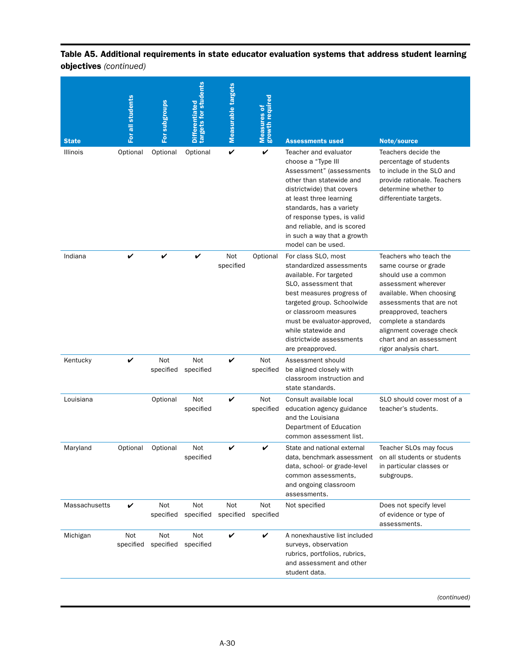| <b>State</b>  | For all students | For subgroups    | targets for students<br><b>Differentiated</b> | Measurable targets | <b>Measures of<br/>growth required</b> | <b>Assessments used</b>                                                                                                                                                                                                                                                                                    | Note/source                                                                                                                                                                                                                                                                           |
|---------------|------------------|------------------|-----------------------------------------------|--------------------|----------------------------------------|------------------------------------------------------------------------------------------------------------------------------------------------------------------------------------------------------------------------------------------------------------------------------------------------------------|---------------------------------------------------------------------------------------------------------------------------------------------------------------------------------------------------------------------------------------------------------------------------------------|
| Illinois      | Optional         | Optional         | Optional                                      | V                  | V                                      | Teacher and evaluator<br>choose a "Type III<br>Assessment" (assessments<br>other than statewide and<br>districtwide) that covers<br>at least three learning<br>standards, has a variety<br>of response types, is valid<br>and reliable, and is scored<br>in such a way that a growth<br>model can be used. | Teachers decide the<br>percentage of students<br>to include in the SLO and<br>provide rationale. Teachers<br>determine whether to<br>differentiate targets.                                                                                                                           |
| Indiana       | V                | V                | V                                             | Not<br>specified   | Optional                               | For class SLO, most<br>standardized assessments<br>available. For targeted<br>SLO, assessment that<br>best measures progress of<br>targeted group. Schoolwide<br>or classroom measures<br>must be evaluator-approved,<br>while statewide and<br>districtwide assessments<br>are preapproved.               | Teachers who teach the<br>same course or grade<br>should use a common<br>assessment wherever<br>available. When choosing<br>assessments that are not<br>preapproved, teachers<br>complete a standards<br>alignment coverage check<br>chart and an assessment<br>rigor analysis chart. |
| Kentucky      | V                | Not<br>specified | Not<br>specified                              | V                  | Not<br>specified                       | Assessment should<br>be aligned closely with<br>classroom instruction and<br>state standards.                                                                                                                                                                                                              |                                                                                                                                                                                                                                                                                       |
| Louisiana     |                  | Optional         | Not<br>specified                              | V                  | Not<br>specified                       | Consult available local<br>education agency guidance<br>and the Louisiana<br>Department of Education<br>common assessment list.                                                                                                                                                                            | SLO should cover most of a<br>teacher's students.                                                                                                                                                                                                                                     |
| Maryland      | Optional         | Optional         | Not<br>specified                              | V                  | V                                      | State and national external<br>data, benchmark assessment<br>data, school- or grade-level<br>common assessments,<br>and ongoing classroom<br>assessments.                                                                                                                                                  | Teacher SLOs may focus<br>on all students or students<br>in particular classes or<br>subgroups.                                                                                                                                                                                       |
| Massachusetts | V                | Not<br>specified | Not<br>specified                              | Not<br>specified   | Not<br>specified                       | Not specified                                                                                                                                                                                                                                                                                              | Does not specify level<br>of evidence or type of<br>assessments.                                                                                                                                                                                                                      |
| Michigan      | Not<br>specified | Not<br>specified | Not<br>specified                              | V                  | V                                      | A nonexhaustive list included<br>surveys, observation<br>rubrics, portfolios, rubrics,<br>and assessment and other<br>student data.                                                                                                                                                                        |                                                                                                                                                                                                                                                                                       |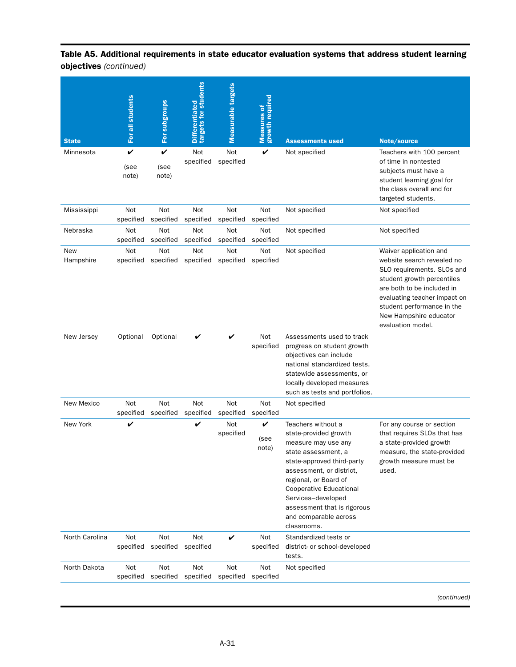| <b>State</b>     | For all students   | For subgroups              | Differentiated<br>targets for students | Measurable targets | <b>Measures of</b><br>growth required | <b>Assessments used</b>                                                                                                                                                                                                                                                                              | Note/source                                                                                                                                                                                                                                                 |
|------------------|--------------------|----------------------------|----------------------------------------|--------------------|---------------------------------------|------------------------------------------------------------------------------------------------------------------------------------------------------------------------------------------------------------------------------------------------------------------------------------------------------|-------------------------------------------------------------------------------------------------------------------------------------------------------------------------------------------------------------------------------------------------------------|
| Minnesota        | V<br>(see<br>note) | V<br>(see<br>note)         | Not<br>specified                       | Not<br>specified   | V                                     | Not specified                                                                                                                                                                                                                                                                                        | Teachers with 100 percent<br>of time in nontested<br>subjects must have a<br>student learning goal for<br>the class overall and for<br>targeted students.                                                                                                   |
| Mississippi      | Not<br>specified   | Not<br>specified           | Not<br>specified                       | Not<br>specified   | Not<br>specified                      | Not specified                                                                                                                                                                                                                                                                                        | Not specified                                                                                                                                                                                                                                               |
| Nebraska         | Not<br>specified   | Not<br>specified           | Not<br>specified                       | Not<br>specified   | Not<br>specified                      | Not specified                                                                                                                                                                                                                                                                                        | Not specified                                                                                                                                                                                                                                               |
| New<br>Hampshire | Not<br>specified   | Not<br>specified           | Not<br>specified                       | Not<br>specified   | Not<br>specified                      | Not specified                                                                                                                                                                                                                                                                                        | Waiver application and<br>website search revealed no<br>SLO requirements. SLOs and<br>student growth percentiles<br>are both to be included in<br>evaluating teacher impact on<br>student performance in the<br>New Hampshire educator<br>evaluation model. |
| New Jersey       | Optional           | Optional                   | V                                      | V                  | Not<br>specified                      | Assessments used to track<br>progress on student growth<br>objectives can include<br>national standardized tests,<br>statewide assessments, or<br>locally developed measures<br>such as tests and portfolios.                                                                                        |                                                                                                                                                                                                                                                             |
| New Mexico       | Not<br>specified   | Not<br>specified           | Not<br>specified                       | Not<br>specified   | Not<br>specified                      | Not specified                                                                                                                                                                                                                                                                                        |                                                                                                                                                                                                                                                             |
| New York         | V                  |                            | V                                      | Not<br>specified   | V<br>(see<br>note)                    | Teachers without a<br>state-provided growth<br>measure may use any<br>state assessment, a<br>state-approved third-party<br>assessment, or district,<br>regional, or Board of<br>Cooperative Educational<br>Services-developed<br>assessment that is rigorous<br>and comparable across<br>classrooms. | For any course or section<br>that requires SLOs that has<br>a state-provided growth<br>measure, the state-provided<br>growth measure must be<br>used.                                                                                                       |
| North Carolina   | Not                | Not<br>specified specified | Not<br>specified                       | V                  | Not<br>specified                      | Standardized tests or<br>district- or school-developed<br>tests.                                                                                                                                                                                                                                     |                                                                                                                                                                                                                                                             |
| North Dakota     | Not<br>specified   | Not<br>specified           | Not<br>specified                       | Not<br>specified   | Not<br>specified                      | Not specified                                                                                                                                                                                                                                                                                        |                                                                                                                                                                                                                                                             |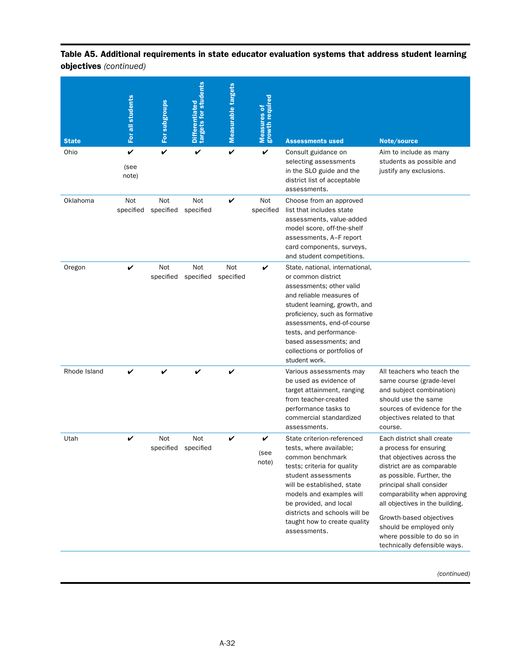| <b>State</b> | For all students   | For subgroups           | targets for students<br><b>Differentiated</b> | <b>Measurable targets</b> | <b>Measures of<br/>growth required</b> | <b>Assessments used</b>                                                                                                                                                                                                                                                                                              | Note/source                                                                                                                                                                                                                                                                                                                                                      |
|--------------|--------------------|-------------------------|-----------------------------------------------|---------------------------|----------------------------------------|----------------------------------------------------------------------------------------------------------------------------------------------------------------------------------------------------------------------------------------------------------------------------------------------------------------------|------------------------------------------------------------------------------------------------------------------------------------------------------------------------------------------------------------------------------------------------------------------------------------------------------------------------------------------------------------------|
| Ohio         | V<br>(see<br>note) | V                       | V                                             | V                         | V                                      | Consult guidance on<br>selecting assessments<br>in the SLO guide and the<br>district list of acceptable<br>assessments.                                                                                                                                                                                              | Aim to include as many<br>students as possible and<br>justify any exclusions.                                                                                                                                                                                                                                                                                    |
| Oklahoma     | Not<br>specified   | <b>Not</b><br>specified | Not<br>specified                              | V                         | Not<br>specified                       | Choose from an approved<br>list that includes state<br>assessments, value-added<br>model score, off-the-shelf<br>assessments, A–F report<br>card components, surveys,<br>and student competitions.                                                                                                                   |                                                                                                                                                                                                                                                                                                                                                                  |
| Oregon       | V                  | Not<br>specified        | Not<br>specified                              | Not<br>specified          | V                                      | State, national, international,<br>or common district<br>assessments; other valid<br>and reliable measures of<br>student learning, growth, and<br>proficiency, such as formative<br>assessments, end-of-course<br>tests, and performance-<br>based assessments; and<br>collections or portfolios of<br>student work. |                                                                                                                                                                                                                                                                                                                                                                  |
| Rhode Island | V                  | V                       | V                                             | V                         |                                        | Various assessments may<br>be used as evidence of<br>target attainment, ranging<br>from teacher-created<br>performance tasks to<br>commercial standardized<br>assessments.                                                                                                                                           | All teachers who teach the<br>same course (grade-level<br>and subject combination)<br>should use the same<br>sources of evidence for the<br>objectives related to that<br>course.                                                                                                                                                                                |
| Utah         | V                  | Not<br>specified        | Not<br>specified                              | V                         | V<br>(see<br>note)                     | State criterion-referenced<br>tests, where available;<br>common benchmark<br>tests; criteria for quality<br>student assessments<br>will be established, state<br>models and examples will<br>be provided, and local<br>districts and schools will be<br>taught how to create quality<br>assessments.                 | Each district shall create<br>a process for ensuring<br>that objectives across the<br>district are as comparable<br>as possible. Further, the<br>principal shall consider<br>comparability when approving<br>all objectives in the building.<br>Growth-based objectives<br>should be employed only<br>where possible to do so in<br>technically defensible ways. |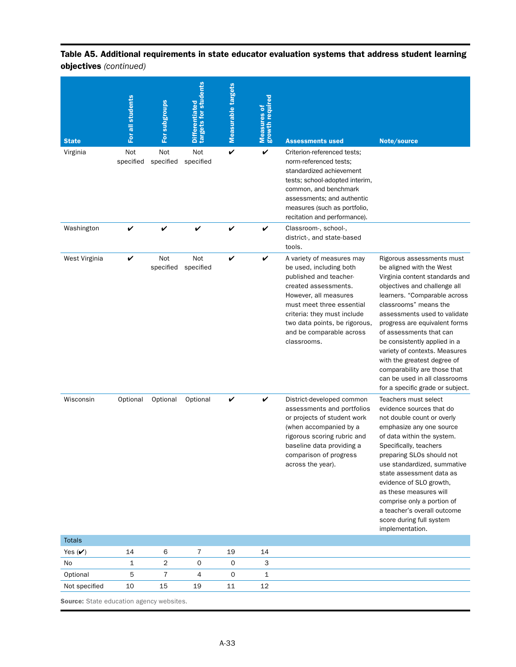| <b>State</b>  | For all students | For subgroups    | targets for students<br><b>Differentiated</b> | Measurable targets | <b>Measures of<br/>growth required</b> | <b>Assessments used</b>                                                                                                                                                                                                                                                 | Note/source                                                                                                                                                                                                                                                                                                                                                                                                                                                                       |
|---------------|------------------|------------------|-----------------------------------------------|--------------------|----------------------------------------|-------------------------------------------------------------------------------------------------------------------------------------------------------------------------------------------------------------------------------------------------------------------------|-----------------------------------------------------------------------------------------------------------------------------------------------------------------------------------------------------------------------------------------------------------------------------------------------------------------------------------------------------------------------------------------------------------------------------------------------------------------------------------|
| Virginia      | Not<br>specified | Not<br>specified | Not<br>specified                              | V                  | V                                      | Criterion-referenced tests;<br>norm-referenced tests;<br>standardized achievement<br>tests; school-adopted interim,<br>common, and benchmark<br>assessments; and authentic<br>measures (such as portfolio,<br>recitation and performance).                              |                                                                                                                                                                                                                                                                                                                                                                                                                                                                                   |
| Washington    | V                | V                | V                                             | V                  | V                                      | Classroom-, school-,<br>district-, and state-based<br>tools.                                                                                                                                                                                                            |                                                                                                                                                                                                                                                                                                                                                                                                                                                                                   |
| West Virginia | V                | Not<br>specified | Not<br>specified                              | V                  | V                                      | A variety of measures may<br>be used, including both<br>published and teacher-<br>created assessments.<br>However, all measures<br>must meet three essential<br>criteria: they must include<br>two data points, be rigorous,<br>and be comparable across<br>classrooms. | Rigorous assessments must<br>be aligned with the West<br>Virginia content standards and<br>objectives and challenge all<br>learners. "Comparable across<br>classrooms" means the<br>assessments used to validate<br>progress are equivalent forms<br>of assessments that can<br>be consistently applied in a<br>variety of contexts. Measures<br>with the greatest degree of<br>comparability are those that<br>can be used in all classrooms<br>for a specific grade or subject. |
| Wisconsin     | Optional         | Optional         | Optional                                      | V                  | V                                      | District-developed common<br>assessments and portfolios<br>or projects of student work<br>(when accompanied by a<br>rigorous scoring rubric and<br>baseline data providing a<br>comparison of progress<br>across the year).                                             | Teachers must select<br>evidence sources that do<br>not double count or overly<br>emphasize any one source<br>of data within the system.<br>Specifically, teachers<br>preparing SLOs should not<br>use standardized, summative<br>state assessment data as<br>evidence of SLO growth,<br>as these measures will<br>comprise only a portion of<br>a teacher's overall outcome<br>score during full system<br>implementation.                                                       |
| <b>Totals</b> |                  |                  |                                               |                    |                                        |                                                                                                                                                                                                                                                                         |                                                                                                                                                                                                                                                                                                                                                                                                                                                                                   |
| Yes $(V)$     | 14               | 6                | 7                                             | 19                 | 14                                     |                                                                                                                                                                                                                                                                         |                                                                                                                                                                                                                                                                                                                                                                                                                                                                                   |
| No            | 1                | $\overline{2}$   | 0                                             | 0                  | 3                                      |                                                                                                                                                                                                                                                                         |                                                                                                                                                                                                                                                                                                                                                                                                                                                                                   |
| Optional      | 5                | $\overline{7}$   | 4                                             | $\mathbf 0$        | $\mathbf 1$                            |                                                                                                                                                                                                                                                                         |                                                                                                                                                                                                                                                                                                                                                                                                                                                                                   |
| Not specified | 10               | 15               | 19                                            | 11                 | 12                                     |                                                                                                                                                                                                                                                                         |                                                                                                                                                                                                                                                                                                                                                                                                                                                                                   |

**Source:** State education agency websites.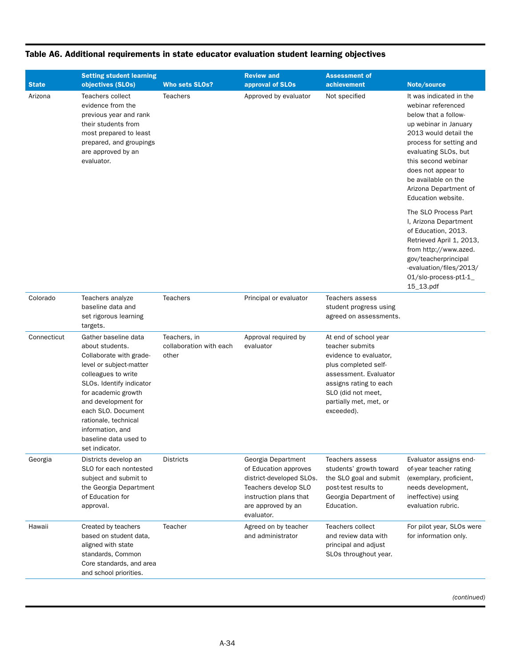| Table A6. Additional requirements in state educator evaluation student learning objectives |  |  |  |  |  |  |
|--------------------------------------------------------------------------------------------|--|--|--|--|--|--|
|--------------------------------------------------------------------------------------------|--|--|--|--|--|--|

|              | <b>Setting student learning</b>                                                                                                                                                                                                                                                                             |                                                  | <b>Review and</b>                                                                                                                                             | <b>Assessment of</b>                                                                                                                                                                                        |                                                                                                                                                                                                                                                                                               |
|--------------|-------------------------------------------------------------------------------------------------------------------------------------------------------------------------------------------------------------------------------------------------------------------------------------------------------------|--------------------------------------------------|---------------------------------------------------------------------------------------------------------------------------------------------------------------|-------------------------------------------------------------------------------------------------------------------------------------------------------------------------------------------------------------|-----------------------------------------------------------------------------------------------------------------------------------------------------------------------------------------------------------------------------------------------------------------------------------------------|
| <b>State</b> | objectives (SLOs)                                                                                                                                                                                                                                                                                           | <b>Who sets SLOs?</b>                            | approval of SLOs                                                                                                                                              | achievement                                                                                                                                                                                                 | Note/source                                                                                                                                                                                                                                                                                   |
| Arizona      | Teachers collect<br>evidence from the<br>previous year and rank<br>their students from<br>most prepared to least<br>prepared, and groupings<br>are approved by an<br>evaluator.                                                                                                                             | <b>Teachers</b>                                  | Approved by evaluator                                                                                                                                         | Not specified                                                                                                                                                                                               | It was indicated in the<br>webinar referenced<br>below that a follow-<br>up webinar in January<br>2013 would detail the<br>process for setting and<br>evaluating SLOs, but<br>this second webinar<br>does not appear to<br>be available on the<br>Arizona Department of<br>Education website. |
|              |                                                                                                                                                                                                                                                                                                             |                                                  |                                                                                                                                                               |                                                                                                                                                                                                             | The SLO Process Part<br>I, Arizona Department<br>of Education, 2013.<br>Retrieved April 1, 2013,<br>from http://www.azed.<br>gov/teacherprincipal<br>-evaluation/files/2013/<br>01/slo-process-pt1-1_<br>15_13.pdf                                                                            |
| Colorado     | Teachers analyze<br>baseline data and<br>set rigorous learning<br>targets.                                                                                                                                                                                                                                  | <b>Teachers</b>                                  | Principal or evaluator                                                                                                                                        | Teachers assess<br>student progress using<br>agreed on assessments.                                                                                                                                         |                                                                                                                                                                                                                                                                                               |
| Connecticut  | Gather baseline data<br>about students.<br>Collaborate with grade-<br>level or subject-matter<br>colleagues to write<br>SLOs. Identify indicator<br>for academic growth<br>and development for<br>each SLO. Document<br>rationale, technical<br>information, and<br>baseline data used to<br>set indicator. | Teachers, in<br>collaboration with each<br>other | Approval required by<br>evaluator                                                                                                                             | At end of school year<br>teacher submits<br>evidence to evaluator,<br>plus completed self-<br>assessment. Evaluator<br>assigns rating to each<br>SLO (did not meet,<br>partially met, met, or<br>exceeded). |                                                                                                                                                                                                                                                                                               |
| Georgia      | Districts develop an<br>SLO for each nontested<br>subject and submit to<br>the Georgia Department<br>of Education for<br>approval.                                                                                                                                                                          | <b>Districts</b>                                 | Georgia Department<br>of Education approves<br>district-developed SLOs.<br>Teachers develop SLO<br>instruction plans that<br>are approved by an<br>evaluator. | Teachers assess<br>students' growth toward<br>the SLO goal and submit<br>post-test results to<br>Georgia Department of<br>Education.                                                                        | Evaluator assigns end-<br>of-year teacher rating<br>(exemplary, proficient,<br>needs development,<br>ineffective) using<br>evaluation rubric.                                                                                                                                                 |
| Hawaii       | Created by teachers<br>based on student data,<br>aligned with state<br>standards, Common<br>Core standards, and area<br>and school priorities.                                                                                                                                                              | Teacher                                          | Agreed on by teacher<br>and administrator                                                                                                                     | Teachers collect<br>and review data with<br>principal and adjust<br>SLOs throughout year.                                                                                                                   | For pilot year, SLOs were<br>for information only.                                                                                                                                                                                                                                            |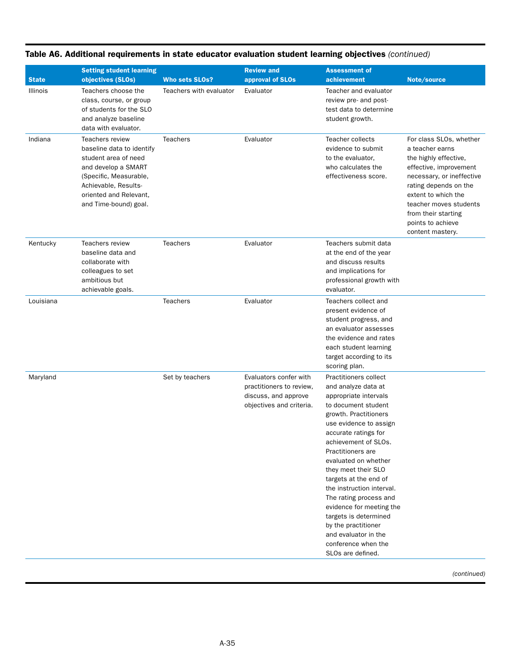|              | <b>Setting student learning</b>                                                                                                                                                                         |                         | <b>Review and</b>                                                                                      | <b>Assessment of</b>                                                                                                                                                                                                                                                                                                                                                                                                                                                                                |                                                                                                                                                                                                                                                                      |
|--------------|---------------------------------------------------------------------------------------------------------------------------------------------------------------------------------------------------------|-------------------------|--------------------------------------------------------------------------------------------------------|-----------------------------------------------------------------------------------------------------------------------------------------------------------------------------------------------------------------------------------------------------------------------------------------------------------------------------------------------------------------------------------------------------------------------------------------------------------------------------------------------------|----------------------------------------------------------------------------------------------------------------------------------------------------------------------------------------------------------------------------------------------------------------------|
| <b>State</b> | objectives (SLOs)                                                                                                                                                                                       | <b>Who sets SLOs?</b>   | approval of SLOs                                                                                       | achievement                                                                                                                                                                                                                                                                                                                                                                                                                                                                                         | Note/source                                                                                                                                                                                                                                                          |
| Illinois     | Teachers choose the<br>class, course, or group<br>of students for the SLO<br>and analyze baseline<br>data with evaluator.                                                                               | Teachers with evaluator | Evaluator                                                                                              | Teacher and evaluator<br>review pre- and post-<br>test data to determine<br>student growth.                                                                                                                                                                                                                                                                                                                                                                                                         |                                                                                                                                                                                                                                                                      |
| Indiana      | <b>Teachers review</b><br>baseline data to identify<br>student area of need<br>and develop a SMART<br>(Specific, Measurable,<br>Achievable, Results-<br>oriented and Relevant,<br>and Time-bound) goal. | <b>Teachers</b>         | Evaluator                                                                                              | Teacher collects<br>evidence to submit<br>to the evaluator,<br>who calculates the<br>effectiveness score.                                                                                                                                                                                                                                                                                                                                                                                           | For class SLOs, whether<br>a teacher earns<br>the highly effective,<br>effective, improvement<br>necessary, or ineffective<br>rating depends on the<br>extent to which the<br>teacher moves students<br>from their starting<br>points to achieve<br>content mastery. |
| Kentucky     | <b>Teachers review</b><br>baseline data and<br>collaborate with<br>colleagues to set<br>ambitious but<br>achievable goals.                                                                              | <b>Teachers</b>         | Evaluator                                                                                              | Teachers submit data<br>at the end of the year<br>and discuss results<br>and implications for<br>professional growth with<br>evaluator.                                                                                                                                                                                                                                                                                                                                                             |                                                                                                                                                                                                                                                                      |
| Louisiana    |                                                                                                                                                                                                         | <b>Teachers</b>         | Evaluator                                                                                              | Teachers collect and<br>present evidence of<br>student progress, and<br>an evaluator assesses<br>the evidence and rates<br>each student learning<br>target according to its<br>scoring plan.                                                                                                                                                                                                                                                                                                        |                                                                                                                                                                                                                                                                      |
| Maryland     |                                                                                                                                                                                                         | Set by teachers         | Evaluators confer with<br>practitioners to review,<br>discuss, and approve<br>objectives and criteria. | Practitioners collect<br>and analyze data at<br>appropriate intervals<br>to document student<br>growth. Practitioners<br>use evidence to assign<br>accurate ratings for<br>achievement of SLOs.<br>Practitioners are<br>evaluated on whether<br>they meet their SLO<br>targets at the end of<br>the instruction interval.<br>The rating process and<br>evidence for meeting the<br>targets is determined<br>by the practitioner<br>and evaluator in the<br>conference when the<br>SLOs are defined. |                                                                                                                                                                                                                                                                      |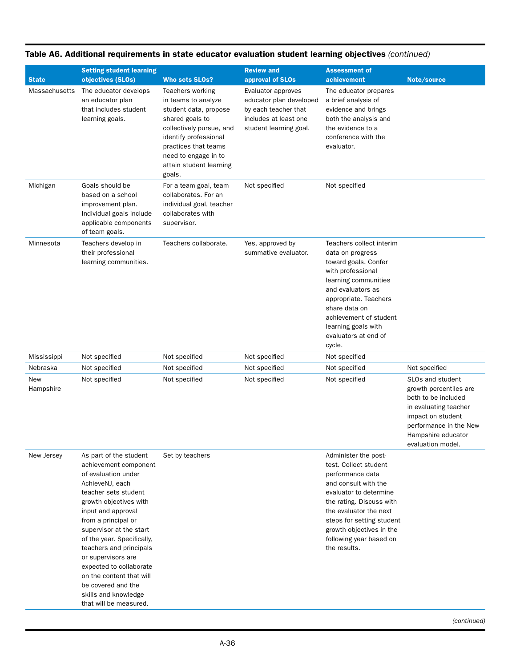| <b>State</b>         | <b>Setting student learning</b><br>objectives (SLOs)                                                                                                                                                                                                                                                                                                                                                                              | <b>Who sets SLOs?</b>                                                                                                                                                                                                         | <b>Review and</b><br>approval of SLOs                                                                                    | <b>Assessment of</b><br>achievement                                                                                                                                                                                                                                           | Note/source                                                                                                                                                                          |
|----------------------|-----------------------------------------------------------------------------------------------------------------------------------------------------------------------------------------------------------------------------------------------------------------------------------------------------------------------------------------------------------------------------------------------------------------------------------|-------------------------------------------------------------------------------------------------------------------------------------------------------------------------------------------------------------------------------|--------------------------------------------------------------------------------------------------------------------------|-------------------------------------------------------------------------------------------------------------------------------------------------------------------------------------------------------------------------------------------------------------------------------|--------------------------------------------------------------------------------------------------------------------------------------------------------------------------------------|
| <b>Massachusetts</b> | The educator develops<br>an educator plan<br>that includes student<br>learning goals.                                                                                                                                                                                                                                                                                                                                             | Teachers working<br>in teams to analyze<br>student data, propose<br>shared goals to<br>collectively pursue, and<br>identify professional<br>practices that teams<br>need to engage in to<br>attain student learning<br>goals. | Evaluator approves<br>educator plan developed<br>by each teacher that<br>includes at least one<br>student learning goal. | The educator prepares<br>a brief analysis of<br>evidence and brings<br>both the analysis and<br>the evidence to a<br>conference with the<br>evaluator.                                                                                                                        |                                                                                                                                                                                      |
| Michigan             | Goals should be<br>based on a school<br>improvement plan.<br>Individual goals include<br>applicable components<br>of team goals.                                                                                                                                                                                                                                                                                                  | For a team goal, team<br>collaborates. For an<br>individual goal, teacher<br>collaborates with<br>supervisor.                                                                                                                 | Not specified                                                                                                            | Not specified                                                                                                                                                                                                                                                                 |                                                                                                                                                                                      |
| Minnesota            | Teachers develop in<br>their professional<br>learning communities.                                                                                                                                                                                                                                                                                                                                                                | Teachers collaborate.                                                                                                                                                                                                         | Yes, approved by<br>summative evaluator.                                                                                 | Teachers collect interim<br>data on progress<br>toward goals. Confer<br>with professional<br>learning communities<br>and evaluators as<br>appropriate. Teachers<br>share data on<br>achievement of student<br>learning goals with<br>evaluators at end of<br>cycle.           |                                                                                                                                                                                      |
| Mississippi          | Not specified                                                                                                                                                                                                                                                                                                                                                                                                                     | Not specified                                                                                                                                                                                                                 | Not specified                                                                                                            | Not specified                                                                                                                                                                                                                                                                 |                                                                                                                                                                                      |
| Nebraska             | Not specified                                                                                                                                                                                                                                                                                                                                                                                                                     | Not specified                                                                                                                                                                                                                 | Not specified                                                                                                            | Not specified                                                                                                                                                                                                                                                                 | Not specified                                                                                                                                                                        |
| New<br>Hampshire     | Not specified                                                                                                                                                                                                                                                                                                                                                                                                                     | Not specified                                                                                                                                                                                                                 | Not specified                                                                                                            | Not specified                                                                                                                                                                                                                                                                 | SLOs and student<br>growth percentiles are<br>both to be included<br>in evaluating teacher<br>impact on student<br>performance in the New<br>Hampshire educator<br>evaluation model. |
| New Jersey           | As part of the student<br>achievement component<br>of evaluation under<br>AchieveNJ, each<br>teacher sets student<br>growth objectives with<br>input and approval<br>from a principal or<br>supervisor at the start<br>of the year. Specifically,<br>teachers and principals<br>or supervisors are<br>expected to collaborate<br>on the content that will<br>be covered and the<br>skills and knowledge<br>that will be measured. | Set by teachers                                                                                                                                                                                                               |                                                                                                                          | Administer the post-<br>test. Collect student<br>performance data<br>and consult with the<br>evaluator to determine<br>the rating. Discuss with<br>the evaluator the next<br>steps for setting student<br>growth objectives in the<br>following year based on<br>the results. |                                                                                                                                                                                      |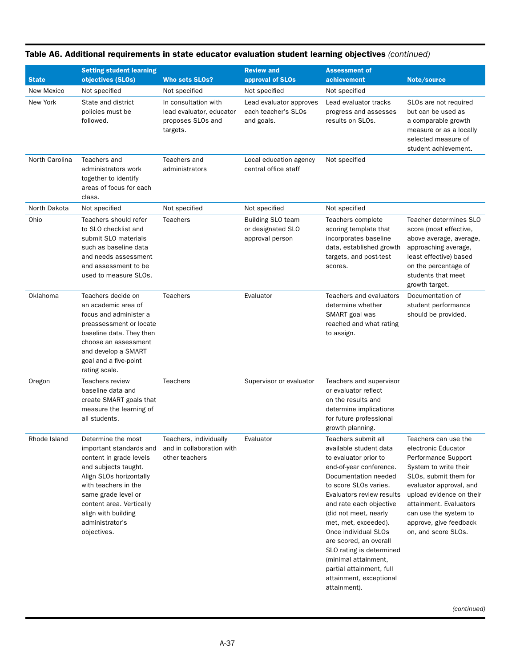| <b>State</b>      | <b>Setting student learning</b><br>objectives (SLOs)                                                                                                                                                                                                            | <b>Who sets SLOs?</b>                                                             | <b>Review and</b><br>approval of SLOs                            | <b>Assessment of</b><br>achievement                                                                                                                                                                                                                                                                                                                                                                                                      | Note/source                                                                                                                                                                                                                                                                     |
|-------------------|-----------------------------------------------------------------------------------------------------------------------------------------------------------------------------------------------------------------------------------------------------------------|-----------------------------------------------------------------------------------|------------------------------------------------------------------|------------------------------------------------------------------------------------------------------------------------------------------------------------------------------------------------------------------------------------------------------------------------------------------------------------------------------------------------------------------------------------------------------------------------------------------|---------------------------------------------------------------------------------------------------------------------------------------------------------------------------------------------------------------------------------------------------------------------------------|
| <b>New Mexico</b> | Not specified                                                                                                                                                                                                                                                   | Not specified                                                                     | Not specified                                                    | Not specified                                                                                                                                                                                                                                                                                                                                                                                                                            |                                                                                                                                                                                                                                                                                 |
| New York          | State and district<br>policies must be<br>followed.                                                                                                                                                                                                             | In consultation with<br>lead evaluator, educator<br>proposes SLOs and<br>targets. | Lead evaluator approves<br>each teacher's SLOs<br>and goals.     | Lead evaluator tracks<br>progress and assesses<br>results on SLOs.                                                                                                                                                                                                                                                                                                                                                                       | SLOs are not required<br>but can be used as<br>a comparable growth<br>measure or as a locally<br>selected measure of<br>student achievement.                                                                                                                                    |
| North Carolina    | Teachers and<br>administrators work<br>together to identify<br>areas of focus for each<br>class.                                                                                                                                                                | Teachers and<br>administrators                                                    | Local education agency<br>central office staff                   | Not specified                                                                                                                                                                                                                                                                                                                                                                                                                            |                                                                                                                                                                                                                                                                                 |
| North Dakota      | Not specified                                                                                                                                                                                                                                                   | Not specified                                                                     | Not specified                                                    | Not specified                                                                                                                                                                                                                                                                                                                                                                                                                            |                                                                                                                                                                                                                                                                                 |
| Ohio              | Teachers should refer<br>to SLO checklist and<br>submit SLO materials<br>such as baseline data<br>and needs assessment<br>and assessment to be<br>used to measure SLOs.                                                                                         | <b>Teachers</b>                                                                   | <b>Building SLO team</b><br>or designated SLO<br>approval person | Teachers complete<br>scoring template that<br>incorporates baseline<br>data, established growth<br>targets, and post-test<br>scores.                                                                                                                                                                                                                                                                                                     | Teacher determines SLO<br>score (most effective,<br>above average, average,<br>approaching average,<br>least effective) based<br>on the percentage of<br>students that meet<br>growth target.                                                                                   |
| Oklahoma          | Teachers decide on<br>an academic area of<br>focus and administer a<br>preassessment or locate<br>baseline data. They then<br>choose an assessment<br>and develop a SMART<br>goal and a five-point<br>rating scale.                                             | <b>Teachers</b>                                                                   | Evaluator                                                        | Teachers and evaluators<br>determine whether<br>SMART goal was<br>reached and what rating<br>to assign.                                                                                                                                                                                                                                                                                                                                  | Documentation of<br>student performance<br>should be provided.                                                                                                                                                                                                                  |
| Oregon            | Teachers review<br>baseline data and<br>create SMART goals that<br>measure the learning of<br>all students.                                                                                                                                                     | <b>Teachers</b>                                                                   | Supervisor or evaluator                                          | Teachers and supervisor<br>or evaluator reflect<br>on the results and<br>determine implications<br>for future professional<br>growth planning.                                                                                                                                                                                                                                                                                           |                                                                                                                                                                                                                                                                                 |
| Rhode Island      | Determine the most<br>important standards and<br>content in grade levels<br>and subjects taught.<br>Align SLOs horizontally<br>with teachers in the<br>same grade level or<br>content area. Vertically<br>align with building<br>administrator's<br>objectives. | Teachers, individually<br>and in collaboration with<br>other teachers             | Evaluator                                                        | Teachers submit all<br>available student data<br>to evaluator prior to<br>end-of-year conference.<br>Documentation needed<br>to score SLOs varies.<br>Evaluators review results<br>and rate each objective<br>(did not meet, nearly<br>met, met, exceeded).<br>Once individual SLOs<br>are scored, an overall<br>SLO rating is determined<br>(minimal attainment,<br>partial attainment, full<br>attainment, exceptional<br>attainment). | Teachers can use the<br>electronic Educator<br>Performance Support<br>System to write their<br>SLOs, submit them for<br>evaluator approval, and<br>upload evidence on their<br>attainment. Evaluators<br>can use the system to<br>approve, give feedback<br>on, and score SLOs. |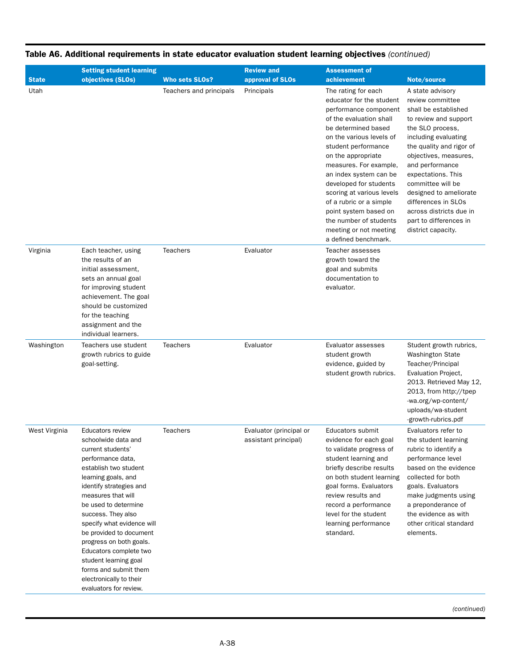|               | <b>Setting student learning</b>                                                                                                                                                                                                                                                                                                                                                                                                                              |                         | <b>Review and</b>                               | <b>Assessment of</b>                                                                                                                                                                                                                                                                                                                                                                                                                           |                                                                                                                                                                                                                                                                                                                                                                                  |  |  |
|---------------|--------------------------------------------------------------------------------------------------------------------------------------------------------------------------------------------------------------------------------------------------------------------------------------------------------------------------------------------------------------------------------------------------------------------------------------------------------------|-------------------------|-------------------------------------------------|------------------------------------------------------------------------------------------------------------------------------------------------------------------------------------------------------------------------------------------------------------------------------------------------------------------------------------------------------------------------------------------------------------------------------------------------|----------------------------------------------------------------------------------------------------------------------------------------------------------------------------------------------------------------------------------------------------------------------------------------------------------------------------------------------------------------------------------|--|--|
| <b>State</b>  | objectives (SLOs)                                                                                                                                                                                                                                                                                                                                                                                                                                            | <b>Who sets SLOs?</b>   | approval of SLOs                                | achievement                                                                                                                                                                                                                                                                                                                                                                                                                                    | Note/source                                                                                                                                                                                                                                                                                                                                                                      |  |  |
| Utah          |                                                                                                                                                                                                                                                                                                                                                                                                                                                              | Teachers and principals | Principals                                      | The rating for each<br>educator for the student<br>performance component<br>of the evaluation shall<br>be determined based<br>on the various levels of<br>student performance<br>on the appropriate<br>measures. For example,<br>an index system can be<br>developed for students<br>scoring at various levels<br>of a rubric or a simple<br>point system based on<br>the number of students<br>meeting or not meeting<br>a defined benchmark. | A state advisory<br>review committee<br>shall be established<br>to review and support<br>the SLO process,<br>including evaluating<br>the quality and rigor of<br>objectives, measures,<br>and performance<br>expectations. This<br>committee will be<br>designed to ameliorate<br>differences in SLOs<br>across districts due in<br>part to differences in<br>district capacity. |  |  |
| Virginia      | Each teacher, using<br>the results of an<br>initial assessment,<br>sets an annual goal<br>for improving student<br>achievement. The goal<br>should be customized<br>for the teaching<br>assignment and the<br>individual learners.                                                                                                                                                                                                                           | <b>Teachers</b>         | Evaluator                                       | Teacher assesses<br>growth toward the<br>goal and submits<br>documentation to<br>evaluator.                                                                                                                                                                                                                                                                                                                                                    |                                                                                                                                                                                                                                                                                                                                                                                  |  |  |
| Washington    | Teachers use student<br>growth rubrics to guide<br>goal-setting.                                                                                                                                                                                                                                                                                                                                                                                             | <b>Teachers</b>         | Evaluator                                       | Evaluator assesses<br>student growth<br>evidence, guided by<br>student growth rubrics.                                                                                                                                                                                                                                                                                                                                                         | Student growth rubrics,<br>Washington State<br>Teacher/Principal<br>Evaluation Project,<br>2013. Retrieved May 12,<br>2013, from http://tpep<br>-wa.org/wp-content/<br>uploads/wa-student<br>-growth-rubrics.pdf                                                                                                                                                                 |  |  |
| West Virginia | <b>Educators review</b><br>schoolwide data and<br>current students'<br>performance data,<br>establish two student<br>learning goals, and<br>identify strategies and<br>measures that will<br>be used to determine<br>success. They also<br>specify what evidence will<br>be provided to document<br>progress on both goals.<br>Educators complete two<br>student learning goal<br>forms and submit them<br>electronically to their<br>evaluators for review. | <b>Teachers</b>         | Evaluator (principal or<br>assistant principal) | Educators submit<br>evidence for each goal<br>to validate progress of<br>student learning and<br>briefly describe results<br>on both student learning<br>goal forms. Evaluators<br>review results and<br>record a performance<br>level for the student<br>learning performance<br>standard.                                                                                                                                                    | Evaluators refer to<br>the student learning<br>rubric to identify a<br>performance level<br>based on the evidence<br>collected for both<br>goals. Evaluators<br>make judgments using<br>a preponderance of<br>the evidence as with<br>other critical standard<br>elements.                                                                                                       |  |  |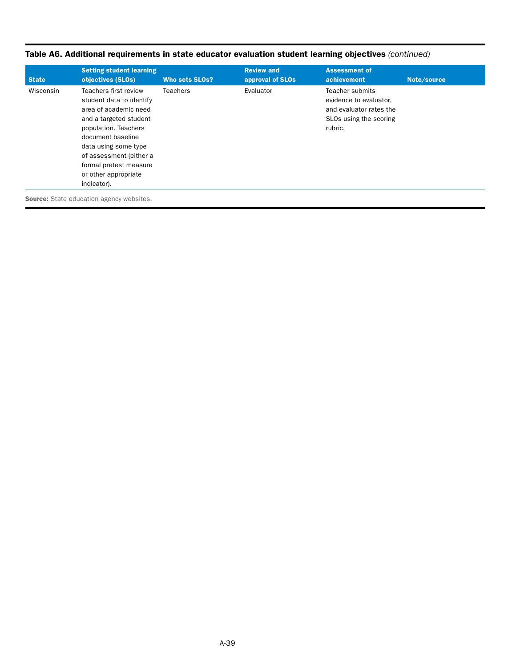| Table A6. Additional requirements in state educator evaluation student learning objectives (continued) |  |
|--------------------------------------------------------------------------------------------------------|--|
|                                                                                                        |  |

| <b>State</b> | <b>Setting student learning</b><br>objectives (SLOs)                                                                                                                                                                                                                  | <b>Who sets SLOs?</b> | <b>Review and</b><br>approval of SLOs | <b>Assessment of</b><br>achievement                                                                              | Note/source |
|--------------|-----------------------------------------------------------------------------------------------------------------------------------------------------------------------------------------------------------------------------------------------------------------------|-----------------------|---------------------------------------|------------------------------------------------------------------------------------------------------------------|-------------|
| Wisconsin    | Teachers first review<br>student data to identify<br>area of academic need<br>and a targeted student<br>population. Teachers<br>document baseline<br>data using some type<br>of assessment (either a<br>formal pretest measure<br>or other appropriate<br>indicator). | <b>Teachers</b>       | Evaluator                             | <b>Teacher submits</b><br>evidence to evaluator,<br>and evaluator rates the<br>SLOs using the scoring<br>rubric. |             |
|              | <b>Source:</b> State education agency websites.                                                                                                                                                                                                                       |                       |                                       |                                                                                                                  |             |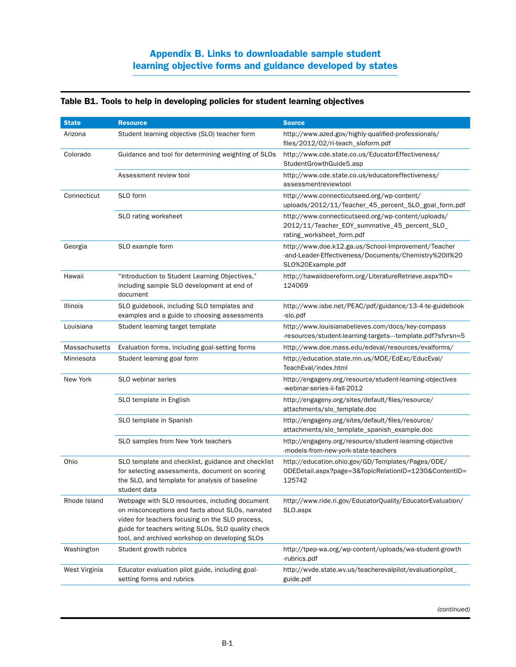|  |  |  |  |  |  | Table B1. Tools to help in developing policies for student learning objectives |
|--|--|--|--|--|--|--------------------------------------------------------------------------------|
|--|--|--|--|--|--|--------------------------------------------------------------------------------|

| <b>State</b>    | <b>Resource</b>                                                                                                                                                                                                                                               | <b>Source</b>                                                                                                                     |
|-----------------|---------------------------------------------------------------------------------------------------------------------------------------------------------------------------------------------------------------------------------------------------------------|-----------------------------------------------------------------------------------------------------------------------------------|
| Arizona         | Student learning objective (SLO) teacher form                                                                                                                                                                                                                 | http://www.azed.gov/highly-qualified-professionals/<br>files/2012/02/ri-teach_sloform.pdf                                         |
| Colorado        | Guidance and tool for determining weighting of SLOs                                                                                                                                                                                                           | http://www.cde.state.co.us/EducatorEffectiveness/<br>StudentGrowthGuide5.asp                                                      |
|                 | Assessment review tool                                                                                                                                                                                                                                        | http://www.cde.state.co.us/educatoreffectiveness/<br>assessmentreviewtool                                                         |
| Connecticut     | SLO form                                                                                                                                                                                                                                                      | http://www.connecticutseed.org/wp-content/<br>uploads/2012/11/Teacher_45_percent_SLO_goal_form.pdf                                |
|                 | SLO rating worksheet                                                                                                                                                                                                                                          | http://www.connecticutseed.org/wp-content/uploads/<br>2012/11/Teacher_EOY_summative_45_percent_SLO_<br>rating_worksheet_form.pdf  |
| Georgia         | SLO example form                                                                                                                                                                                                                                              | http://www.doe.k12.ga.us/School-Improvement/Teacher<br>-and-Leader-Effectiveness/Documents/Chemistry%20II%20<br>SLO%20Example.pdf |
| Hawaii          | "Introduction to Student Learning Objectives,"<br>including sample SLO development at end of<br>document                                                                                                                                                      | http://hawaiidoereform.org/LiteratureRetrieve.aspx?ID=<br>124069                                                                  |
| <b>Illinois</b> | SLO guidebook, including SLO templates and<br>examples and a guide to choosing assessments                                                                                                                                                                    | http://www.isbe.net/PEAC/pdf/guidance/13-4-te-guidebook<br>-slo.pdf                                                               |
| Louisiana       | Student learning target template                                                                                                                                                                                                                              | http://www.louisianabelieves.com/docs/key-compass<br>-resources/student-learning-targets---template.pdf?sfvrsn=5                  |
| Massachusetts   | Evaluation forms, including goal-setting forms                                                                                                                                                                                                                | http://www.doe.mass.edu/edeval/resources/evalforms/                                                                               |
| Minnesota       | Student learning goal form                                                                                                                                                                                                                                    | http://education.state.mn.us/MDE/EdExc/EducEval/<br>TeachEval/index.html                                                          |
| New York        | SLO webinar series                                                                                                                                                                                                                                            | http://engageny.org/resource/student-learning-objectives<br>-webinar-series-ii-fall-2012                                          |
|                 | SLO template in English                                                                                                                                                                                                                                       | http://engageny.org/sites/default/files/resource/<br>attachments/slo_template.doc                                                 |
|                 | SLO template in Spanish                                                                                                                                                                                                                                       | http://engageny.org/sites/default/files/resource/<br>attachments/slo_template_spanish_example.doc                                 |
|                 | SLO samples from New York teachers                                                                                                                                                                                                                            | http://engageny.org/resource/student-learning-objective<br>-models-from-new-york-state-teachers                                   |
| Ohio            | SLO template and checklist, guidance and checklist<br>for selecting assessments, document on scoring<br>the SLO, and template for analysis of baseline<br>student data                                                                                        | http://education.ohio.gov/GD/Templates/Pages/ODE/<br>ODEDetail.aspx?page=3&TopicRelationID=1230&ContentID=<br>125742              |
| Rhode Island    | Webpage with SLO resources, including document<br>on misconceptions and facts about SLOs, narrated<br>video for teachers focusing on the SLO process,<br>guide for teachers writing SLOs, SLO quality check<br>tool, and archived workshop on developing SLOs | http://www.ride.ri.gov/EducatorQuality/EducatorEvaluation/<br>SLO.aspx                                                            |
| Washington      | Student growth rubrics                                                                                                                                                                                                                                        | http://tpep-wa.org/wp-content/uploads/wa-student-growth<br>-rubrics.pdf                                                           |
| West Virginia   | Educator evaluation pilot guide, including goal-<br>setting forms and rubrics                                                                                                                                                                                 | http://wvde.state.wv.us/teacherevalpilot/evaluationpilot_<br>guide.pdf                                                            |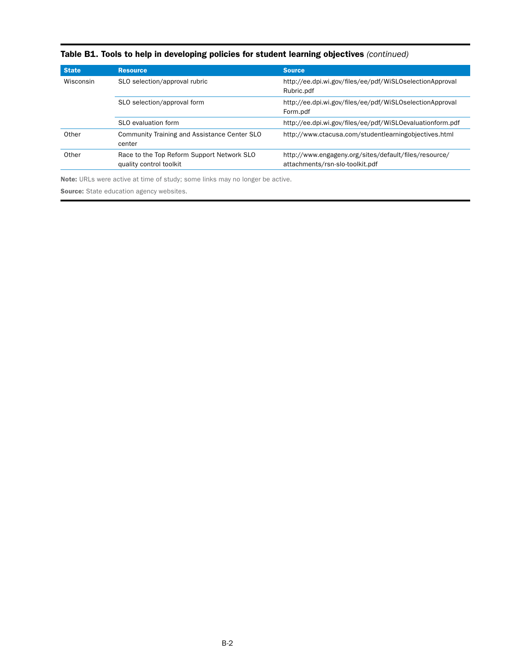| <b>State</b> | <b>Resource</b>                                                       | <b>Source</b>                                                                            |
|--------------|-----------------------------------------------------------------------|------------------------------------------------------------------------------------------|
| Wisconsin    | SLO selection/approval rubric                                         | http://ee.dpi.wi.gov/files/ee/pdf/WiSLOselectionApproval<br>Rubric.pdf                   |
|              | SLO selection/approval form                                           | http://ee.dpi.wi.gov/files/ee/pdf/WiSLOselectionApproval<br>Form.pdf                     |
|              | SLO evaluation form                                                   | http://ee.dpi.wi.gov/files/ee/pdf/WiSLOevaluationform.pdf                                |
| Other        | <b>Community Training and Assistance Center SLO</b><br>center         | http://www.ctacusa.com/studentlearningobjectives.html                                    |
| Other        | Race to the Top Reform Support Network SLO<br>quality control toolkit | http://www.engageny.org/sites/default/files/resource/<br>attachments/rsn-slo-toolkit.pdf |

# Table B1. Tools to help in developing policies for student learning objectives *(continued)*

Note: URLs were active at time of study; some links may no longer be active.

Source: State education agency websites.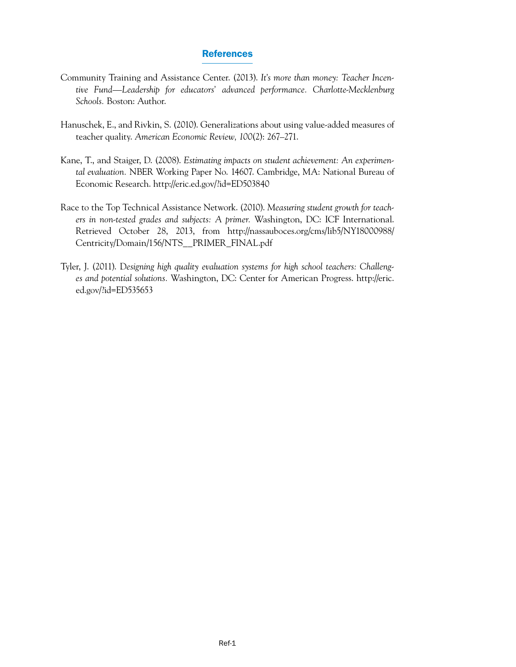#### References

- Community Training and Assistance Center. (2013). *It's more than money: Teacher Incentive Fund—Leadership for educators' advanced performance. Charlotte- Mecklenburg Schools.* Boston: Author.
- Hanuschek, E., and Rivkin, S. (2010). Generalizations about using value-added measures of teacher quality. *American Economic Review, 100*(2): 267–271.
- Kane, T., and Staiger, D. (2008). *Estimating impacts on student achievement: An experimental evaluation.* NBER Working Paper No. 14607. Cambridge, MA: National Bureau of Economic Research.<http://eric.ed.gov/?id=ED503840>
- Race to the Top Technical Assistance Network. (2010). *Measuring student growth for teachers in non-tested grades and subjects: A primer.* Washington, DC: ICF International. Retrieved October 28, 2013, from [http://nassauboces.org/cms/lib5/NY18000988/](http://nassauboces.org/cms/lib5/NY18000988/Centricity/Domain/156/NTS__PRIMER_FINAL.pdf)  [Centricity/Domain/156/NTS\\_\\_PRIMER\\_FINAL.pdf](http://nassauboces.org/cms/lib5/NY18000988/Centricity/Domain/156/NTS__PRIMER_FINAL.pdf)
- Tyler, J. (2011). D*esigning high quality evaluation systems for high school teachers: Challenges and potential solutions.* Washington, DC: Center for American Progress. [http://eric.](http://eric.ed.gov/?id=ED535653) [ed.gov/?id=ED535653](http://eric.ed.gov/?id=ED535653)